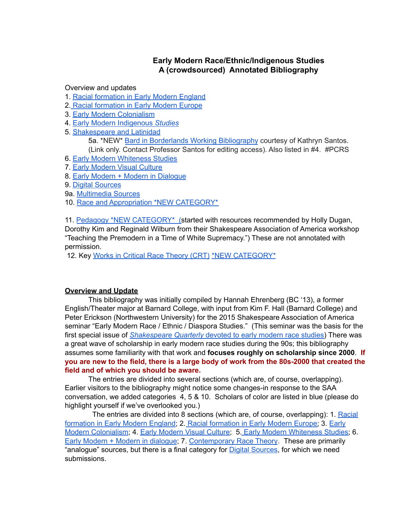# **Early Modern Race/Ethnic/Indigenous Studies A (crowdsourced) Annotated Bibliography**

Overview and updates

- 1. Racial formation in Early Modern England
- 2. Racial [formation](#page-31-0) in Early Modern Europe
- 3. Early Modern [Colonialism](#page-38-0)
- 4. Early Modern [Indigenous](#page-49-0) *Studies*
- 5. [Shakespeare](#page-51-0) and Latinidad
	- 5a. \*NEW\* Bard in Borderlands Working [Bibliography](https://docs.google.com/document/d/1znq62pLLRfEjsFK-7PeasoEn8U7YenxpUJr_-a3ic84/edit?usp=sharing) courtesy of Kathryn Santos. (Link only. Contact Professor Santos for editing access). Also listed in #4. #PCRS
- 6. Early Modern Whiteness Studies
- 7. Early [Modern](#page-55-0) Visual Culture
- 8. Early Modern + Modern in [Dialogue](#page-58-0)
- 9. Digital [Sources](#page-69-0)
- 9a. [Multimedia](#page-70-0) Sources
- 10. Race and [Appropriation](#page-80-0) \*NEW CATEGORY\*

11. [Pedagogy](#page-96-0) \*NEW [CATEGORY\\*](#page-80-0) [\(s](#page-96-0)tarted with resources recommended by Holly Dugan, Dorothy Kim and Reginald Wilburn from their Shakespeare Association of America workshop "Teaching the Premodern in a Time of White Supremacy.") These are not annotated with permission.

12. Key Works in Critical Race [Theory](#page-109-0) (CRT) \*NEW [CATEGORY\\*](#page-80-0)

## **Overview and Update**

This bibliography was initially compiled by Hannah Ehrenberg (BC '13), a former English/Theater major at Barnard College, with input from Kim F. Hall (Barnard College) and Peter Erickson (Northwestern University) for the 2015 Shakespeare Association of America seminar "Early Modern Race / Ethnic / Diaspora Studies." (This seminar was the basis for the first special issue of *Shakespeare Quarterly* devoted to early modern race studies) There was a great wave of scholarship in early modern race studies during the 90s; this bibliography assumes some familiarity with that work and **focuses roughly on scholarship since 2000**. **If you are new to the field, there is a large body of work from the 80s-2000 that created the field and of which you should be aware.**

The entries are divided into several sections (which are, of course, overlapping). Earlier visitors to the bibliography might notice some changes-in response to the SAA conversation, we added categories 4, 5 & 10. Scholars of color are listed in blue (please do highlight yourself if we've overlooked you.)

The entries are divided into 8 sections (which are, of course, overlapping): 1. [Racial](https://docs.google.com/document/d/1wo6HxqyegbiivQoq747RyHeciE3366bQlmnM1i5YyLk/edit#bookmark=id.kjx5k8krea46) [formation](https://docs.google.com/document/d/1wo6HxqyegbiivQoq747RyHeciE3366bQlmnM1i5YyLk/edit#bookmark=id.kjx5k8krea46) in Early Modern England; 2. Racial [formation](https://docs.google.com/document/d/1wo6HxqyegbiivQoq747RyHeciE3366bQlmnM1i5YyLk/edit#bookmark=id.e3ri0u33x35c) in Early Modern Europe; 3. [Early](https://docs.google.com/document/d/1wo6HxqyegbiivQoq747RyHeciE3366bQlmnM1i5YyLk/edit#bookmark=id.df4cmcv2xs06) Modern [Colonialism](https://docs.google.com/document/d/1wo6HxqyegbiivQoq747RyHeciE3366bQlmnM1i5YyLk/edit#bookmark=id.df4cmcv2xs06); 4. Early [Modern](https://docs.google.com/document/d/1wo6HxqyegbiivQoq747RyHeciE3366bQlmnM1i5YyLk/edit#bookmark=id.j60heit02ddh) Visual Culture; 5. Early Modern [Whiteness](https://docs.google.com/document/d/1wo6HxqyegbiivQoq747RyHeciE3366bQlmnM1i5YyLk/edit#bookmark=id.29qm8z6in8e) Studies; 6. Early Modern + Modern in [dialogue](https://docs.google.com/document/d/1wo6HxqyegbiivQoq747RyHeciE3366bQlmnM1i5YyLk/edit#bookmark=id.5q0sku21gtzo); 7. [Contemporary](https://docs.google.com/document/d/1wo6HxqyegbiivQoq747RyHeciE3366bQlmnM1i5YyLk/edit#bookmark=id.wdzbbywna9be) Race Theory. These are primarily "analogue" sources, but there is a final category for **Digital [Sources](https://docs.google.com/document/d/1wo6HxqyegbiivQoq747RyHeciE3366bQlmnM1i5YyLk/edit#bookmark=id.r9ek70w1bx6a)**, for which we need submissions.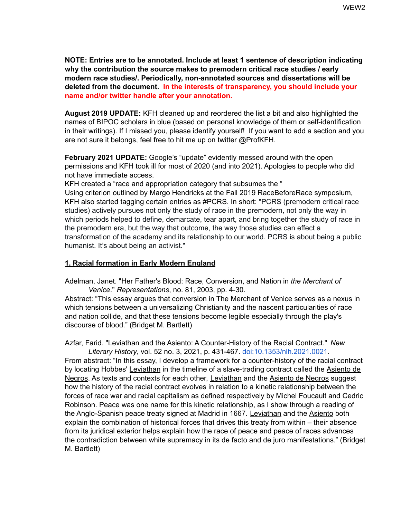**NOTE: Entries are to be annotated. Include at least 1 sentence of description indicating why the contribution the source makes to premodern critical race studies / early modern race studies/. Periodically, non-annotated sources and dissertations will be deleted from the document. In the interests of transparency, you should include your name and/or twitter handle after your annotation.**

**August 2019 UPDATE:** KFH cleaned up and reordered the list a bit and also highlighted the names of BIPOC scholars in blue (based on personal knowledge of them or self-identification in their writings). If I missed you, please identify yourself! If you want to add a section and you are not sure it belongs, feel free to hit me up on twitter @ProfKFH.

**February 2021 UPDATE:** Google's "update" evidently messed around with the open permissions and KFH took ill for most of 2020 (and into 2021). Apologies to people who did not have immediate access.

KFH created a "race and appropriation category that subsumes the "

Using criterion outlined by Margo Hendricks at the Fall 2019 RaceBeforeRace symposium, KFH also started tagging certain entries as #PCRS. In short: "PCRS (premodern critical race studies) actively pursues not only the study of race in the premodern, not only the way in which periods helped to define, demarcate, tear apart, and bring together the study of race in the premodern era, but the way that outcome, the way those studies can effect a transformation of the academy and its relationship to our world. PCRS is about being a public humanist. It's about being an activist."

### **1. Racial formation in Early Modern England**

Adelman, Janet. "Her Father's Blood: Race, Conversion, and Nation in *the Merchant of Venice*." *Representations*, no. 81, 2003, pp. 4-30*.*

Abstract: "This essay argues that conversion in The Merchant of Venice serves as a nexus in which tensions between a universalizing Christianity and the nascent particularities of race and nation collide, and that these tensions become legible especially through the play's discourse of blood." (Bridget M. Bartlett)

Azfar, Farid. "Leviathan and the Asiento: A Counter-History of the Racial Contract." *New Literary History*, vol. 52 no. 3, 2021, p. 431-467. [doi:10.1353/nlh.2021.0021](http://doi.org/10.1353/nlh.2021.0021).

From abstract: "In this essay, I develop a framework for a counter-history of the racial contract by locating Hobbes' Leviathan in the timeline of a slave-trading contract called the Asiento de Negros. As texts and contexts for each other, Leviathan and the Asiento de Negros suggest how the history of the racial contract evolves in relation to a kinetic relationship between the forces of race war and racial capitalism as defined respectively by Michel Foucault and Cedric Robinson. Peace was one name for this kinetic relationship, as I show through a reading of the Anglo-Spanish peace treaty signed at Madrid in 1667. Leviathan and the Asiento both explain the combination of historical forces that drives this treaty from within – their absence from its juridical exterior helps explain how the race of peace and peace of races advances the contradiction between white supremacy in its de facto and de juro manifestations." (Bridget M. Bartlett)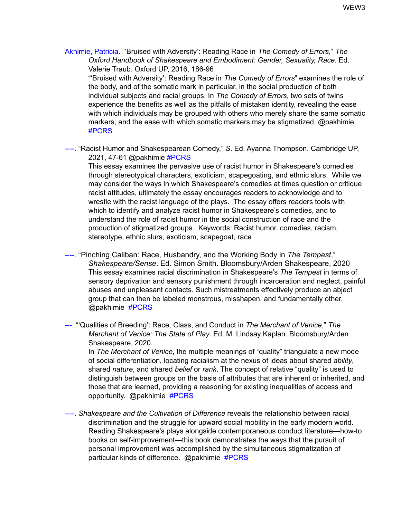Akhimie, Patricia. "'Bruised with Adversity': Reading Race in *The Comedy of Errors*," *The Oxford Handbook of Shakespeare and Embodiment: Gender, Sexuality, Race*. Ed. Valerie Traub. Oxford UP, 2016, 186-96

"'Bruised with Adversity': Reading Race in *The Comedy of Errors*" examines the role of the body, and of the somatic mark in particular, in the social production of both individual subjects and racial groups. In *The Comedy of Errors*, two sets of twins experience the benefits as well as the pitfalls of mistaken identity, revealing the ease with which individuals may be grouped with others who merely share the same somatic markers, and the ease with which somatic markers may be stigmatized. @pakhimie #PCRS

----. "Racist Humor and Shakespearean Comedy," *S*. Ed. Ayanna Thompson. Cambridge UP, 2021, 47-61 @pakhimie #PCRS

This essay examines the pervasive use of racist humor in Shakespeare's comedies through stereotypical characters, exoticism, scapegoating, and ethnic slurs. While we may consider the ways in which Shakespeare's comedies at times question or critique racist attitudes, ultimately the essay encourages readers to acknowledge and to wrestle with the racist language of the plays. The essay offers readers tools with which to identify and analyze racist humor in Shakespeare's comedies, and to understand the role of racist humor in the social construction of race and the production of stigmatized groups. Keywords: Racist humor, comedies, racism, stereotype, ethnic slurs, exoticism, scapegoat, race

----. "Pinching Caliban: Race, Husbandry, and the Working Body in *The Tempest*," *Shakespeare/Sense*. Ed. Simon Smith. Bloomsbury/Arden Shakespeare, 2020 This essay examines racial discrimination in Shakespeare's *The Tempest* in terms of sensory deprivation and sensory punishment through incarceration and neglect, painful abuses and unpleasant contacts. Such mistreatments effectively produce an abject group that can then be labeled monstrous, misshapen, and fundamentally other. @pakhimie #PCRS

---. "'Qualities of Breeding': Race, Class, and Conduct in *The Merchant of Venice*," *The Merchant of Venice: The State of Play*. Ed. M. Lindsay Kaplan. Bloomsbury/Arden Shakespeare, 2020.

In *The Merchant of Venice*, the multiple meanings of "quality" triangulate a new mode of social differentiation, locating racialism at the nexus of ideas about shared *ability*, shared *nature*, and shared *belief* or *rank*. The concept of relative "quality" is used to distinguish between groups on the basis of attributes that are inherent or inherited, and those that are learned, providing a reasoning for existing inequalities of access and opportunity. @pakhimie #PCRS

----. *Shakespeare and the Cultivation of Difference* reveals the relationship between racial discrimination and the struggle for upward social mobility in the early modern world. Reading Shakespeare's plays alongside contemporaneous conduct literature—how-to books on self-improvement—this book demonstrates the ways that the pursuit of personal improvement was accomplished by the simultaneous stigmatization of particular kinds of difference. @pakhimie #PCRS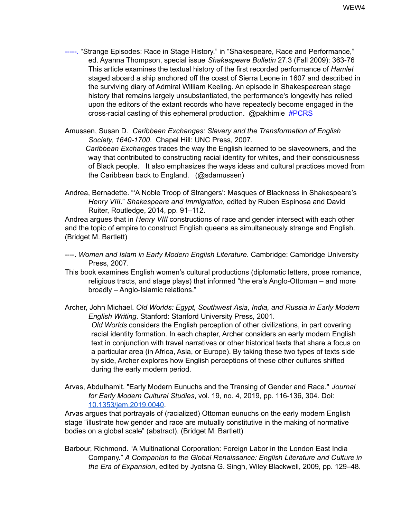-----. "Strange Episodes: Race in Stage History," in "Shakespeare, Race and Performance," ed. Ayanna Thompson, special issue *Shakespeare Bulletin* 27.3 (Fall 2009): 363-76 This article examines the textual history of the first recorded performance of *Hamlet* staged aboard a ship anchored off the coast of Sierra Leone in 1607 and described in the surviving diary of Admiral William Keeling. An episode in Shakespearean stage history that remains largely unsubstantiated, the performance's longevity has relied upon the editors of the extant records who have repeatedly become engaged in the cross-racial casting of this ephemeral production. @pakhimie #PCRS

Amussen, Susan D. *Caribbean Exchanges: Slavery and the Transformation of English Society, 1640-1700*. Chapel Hill: UNC Press, 2007. *Caribbean Exchanges* traces the way the English learned to be slaveowners, and the way that contributed to constructing racial identity for whites, and their consciousness of Black people. It also emphasizes the ways ideas and cultural practices moved from the Caribbean back to England. (@sdamussen)

Andrea, Bernadette. "'A Noble Troop of Strangers': Masques of Blackness in Shakespeare's *Henry VIII*." *Shakespeare and Immigration*, edited by Ruben Espinosa and David Ruiter, Routledge, 2014, pp. 91–112.

Andrea argues that in *Henry VIII* constructions of race and gender intersect with each other and the topic of empire to construct English queens as simultaneously strange and English. (Bridget M. Bartlett)

- ----. *Women and Islam in Early Modern English Literature*. Cambridge: Cambridge University Press, 2007.
- This book examines English women's cultural productions (diplomatic letters, prose romance, religious tracts, and stage plays) that informed "the era's Anglo-Ottoman – and more broadly – Anglo-Islamic relations."

Archer, John Michael. *Old Worlds: Egypt, Southwest Asia, India, and Russia in Early Modern English Writing*. Stanford: Stanford University Press, 2001. *Old Worlds* considers the English perception of other civilizations, in part covering racial identity formation. In each chapter, Archer considers an early modern English text in conjunction with travel narratives or other historical texts that share a focus on a particular area (in Africa, Asia, or Europe). By taking these two types of texts side by side, Archer explores how English perceptions of these other cultures shifted during the early modern period.

Arvas, Abdulhamit. "Early Modern Eunuchs and the Transing of Gender and Race." *Journal for Early Modern Cultural Studies*, vol. 19, no. 4, 2019, pp. 116-136, 304*.* Doi: [10.1353/jem.2019.0040.](https://doi-org.umiss.idm.oclc.org/10.1353/jem.2019.0040)

Arvas argues that portrayals of (racialized) Ottoman eunuchs on the early modern English stage "illustrate how gender and race are mutually constitutive in the making of normative bodies on a global scale" (abstract). (Bridget M. Bartlett)

Barbour, Richmond. "A Multinational Corporation: Foreign Labor in the London East India Company." *A Companion to the Global Renaissance: English Literature and Culture in the Era of Expansion*, edited by Jyotsna G. Singh, Wiley Blackwell, 2009, pp. 129–48.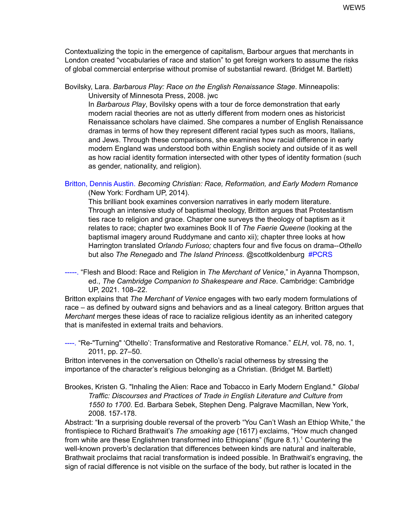Contextualizing the topic in the emergence of capitalism, Barbour argues that merchants in London created "vocabularies of race and station" to get foreign workers to assume the risks of global commercial enterprise without promise of substantial reward. (Bridget M. Bartlett)

Bovilsky, Lara. *Barbarous Play: Race on the English Renaissance Stage*. Minneapolis: University of Minnesota Press, 2008. jwc

In *Barbarous Play*, Bovilsky opens with a tour de force demonstration that early modern racial theories are not as utterly different from modern ones as historicist Renaissance scholars have claimed. She compares a number of English Renaissance dramas in terms of how they represent different racial types such as moors, Italians, and Jews. Through these comparisons, she examines how racial difference in early modern England was understood both within English society and outside of it as well as how racial identity formation intersected with other types of identity formation (such as gender, nationality, and religion).

Britton, Dennis Austin. *Becoming Christian: Race, Reformation, and Early Modern Romance* (New York: Fordham UP, 2014).

This brilliant book examines conversion narratives in early modern literature. Through an intensive study of baptismal theology, Britton argues that Protestantism ties race to religion and grace. Chapter one surveys the theology of baptism as it relates to race; chapter two examines Book II of *The Faerie Queene* (looking at the baptismal imagery around Ruddymane and canto xii); chapter three looks at how Harrington translated *Orlando Furioso;* chapters four and five focus on drama--*Othello* but also *The Renegado* and *The Island Princess*. @scottkoldenburg #PCRS

-----. "Flesh and Blood: Race and Religion in *The Merchant of Venice*," in Ayanna Thompson, ed., *The Cambridge Companion to Shakespeare and Race*. Cambridge: Cambridge UP, 2021. 108–22.

Britton explains that *The Merchant of Venice* engages with two early modern formulations of race – as defined by outward signs and behaviors and as a lineal category. Britton argues that *Merchant* merges these ideas of race to racialize religious identity as an inherited category that is manifested in external traits and behaviors.

----. "Re-"Turning" 'Othello': Transformative and Restorative Romance." *ELH*, vol. 78, no. 1, 2011, pp. 27–50.

Britton intervenes in the conversation on Othello's racial otherness by stressing the importance of the character's religious belonging as a Christian. (Bridget M. Bartlett)

Brookes, Kristen G. "Inhaling the Alien: Race and Tobacco in Early Modern England." *Global Traffic: Discourses and Practices of Trade in English Literature and Culture from 1550 to 1700*. Ed. Barbara Sebek, Stephen Deng. Palgrave Macmillan, New York, 2008. 157-178.

Abstract: "**I**n a surprising double reversal of the proverb "You Can't Wash an Ethiop White," the frontispiece to Richard Brathwait's *The smoaking age* (1617) exclaims, "How much changed from white are these Englishmen transformed into Ethiopians" (figure 8.1). <sup>1</sup> Countering the well-known proverb's declaration that differences between kinds are natural and inalterable, Brathwait proclaims that racial transformation is indeed possible. In Brathwait's engraving, the sign of racial difference is not visible on the surface of the body, but rather is located in the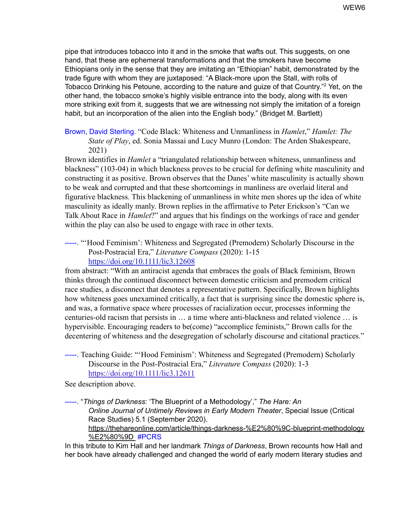pipe that introduces tobacco into it and in the smoke that wafts out. This suggests, on one hand, that these are ephemeral transformations and that the smokers have become Ethiopians only in the sense that they are imitating an "Ethiopian" habit, demonstrated by the trade figure with whom they are juxtaposed: "A Black-more upon the Stall, with rolls of Tobacco Drinking his Petoune, according to the nature and guize of that Country." <sup>2</sup> Yet, on the other hand, the tobacco smoke's highly visible entrance into the body, along with its even more striking exit from it, suggests that we are witnessing not simply the imitation of a foreign habit, but an incorporation of the alien into the English body." (Bridget M. Bartlett)

## Brown, David Sterling. "Code Black: Whiteness and Unmanliness in *Hamlet*," *Hamlet: The State of Play*, ed. Sonia Massai and Lucy Munro (London: The Arden Shakespeare, 2021)

Brown identifies in *Hamlet* a "triangulated relationship between whiteness, unmanliness and blackness" (103-04) in which blackness proves to be crucial for defining white masculinity and constructing it as positive. Brown observes that the Danes' white masculinity is actually shown to be weak and corrupted and that these shortcomings in manliness are overlaid literal and figurative blackness. This blackening of unmanliness in white men shores up the idea of white masculinity as ideally manly. Brown replies in the affirmative to Peter Erickson's "Can we Talk About Race in *Hamlet*?" and argues that his findings on the workings of race and gender within the play can also be used to engage with race in other texts.

-----. "'Hood Feminism': Whiteness and Segregated (Premodern) Scholarly Discourse in the Post-Postracial Era," *Literature Compass* (2020): 1-15 <https://doi.org/10.1111/lic3.12608>

from abstract: "With an antiracist agenda that embraces the goals of Black feminism, Brown thinks through the continued disconnect between domestic criticism and premodern critical race studies, a disconnect that denotes a representative pattern. Specifically, Brown highlights how whiteness goes unexamined critically, a fact that is surprising since the domestic sphere is, and was, a formative space where processes of racialization occur, processes informing the centuries-old racism that persists in … a time where anti-blackness and related violence … is hypervisible. Encouraging readers to be(come) "accomplice feminists," Brown calls for the decentering of whiteness and the desegregation of scholarly discourse and citational practices."

-----. Teaching Guide: "'Hood Feminism': Whiteness and Segregated (Premodern) Scholarly Discourse in the Post-Postracial Era," *Literature Compass* (2020): 1-3 <https://doi.org/10.1111/lic3.12611>

See description above.

-----. "*Things of Darkness*: 'The Blueprint of a Methodology'," *The Hare: An Online Journal of Untimely Reviews in Early Modern Theater*, Special Issue (Critical Race Studies) 5.1 (September 2020)[.](https://thehareonline.com/article/things-darkness-%E2%80%9C-blueprint-methodology%E2%80%9D) [https://thehareonline.com/article/things-darkness-%E2%80%9C-blueprint-methodology](https://thehareonline.com/article/things-darkness-%E2%80%9C-blueprint-methodology%E2%80%9D) [%E2%80%9D](https://thehareonline.com/article/things-darkness-%E2%80%9C-blueprint-methodology%E2%80%9D) #PCRS

In this tribute to Kim Hall and her landmark *Things of Darkness*, Brown recounts how Hall and her book have already challenged and changed the world of early modern literary studies and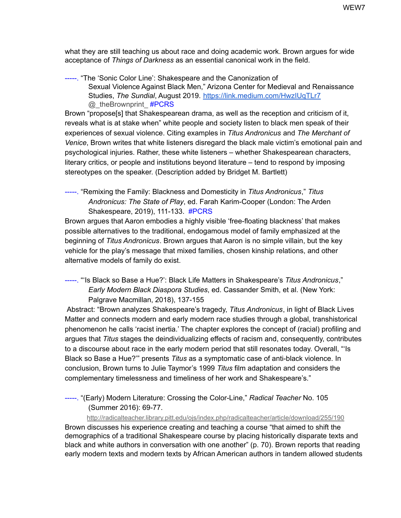what they are still teaching us about race and doing academic work. Brown argues for wide acceptance of *Things of Darkness* as an essential canonical work in the field.

-----. "The 'Sonic Color Line': Shakespeare and the Canonization of Sexual Violence Against Black Men," Arizona Center for Medieval and Renaissance Studies, *The Sundial*, August 2019. <https://link.medium.com/HwzIUqTLr7> @\_theBrownprint\_ #PCRS

Brown "propose[s] that Shakespearean drama, as well as the reception and criticism of it, reveals what is at stake when" white people and society listen to black men speak of their experiences of sexual violence. Citing examples in *Titus Andronicus* and *The Merchant of Venice*, Brown writes that white listeners disregard the black male victim's emotional pain and psychological injuries. Rather, these white listeners – whether Shakespearean characters, literary critics, or people and institutions beyond literature – tend to respond by imposing stereotypes on the speaker. (Description added by Bridget M. Bartlett)

-----. "Remixing the Family: Blackness and Domesticity in *Titus Andronicus*," *Titus Andronicus: The State of Play*, ed. Farah Karim-Cooper (London: The Arden Shakespeare, 2019), 111-133. #PCRS

Brown argues that Aaron embodies a highly visible 'free-floating blackness' that makes possible alternatives to the traditional, endogamous model of family emphasized at the beginning of *Titus Andronicus*. Brown argues that Aaron is no simple villain, but the key vehicle for the play's message that mixed families, chosen kinship relations, and other alternative models of family do exist.

-----. "'Is Black so Base a Hue?': Black Life Matters in Shakespeare's *Titus Andronicus*," *Early Modern Black Diaspora Studies*, ed. Cassander Smith, et al. (New York: Palgrave Macmillan, 2018), 137-155

Abstract: "Brown analyzes Shakespeare's tragedy, *Titus Andronicus*, in light of Black Lives Matter and connects modern and early modern race studies through a global, transhistorical phenomenon he calls 'racist inertia.' The chapter explores the concept of (racial) profiling and argues that *Titus* stages the deindividualizing effects of racism and, consequently, contributes to a discourse about race in the early modern period that still resonates today. Overall, "'Is Black so Base a Hue?'" presents *Titus* as a symptomatic case of anti-black violence. In conclusion, Brown turns to Julie Taymor's 1999 *Titus* film adaptation and considers the complementary timelessness and timeliness of her work and Shakespeare's."

-----. "(Early) Modern Literature: Crossing the Color-Line," *Radical Teacher* No. 105 (Summer 2016): 69-77.

<http://radicalteacher.library.pitt.edu/ojs/index.php/radicalteacher/article/download/255/190>

Brown discusses his experience creating and teaching a course "that aimed to shift the demographics of a traditional Shakespeare course by placing historically disparate texts and black and white authors in conversation with one another" (p. 70). Brown reports that reading early modern texts and modern texts by African American authors in tandem allowed students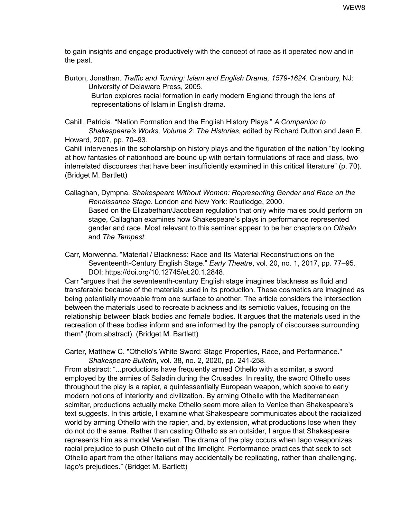to gain insights and engage productively with the concept of race as it operated now and in the past.

Burton, Jonathan. *Traffic and Turning: Islam and English Drama, 1579-1624.* Cranbury, NJ: University of Delaware Press, 2005.

Burton explores racial formation in early modern England through the lens of representations of Islam in English drama.

Cahill, Patricia. "Nation Formation and the English History Plays." *A Companion to Shakespeare's Works, Volume 2: The Histories*, edited by Richard Dutton and Jean E. Howard, 2007, pp. 70–93.

Cahill intervenes in the scholarship on history plays and the figuration of the nation "by looking at how fantasies of nationhood are bound up with certain formulations of race and class, two interrelated discourses that have been insufficiently examined in this critical literature" (p. 70). (Bridget M. Bartlett)

Callaghan, Dympna. *Shakespeare Without Women: Representing Gender and Race on the Renaissance Stage*. London and New York: Routledge, 2000. Based on the Elizabethan/Jacobean regulation that only white males could perform on stage, Callaghan examines how Shakespeare's plays in performance represented gender and race. Most relevant to this seminar appear to be her chapters on *Othello* and *The Tempest*.

Carr, Morwenna. "Material / Blackness: Race and Its Material Reconstructions on the Seventeenth-Century English Stage." *Early Theatre*, vol. 20, no. 1, 2017, pp. 77–95. DOI: https://doi.org/10.12745/et.20.1.2848.

Carr "argues that the seventeenth-century English stage imagines blackness as fluid and transferable because of the materials used in its production. These cosmetics are imagined as being potentially moveable from one surface to another. The article considers the intersection between the materials used to recreate blackness and its semiotic values, focusing on the relationship between black bodies and female bodies. It argues that the materials used in the recreation of these bodies inform and are informed by the panoply of discourses surrounding them" (from abstract). (Bridget M. Bartlett)

Carter, Matthew C. "Othello's White Sword: Stage Properties, Race, and Performance." *Shakespeare Bulletin*, vol. 38, no. 2, 2020, pp. 241-258*.*

From abstract: "...productions have frequently armed Othello with a scimitar, a sword employed by the armies of Saladin during the Crusades. In reality, the sword Othello uses throughout the play is a rapier, a quintessentially European weapon, which spoke to early modern notions of interiority and civilization. By arming Othello with the Mediterranean scimitar, productions actually make Othello seem more alien to Venice than Shakespeare's text suggests. In this article, I examine what Shakespeare communicates about the racialized world by arming Othello with the rapier, and, by extension, what productions lose when they do not do the same. Rather than casting Othello as an outsider, I argue that Shakespeare represents him as a model Venetian. The drama of the play occurs when Iago weaponizes racial prejudice to push Othello out of the limelight. Performance practices that seek to set Othello apart from the other Italians may accidentally be replicating, rather than challenging, Iago's prejudices." (Bridget M. Bartlett)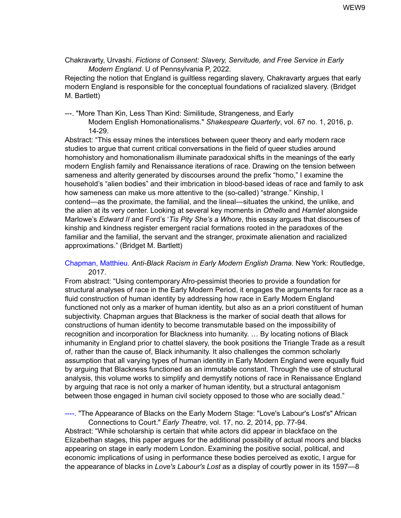Chakravarty, Urvashi. *Fictions of Consent: Slavery, Servitude, and Free Service in Early Modern England*. U of Pennsylvania P, 2022.

Rejecting the notion that England is guiltless regarding slavery, Chakravarty argues that early modern England is responsible for the conceptual foundations of racialized slavery. (Bridget M. Bartlett)

---. "More Than Kin, Less Than Kind: Similitude, Strangeness, and Early

Modern English Homonationalisms." *Shakespeare Quarterly*, vol. 67 no. 1, 2016, p. 14-29.

Abstract: "This essay mines the interstices between queer theory and early modern race studies to argue that current critical conversations in the field of queer studies around homohistory and homonationalism illuminate paradoxical shifts in the meanings of the early modern English family and Renaissance iterations of race. Drawing on the tension between sameness and alterity generated by discourses around the prefix "homo," I examine the household's "alien bodies" and their imbrication in blood-based ideas of race and family to ask how sameness can make us more attentive to the (so-called) "strange." Kinship, I contend—as the proximate, the familial, and the lineal—situates the unkind, the unlike, and the alien at its very center. Looking at several key moments in *Othello* and *Hamlet* alongside Marlowe's *Edward II* and Ford's '*Tis Pity She's a Whore*, this essay argues that discourses of kinship and kindness register emergent racial formations rooted in the paradoxes of the familiar and the familial, the servant and the stranger, proximate alienation and racialized approximations." (Bridget M. Bartlett)

#### Chapman, Matthieu. *Anti-Black Racism in Early Modern English Drama*. New York: Routledge, 2017.

From abstract: "Using contemporary Afro-pessimist theories to provide a foundation for structural analyses of race in the Early Modern Period, it engages the arguments for race as a fluid construction of human identity by addressing how race in Early Modern England functioned not only as a marker of human identity, but also as an a priori constituent of human subjectivity. Chapman argues that Blackness is the marker of social death that allows for constructions of human identity to become transmutable based on the impossibility of recognition and incorporation for Blackness into humanity. … By locating notions of Black inhumanity in England prior to chattel slavery, the book positions the Triangle Trade as a result of, rather than the cause of, Black inhumanity. It also challenges the common scholarly assumption that all varying types of human identity in Early Modern England were equally fluid by arguing that Blackness functioned as an immutable constant. Through the use of structural analysis, this volume works to simplify and demystify notions of race in Renaissance England by arguing that race is not only a marker of human identity, but a structural antagonism between those engaged in human civil society opposed to those who are socially dead."

----. "The Appearance of Blacks on the Early Modern Stage: "Love's Labour's Lost's" African Connections to Court." *Early Theatre*, vol. 17, no. 2, 2014, pp. 77-94.

Abstract: "While scholarship is certain that white actors did appear in blackface on the Elizabethan stages, this paper argues for the additional possibility of actual moors and blacks appearing on stage in early modern London. Examining the positive social, political, and economic implications of using in performance these bodies perceived as exotic, I argue for the appearance of blacks in *Love's Labour's Lost* as a display of courtly power in its 1597—8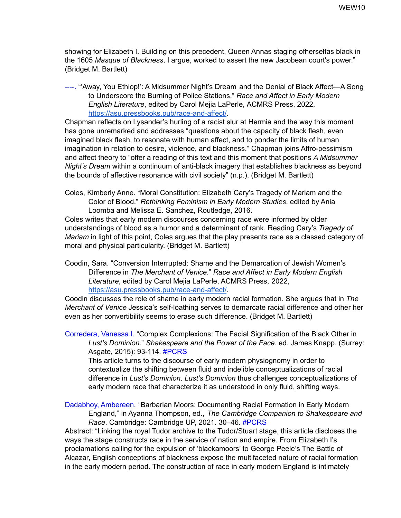showing for Elizabeth I. Building on this precedent, Queen Annas staging ofherselfas black in the 1605 *Masque of Blackness*, I argue, worked to assert the new Jacobean court's power." (Bridget M. Bartlett)

----. "'Away, You Ethiop!': A Midsummer Night's Dream and the Denial of Black Affect—A Song to Underscore the Burning of Police Stations." *Race and Affect in Early Modern English Literature*, edited by Carol Mejia LaPerle, ACMRS Press, 2022[,](https://asu.pressbooks.pub/race-and-affect/) <https://asu.pressbooks.pub/race-and-affect/>.

Chapman reflects on Lysander's hurling of a racist slur at Hermia and the way this moment has gone unremarked and addresses "questions about the capacity of black flesh, even imagined black flesh, to resonate with human affect, and to ponder the limits of human imagination in relation to desire, violence, and blackness." Chapman joins Affro-pessimism and affect theory to "offer a reading of this text and this moment that positions *A Midsummer Night's Dream* within a continuum of anti-black imagery that establishes blackness as beyond the bounds of affective resonance with civil society" (n.p.). (Bridget M. Bartlett)

Coles, Kimberly Anne. "Moral Constitution: Elizabeth Cary's Tragedy of Mariam and the Color of Blood." *Rethinking Feminism in Early Modern Studies*, edited by Ania Loomba and Melissa E. Sanchez, Routledge, 2016.

Coles writes that early modern discourses concerning race were informed by older understandings of blood as a humor and a determinant of rank. Reading Cary's *Tragedy of Mariam* in light of this point, Coles argues that the play presents race as a classed category of moral and physical particularity. (Bridget M. Bartlett)

Coodin, Sara. "Conversion Interrupted: Shame and the Demarcation of Jewish Women's Difference in *The Merchant of Venice*." *Race and Affect in Early Modern English Literature*, edited by Carol Mejia LaPerle, ACMRS Press, 2022[,](https://asu.pressbooks.pub/race-and-affect/) <https://asu.pressbooks.pub/race-and-affect/>.

Coodin discusses the role of shame in early modern racial formation. She argues that in *The Merchant of Venice* Jessica's self-loathing serves to demarcate racial difference and other her even as her convertibility seems to erase such difference. (Bridget M. Bartlett)

Corredera, Vanessa I. "Complex Complexions: The Facial Signification of the Black Other in *Lust's Dominion*." *Shakespeare and the Power of the Face*. ed. James Knapp. (Surrey: Asgate, 2015): 93-114. #PCRS

This article turns to the discourse of early modern physiognomy in order to contextualize the shifting between fluid and indelible conceptualizations of racial difference in *Lust's Dominion*. *Lust's Dominion* thus challenges conceptualizations of early modern race that characterize it as understood in only fluid, shifting ways.

Dadabhoy, Ambereen. "Barbarian Moors: Documenting Racial Formation in Early Modern England," in Ayanna Thompson, ed., *The Cambridge Companion to Shakespeare and Race*. Cambridge: Cambridge UP, 2021. 30–46. #PCRS

Abstract: "Linking the royal Tudor archive to the Tudor/Stuart stage, this article discloses the ways the stage constructs race in the service of nation and empire. From Elizabeth I's proclamations calling for the expulsion of 'blackamoors' to George Peele's The Battle of Alcazar, English conceptions of blackness expose the multifaceted nature of racial formation in the early modern period. The construction of race in early modern England is intimately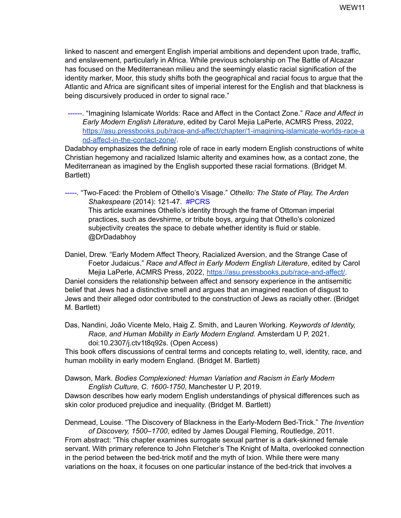linked to nascent and emergent English imperial ambitions and dependent upon trade, traffic, and enslavement, particularly in Africa. While previous scholarship on The Battle of Alcazar has focused on the Mediterranean milieu and the seemingly elastic racial signification of the identity marker, Moor, this study shifts both the geographical and racial focus to argue that the Atlantic and Africa are significant sites of imperial interest for the English and that blackness is being discursively produced in order to signal race."

------. "Imagining Islamicate Worlds: Race and Affect in the Contact Zone." *Race and Affect in Early Modern English Literature*, edited by Carol Mejia LaPerle, ACMRS Press, 2022, [https://asu.pressbooks.pub/race-and-affect/chapter/1-imagining-islamicate-worlds-race-a](https://asu.pressbooks.pub/race-and-affect/chapter/1-imagining-islamicate-worlds-race-and-affect-in-the-contact-zone/) [nd-affect-in-the-contact-zone/](https://asu.pressbooks.pub/race-and-affect/chapter/1-imagining-islamicate-worlds-race-and-affect-in-the-contact-zone/).

Dadabhoy emphasizes the defining role of race in early modern English constructions of white Christian hegemony and racialized Islamic alterity and examines how, as a contact zone, the Mediterranean as imagined by the English supported these racial formations. (Bridget M. Bartlett)

-----. "Two-Faced: the Problem of Othello's Visage." *Othello: The State of Play, The Arden Shakespeare* (2014): 121-47. #PCRS This article examines Othello's identity through the frame of Ottoman imperial practices, such as devshirme, or tribute boys, arguing that Othello's colonized subjectivity creates the space to debate whether identity is fluid or stable. @DrDadabhoy

Daniel, Drew. "Early Modern Affect Theory, Racialized Aversion, and the Strange Case of Foetor Judaicus." *Race and Affect in Early Modern English Literature*, edited by Carol Mejia LaPerle, ACMRS Press, 2022, <https://asu.pressbooks.pub/race-and-affect/>. Daniel considers the relationship between affect and sensory experience in the antisemitic belief that Jews had a distinctive smell and argues that an imagined reaction of disgust to Jews and their alleged odor contributed to the construction of Jews as racially other. (Bridget M. Bartlett)

Das, Nandini, João Vicente Melo, Haig Z. Smith, and Lauren Working. *Keywords of Identity, Race, and Human Mobility in Early Modern England*. Amsterdam U P, 2021. doi:10.2307/j.ctv1t8q92s. (Open Access)

This book offers discussions of central terms and concepts relating to, well, identity, race, and human mobility in early modern England. (Bridget M. Bartlett)

Dawson, Mark. *Bodies Complexioned: Human Variation and Racism in Early Modern English Culture, C. 1600-1750*, Manchester U P, 2019.

Dawson describes how early modern English understandings of physical differences such as skin color produced prejudice and inequality. (Bridget M. Bartlett)

Denmead, Louise. "The Discovery of Blackness in the Early-Modern Bed-Trick." *The Invention of Discovery, 1500–1700*, edited by James Dougal Fleming, Routledge, 2011.

From abstract: "This chapter examines surrogate sexual partner is a dark-skinned female servant. With primary reference to John Fletcher's The Knight of Malta, overlooked connection in the period between the bed-trick motif and the myth of Ixion. While there were many variations on the hoax, it focuses on one particular instance of the bed-trick that involves a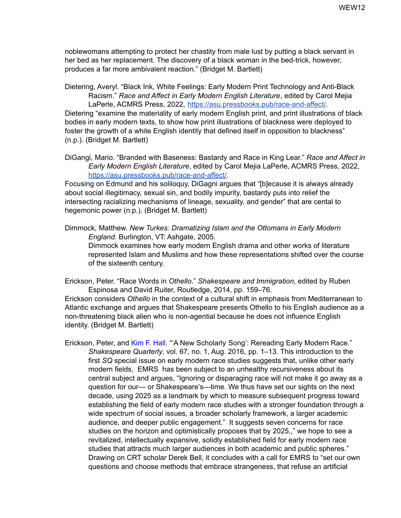noblewomans attempting to protect her chastity from male lust by putting a black servant in her bed as her replacement. The discovery of a black woman in the bed-trick, however, produces a far more ambivalent reaction." (Bridget M. Bartlett)

Dietering, Averyl. "Black Ink, White Feelings: Early Modern Print Technology and Anti-Black Racism." *Race and Affect in Early Modern English Literature*, edited by Carol Mejia LaPerle, ACMRS Press, 2022, [https://asu.pressbooks.pub/race-and-affect/.](https://asu.pressbooks.pub/race-and-affect/) Dietering "examine the materiality of early modern English print, and print illustrations of black

bodies in early modern texts, to show how print illustrations of blackness were deployed to foster the growth of a white English identity that defined itself in opposition to blackness" (n.p.). (Bridget M. Bartlett)

DiGangi, Mario. "Branded with Baseness: Bastardy and Race in King Lear." *Race and Affect in Early Modern English Literature*, edited by Carol Mejia LaPerle, ACMRS Press, 2022, <https://asu.pressbooks.pub/race-and-affect/>.

Focusing on Edmund and his soliloquy, DiGagni argues that "[b]ecause it is always already about social illegitimacy, sexual sin, and bodily impurity, bastardy puts into relief the intersecting racializing mechanisms of lineage, sexuality, and gender" that are cental to hegemonic power (n.p.). (Bridget M. Bartlett)

Dimmock, Matthew. *New Turkes: Dramatizing Islam and the Ottomans in Early Modern England*. Burlington, VT: Ashgate, 2005. Dimmock examines how early modern English drama and other works of literature represented Islam and Muslims and how these representations shifted over the course of the sixteenth century.

Erickson, Peter. "Race Words in *Othello*." *Shakespeare and Immigration*, edited by Ruben Espinosa and David Ruiter, Routledge, 2014, pp. 159–76.

Erickson considers *Othello* in the context of a cultural shift in emphasis from Mediterranean to Atlantic exchange and argues that Shakespeare presents Othello to his English audience as a non-threatening black alien who is non-agential because he does not influence English identity. (Bridget M. Bartlett)

Erickson, Peter, and Kim F. Hall. "A New Scholarly Song': Rereading Early Modern Race." *Shakespeare Quarterly*, vol. 67, no. 1, Aug. 2016, pp. 1–13. This introduction to the first *SQ* special issue on early modern race studies suggests that, unlike other early modern fields, EMRS has been subject to an unhealthy recursiveness about its central subject and argues, "Ignoring or disparaging race will not make it go away as a question for our— or Shakespeare's—time. We thus have set our sights on the next decade, using 2025 as a landmark by which to measure subsequent progress toward establishing the field of early modern race studies with a stronger foundation through a wide spectrum of social issues, a broader scholarly framework, a larger academic audience, and deeper public engagement." It suggests seven concerns for race studies on the horizon and optimistically proposes that by 2025,," we hope to see a revitalized, intellectually expansive, solidly established field for early modern race studies that attracts much larger audiences in both academic and public spheres." Drawing on CRT scholar Derek Bell, it concludes with a call for EMRS to "set our own questions and choose methods that embrace strangeness, that refuse an artificial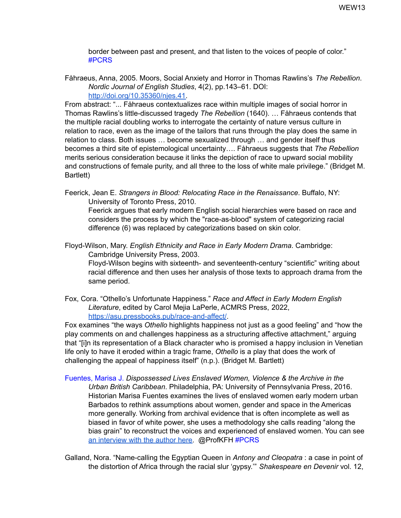border between past and present, and that listen to the voices of people of color." #PCRS

Fåhraeus, Anna, 2005. Moors, Social Anxiety and Horror in Thomas Rawlins's *The Rebellion*. *Nordic Journal of English Studies*, 4(2), pp.143–61. DOI[:](http://doi.org/10.35360/njes.41) [http://doi.org/10.35360/njes.41.](http://doi.org/10.35360/njes.41)

From abstract: "... Fåhraeus contextualizes race within multiple images of social horror in Thomas Rawlins's little-discussed tragedy *The Rebellion* (1640). … Fåhraeus contends that the multiple racial doubling works to interrogate the certainty of nature versus culture in relation to race, even as the image of the tailors that runs through the play does the same in relation to class. Both issues … become sexualized through … and gender itself thus becomes a third site of epistemological uncertainty…. Fåhraeus suggests that *The Rebellion* merits serious consideration because it links the depiction of race to upward social mobility and constructions of female purity, and all three to the loss of white male privilege." (Bridget M. Bartlett)

Feerick, Jean E. *Strangers in Blood: Relocating Race in the Renaissance*. Buffalo, NY: University of Toronto Press, 2010.

Feerick argues that early modern English social hierarchies were based on race and considers the process by which the "race-as-blood" system of categorizing racial difference (6) was replaced by categorizations based on skin color.

Floyd-Wilson, Mary. *English Ethnicity and Race in Early Modern Drama*. Cambridge: Cambridge University Press, 2003.

Floyd-Wilson begins with sixteenth- and seventeenth-century "scientific" writing about racial difference and then uses her analysis of those texts to approach drama from the same period.

Fox, Cora. "Othello's Unfortunate Happiness." *Race and Affect in Early Modern English Literature*, edited by Carol Mejia LaPerle, ACMRS Press, 2022[,](https://asu.pressbooks.pub/race-and-affect/) <https://asu.pressbooks.pub/race-and-affect/>.

Fox examines "the ways *Othello* highlights happiness not just as a good feeling" and "how the play comments on and challenges happiness as a structuring affective attachment," arguing that "[i]n its representation of a Black character who is promised a happy inclusion in Venetian life only to have it eroded within a tragic frame, *Othello* is a play that does the work of challenging the appeal of happiness itself" (n.p.). (Bridget M. Bartlett)

Fuentes, Marisa J. *Dispossessed Lives Enslaved Women, Violence & the Archive in the Urban British Caribbean*. Philadelphia, PA: University of Pennsylvania Press, 2016. Historian Marisa Fuentes examines the lives of enslaved women early modern urban Barbados to rethink assumptions about women, gender and space in the Americas more generally. Working from archival evidence that is often incomplete as well as biased in favor of white power, she uses a methodology she calls reading "along the bias grain" to reconstruct the voices and experienced of enslaved women. You can see an [interview](https://earlyamericanists.com/2017/05/15/qa-marisa-fuentes-dispossessed-lives/) with the author here. @ProfKFH #PCRS

Galland, Nora. "Name-calling the Egyptian Queen in *Antony and Cleopatra* : a case in point of the distortion of Africa through the racial slur 'gypsy.'" *Shakespeare en Devenir* vol. 12,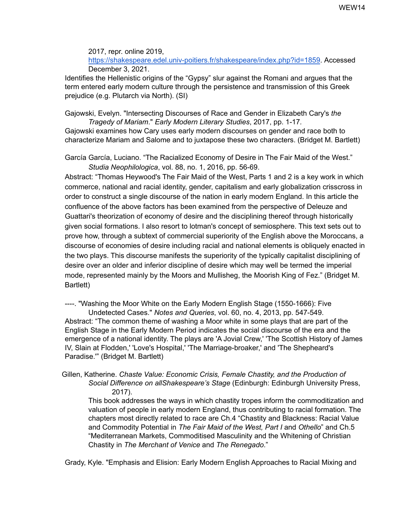2017, repr. online 2019, <https://shakespeare.edel.univ-poitiers.fr/shakespeare/index.php?id=1859>. Accessed December 3, 2021.

Identifies the Hellenistic origins of the "Gypsy" slur against the Romani and argues that the term entered early modern culture through the persistence and transmission of this Greek prejudice (e.g. Plutarch via North). (SI)

Gajowski, Evelyn. "Intersecting Discourses of Race and Gender in Elizabeth Cary's *the Tragedy of Mariam*." *Early Modern Literary Studies*, 2017, pp. 1-17*.*

Gajowski examines how Cary uses early modern discourses on gender and race both to characterize Mariam and Salome and to juxtapose these two characters. (Bridget M. Bartlett)

García García, Luciano. "The Racialized Economy of Desire in The Fair Maid of the West." *Studia Neophilologica*, vol. 88, no. 1, 2016, pp. 56-69.

Abstract: "Thomas Heywood's The Fair Maid of the West, Parts 1 and 2 is a key work in which commerce, national and racial identity, gender, capitalism and early globalization crisscross in order to construct a single discourse of the nation in early modern England. In this article the confluence of the above factors has been examined from the perspective of Deleuze and Guattari's theorization of economy of desire and the disciplining thereof through historically given social formations. I also resort to lotman's concept of semiosphere. This text sets out to prove how, through a subtext of commercial superiority of the English above the Moroccans, a discourse of economies of desire including racial and national elements is obliquely enacted in the two plays. This discourse manifests the superiority of the typically capitalist disciplining of desire over an older and inferior discipline of desire which may well be termed the imperial mode, represented mainly by the Moors and Mullisheg, the Moorish King of Fez." (Bridget M. Bartlett)

----. "Washing the Moor White on the Early Modern English Stage (1550-1666): Five Undetected Cases." *Notes and Queries*, vol. 60, no. 4, 2013, pp. 547-549. Abstract: "The common theme of washing a Moor white in some plays that are part of the English Stage in the Early Modern Period indicates the social discourse of the era and the emergence of a national identity. The plays are 'A Jovial Crew,' 'The Scottish History of James IV, Slain at Flodden,' 'Love's Hospital,' 'The Marriage-broaker,' and 'The Shepheard's Paradise.'" (Bridget M. Bartlett)

Gillen, Katherine. *Chaste Value: Economic Crisis, Female Chastity, and the Production of Social Difference on allShakespeare's Stage* (Edinburgh: Edinburgh University Press, 2017).

This book addresses the ways in which chastity tropes inform the commoditization and valuation of people in early modern England, thus contributing to racial formation. The chapters most directly related to race are Ch.4 "Chastity and Blackness: Racial Value and Commodity Potential in *The Fair Maid of the West, Part I* and *Othello*" and Ch.5 "Mediterranean Markets, Commoditised Masculinity and the Whitening of Christian Chastity in *The Merchant of Venice* and *The Renegado*."

Grady, Kyle. "Emphasis and Elision: Early Modern English Approaches to Racial Mixing and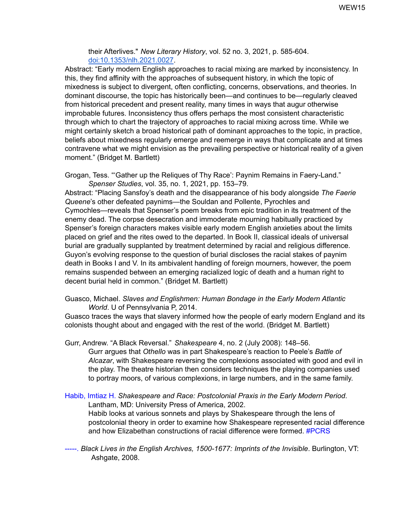their Afterlives." *New Literary History*, vol. 52 no. 3, 2021, p. 585-604. [doi:10.1353/nlh.2021.0027](http://doi.org/10.1353/nlh.2021.0027).

Abstract: "Early modern English approaches to racial mixing are marked by inconsistency. In this, they find affinity with the approaches of subsequent history, in which the topic of mixedness is subject to divergent, often conflicting, concerns, observations, and theories. In dominant discourse, the topic has historically been—and continues to be—regularly cleaved from historical precedent and present reality, many times in ways that augur otherwise improbable futures. Inconsistency thus offers perhaps the most consistent characteristic through which to chart the trajectory of approaches to racial mixing across time. While we might certainly sketch a broad historical path of dominant approaches to the topic, in practice, beliefs about mixedness regularly emerge and reemerge in ways that complicate and at times contravene what we might envision as the prevailing perspective or historical reality of a given moment." (Bridget M. Bartlett)

Grogan, Tess. "'Gather up the Reliques of Thy Race': Paynim Remains in Faery-Land." *Spenser Studies*, vol. 35, no. 1, 2021, pp. 153–79.

Abstract: "Placing Sansfoy's death and the disappearance of his body alongside *The Faerie Queene*'s other defeated paynims—the Souldan and Pollente, Pyrochles and Cymochles—reveals that Spenser's poem breaks from epic tradition in its treatment of the enemy dead. The corpse desecration and immoderate mourning habitually practiced by Spenser's foreign characters makes visible early modern English anxieties about the limits placed on grief and the rites owed to the departed. In Book II, classical ideals of universal burial are gradually supplanted by treatment determined by racial and religious difference. Guyon's evolving response to the question of burial discloses the racial stakes of paynim death in Books I and V. In its ambivalent handling of foreign mourners, however, the poem remains suspended between an emerging racialized logic of death and a human right to decent burial held in common." (Bridget M. Bartlett)

#### Guasco, Michael. *Slaves and Englishmen: Human Bondage in the Early Modern Atlantic World*. U of Pennsylvania P, 2014.

Guasco traces the ways that slavery informed how the people of early modern England and its colonists thought about and engaged with the rest of the world. (Bridget M. Bartlett)

Gurr, Andrew. "A Black Reversal." *Shakespeare* 4, no. 2 (July 2008): 148–56.

Gurr argues that *Othello* was in part Shakespeare's reaction to Peele's *Battle of Alcazar*, with Shakespeare reversing the complexions associated with good and evil in the play. The theatre historian then considers techniques the playing companies used to portray moors, of various complexions, in large numbers, and in the same family.

Habib, Imtiaz H. *Shakespeare and Race: Postcolonial Praxis in the Early Modern Period*. Lantham, MD: University Press of America, 2002. Habib looks at various sonnets and plays by Shakespeare through the lens of postcolonial theory in order to examine how Shakespeare represented racial difference and how Elizabethan constructions of racial difference were formed. #PCRS

-----. *Black Lives in the English Archives, 1500-1677: Imprints of the Invisible*. Burlington, VT: Ashgate, 2008.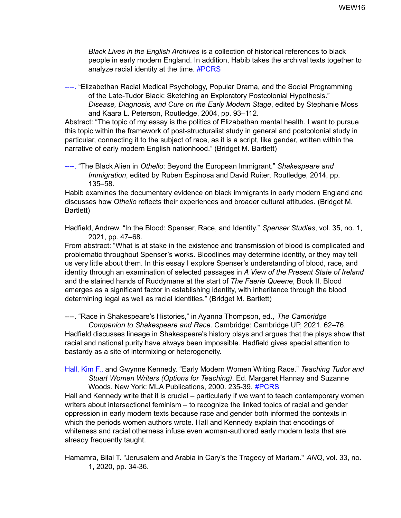*Black Lives in the English Archives* is a collection of historical references to black people in early modern England. In addition, Habib takes the archival texts together to analyze racial identity at the time. #PCRS

----. "Elizabethan Racial Medical Psychology, Popular Drama, and the Social Programming of the Late-Tudor Black: Sketching an Exploratory Postcolonial Hypothesis." *Disease, Diagnosis, and Cure on the Early Modern Stage*, edited by Stephanie Moss and Kaara L. Peterson, Routledge, 2004, pp. 93–112.

Abstract: "The topic of my essay is the politics of Elizabethan mental health. I want to pursue this topic within the framework of post-structuralist study in general and postcolonial study in particular, connecting it to the subject of race, as it is a script, like gender, written within the narrative of early modern English nationhood." (Bridget M. Bartlett)

----. "The Black Alien in *Othello*: Beyond the European Immigrant." *Shakespeare and Immigration*, edited by Ruben Espinosa and David Ruiter, Routledge, 2014, pp. 135–58.

Habib examines the documentary evidence on black immigrants in early modern England and discusses how *Othello* reflects their experiences and broader cultural attitudes. (Bridget M. Bartlett)

Hadfield, Andrew. "In the Blood: Spenser, Race, and Identity." *Spenser Studies*, vol. 35, no. 1, 2021, pp. 47–68.

From abstract: "What is at stake in the existence and transmission of blood is complicated and problematic throughout Spenser's works. Bloodlines may determine identity, or they may tell us very little about them. In this essay I explore Spenser's understanding of blood, race, and identity through an examination of selected passages in *A View of the Present State of Ireland* and the stained hands of Ruddymane at the start of *The Faerie Queene*, Book II. Blood emerges as a significant factor in establishing identity, with inheritance through the blood determining legal as well as racial identities." (Bridget M. Bartlett)

----. "Race in Shakespeare's Histories," in Ayanna Thompson, ed., *The Cambridge Companion to Shakespeare and Race*. Cambridge: Cambridge UP, 2021. 62–76. Hadfield discusses lineage in Shakespeare's history plays and argues that the plays show that racial and national purity have always been impossible. Hadfield gives special attention to bastardy as a site of intermixing or heterogeneity.

#### Hall, Kim F., and Gwynne Kennedy. "Early Modern Women Writing Race." *Teaching Tudor and Stuart Women Writers (Options for Teaching)*. Ed. Margaret Hannay and Suzanne Woods. New York: MLA Publications, 2000. 235-39. #PCRS

Hall and Kennedy write that it is crucial – particularly if we want to teach contemporary women writers about intersectional feminism – to recognize the linked topics of racial and gender oppression in early modern texts because race and gender both informed the contexts in which the periods women authors wrote. Hall and Kennedy explain that encodings of whiteness and racial otherness infuse even woman-authored early modern texts that are already frequently taught.

Hamamra, Bilal T. "Jerusalem and Arabia in Cary's the Tragedy of Mariam." *ANQ*, vol. 33, no. 1, 2020, pp. 34-36.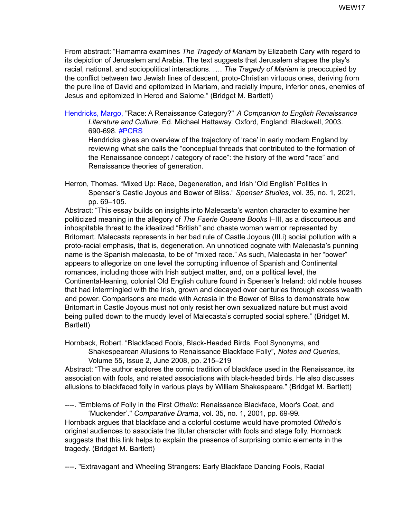From abstract: "Hamamra examines *The Tragedy of Mariam* by Elizabeth Cary with regard to its depiction of Jerusalem and Arabia. The text suggests that Jerusalem shapes the play's racial, national, and sociopolitical interactions. …. *The Tragedy of Mariam* is preoccupied by the conflict between two Jewish lines of descent, proto-Christian virtuous ones, deriving from the pure line of David and epitomized in Mariam, and racially impure, inferior ones, enemies of Jesus and epitomized in Herod and Salome." (Bridget M. Bartlett)

Hendricks, Margo, "Race: A Renaissance Category?" *A Companion to English Renaissance Literature and Culture*, Ed. Michael Hattaway. Oxford, England: Blackwell, 2003. 690-698. #PCRS

Hendricks gives an overview of the trajectory of 'race' in early modern England by reviewing what she calls the "conceptual threads that contributed to the formation of the Renaissance concept / category of race": the history of the word "race" and Renaissance theories of generation.

Herron, Thomas. "Mixed Up: Race, Degeneration, and Irish 'Old English' Politics in Spenser's Castle Joyous and Bower of Bliss." *Spenser Studies*, vol. 35, no. 1, 2021, pp. 69–105.

Abstract: "This essay builds on insights into Malecasta's wanton character to examine her politicized meaning in the allegory of *The Faerie Queene Books* I–III, as a discourteous and inhospitable threat to the idealized "British" and chaste woman warrior represented by Britomart. Malecasta represents in her bad rule of Castle Joyous (III.i) social pollution with a proto-racial emphasis, that is, degeneration. An unnoticed cognate with Malecasta's punning name is the Spanish malecasta, to be of "mixed race." As such, Malecasta in her "bower" appears to allegorize on one level the corrupting influence of Spanish and Continental romances, including those with Irish subject matter, and, on a political level, the Continental-leaning, colonial Old English culture found in Spenser's Ireland: old noble houses that had intermingled with the Irish, grown and decayed over centuries through excess wealth and power. Comparisons are made with Acrasia in the Bower of Bliss to demonstrate how Britomart in Castle Joyous must not only resist her own sexualized nature but must avoid being pulled down to the muddy level of Malecasta's corrupted social sphere." (Bridget M. Bartlett)

Hornback, Robert. "Blackfaced Fools, Black-Headed Birds, Fool Synonyms, and Shakespearean Allusions to Renaissance Blackface Folly", *Notes and Queries*, Volume 55, Issue 2, June 2008, pp. 215–219

Abstract: "The author explores the comic tradition of blackface used in the Renaissance, its association with fools, and related associations with black-headed birds. He also discusses allusions to blackfaced folly in various plays by William Shakespeare." (Bridget M. Bartlett)

----. "Emblems of Folly in the First *Othello*: Renaissance Blackface, Moor's Coat, and 'Muckender'." *Comparative Drama*, vol. 35, no. 1, 2001, pp. 69-99*.*

Hornback argues that blackface and a colorful costume would have prompted *Othello*'s original audiences to associate the titular character with fools and stage folly. Hornback suggests that this link helps to explain the presence of surprising comic elements in the tragedy. (Bridget M. Bartlett)

----. "Extravagant and Wheeling Strangers: Early Blackface Dancing Fools, Racial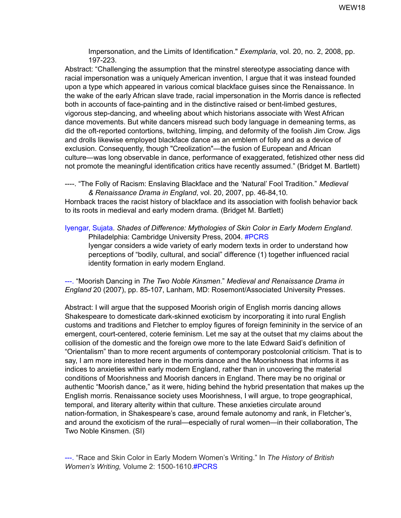Impersonation, and the Limits of Identification." *Exemplaria*, vol. 20, no. 2, 2008, pp. 197-223.

Abstract: "Challenging the assumption that the minstrel stereotype associating dance with racial impersonation was a uniquely American invention, I argue that it was instead founded upon a type which appeared in various comical blackface guises since the Renaissance. In the wake of the early African slave trade, racial impersonation in the Morris dance is reflected both in accounts of face-painting and in the distinctive raised or bent-limbed gestures, vigorous step-dancing, and wheeling about which historians associate with West African dance movements. But white dancers misread such body language in demeaning terms, as did the oft-reported contortions, twitching, limping, and deformity of the foolish Jim Crow. Jigs and drolls likewise employed blackface dance as an emblem of folly and as a device of exclusion. Consequently, though "Creolization"—the fusion of European and African culture—was long observable in dance, performance of exaggerated, fetishized other ness did not promote the meaningful identification critics have recently assumed." (Bridget M. Bartlett)

----. "The Folly of Racism: Enslaving Blackface and the 'Natural' Fool Tradition." *Medieval & Renaissance Drama in England*, vol. 20, 2007, pp. 46-84,10*.*

Hornback traces the racist history of blackface and its association with foolish behavior back to its roots in medieval and early modern drama. (Bridget M. Bartlett)

Iyengar, Sujata. *Shades of Difference: Mythologies of Skin Color in Early Modern England*. Philadelphia: Cambridge University Press, 2004. #PCRS Iyengar considers a wide variety of early modern texts in order to understand how perceptions of "bodily, cultural, and social" difference (1) together influenced racial identity formation in early modern England.

---. "Moorish Dancing in *The Two Noble Kinsmen*." *Medieval and Renaissance Drama in England* 20 (2007), pp. 85-107, Lanham, MD: Rosemont/Associated University Presses.

Abstract: I will argue that the supposed Moorish origin of English morris dancing allows Shakespeare to domesticate dark-skinned exoticism by incorporating it into rural English customs and traditions and Fletcher to employ figures of foreign femininity in the service of an emergent, court-centered, coterie feminism. Let me say at the outset that my claims about the collision of the domestic and the foreign owe more to the late Edward Said's definition of "Orientalism" than to more recent arguments of contemporary postcolonial criticism. That is to say, I am more interested here in the morris dance and the Moorishness that informs it as indices to anxieties within early modern England, rather than in uncovering the material conditions of Moorishness and Moorish dancers in England. There may be no original or authentic "Moorish dance," as it were, hiding behind the hybrid presentation that makes up the English morris. Renaissance society uses Moorishness, I will argue, to trope geographical, temporal, and literary alterity within that culture. These anxieties circulate around nation-formation, in Shakespeare's case, around female autonomy and rank, in Fletcher's, and around the exoticism of the rural—especially of rural women—in their collaboration, The Two Noble Kinsmen. (SI)

---. "Race and Skin Color in Early Modern Women's Writing." In *The History of British Women's Writing,* Volume 2: 1500-1610.#PCRS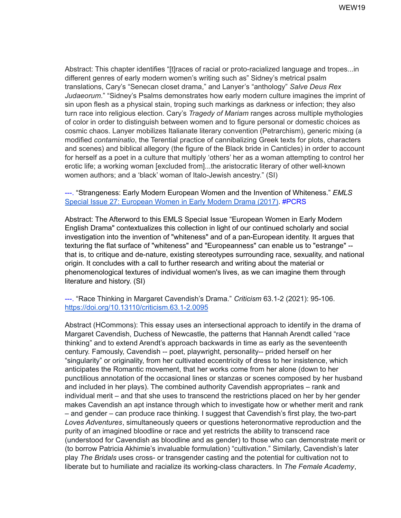Abstract: This chapter identifies "[t]races of racial or proto-racialized language and tropes...in different genres of early modern women's writing such as" Sidney's metrical psalm translations, Cary's "Senecan closet drama," and Lanyer's "anthology" *Salve Deus Rex Judaeorum*." "Sidney's Psalms demonstrates how early modern culture imagines the imprint of sin upon flesh as a physical stain, troping such markings as darkness or infection; they also turn race into religious election. Cary's *Tragedy of Mariam* ranges across multiple mythologies of color in order to distinguish between women and to figure personal or domestic choices as cosmic chaos. Lanyer mobilizes Italianate literary convention (Petrarchism), generic mixing (a modified *contaminatio*, the Terential practice of cannibalizing Greek texts for plots, characters and scenes) and biblical allegory (the figure of the Black bride in Canticles) in order to account for herself as a poet in a culture that multiply 'others' her as a woman attempting to control her erotic life; a working woman [excluded from]...the aristocratic literary of other well-known women authors; and a 'black' woman of Italo-Jewish ancestry." (SI)

---. "Strangeness: Early Modern European Women and the Invention of Whiteness." *EMLS* Special Issue 27: [European](https://extra.shu.ac.uk/emls/journal/index.php/emls/issue/view/16) Women in Early Modern Drama (2017). #PCRS

Abstract: The Afterword to this EMLS Special Issue "European Women in Early Modern English Drama" contextualizes this collection in light of our continued scholarly and social investigation into the invention of "whiteness" and of a pan-European identity. It argues that texturing the flat surface of "whiteness" and "Europeanness" can enable us to "estrange" - that is, to critique and de-nature, existing stereotypes surrounding race, sexuality, and national origin. It concludes with a call to further research and writing about the material or phenomenological textures of individual women's lives, as we can imagine them through literature and history. (SI)

---. "Race Thinking in Margaret Cavendish's Drama." *Criticism* 63.1-2 (2021): 95-106. <https://doi.org/10.13110/criticism.63.1-2.0095>

Abstract (HCommons): This essay uses an intersectional approach to identify in the drama of Margaret Cavendish, Duchess of Newcastle, the patterns that Hannah Arendt called "race thinking" and to extend Arendt's approach backwards in time as early as the seventeenth century. Famously, Cavendish -- poet, playwright, personality-- prided herself on her "singularity" or originality, from her cultivated eccentricity of dress to her insistence, which anticipates the Romantic movement, that her works come from her alone (down to her punctilious annotation of the occasional lines or stanzas or scenes composed by her husband and included in her plays). The combined authority Cavendish appropriates – rank and individual merit – and that she uses to transcend the restrictions placed on her by her gender makes Cavendish an apt instance through which to investigate how or whether merit and rank – and gender – can produce race thinking. I suggest that Cavendish's first play, the two-part *Loves Adventures*, simultaneously queers or questions heteronormative reproduction and the purity of an imagined bloodline or race and yet restricts the ability to transcend race (understood for Cavendish as bloodline and as gender) to those who can demonstrate merit or (to borrow Patricia Akhimie's invaluable formulation) "cultivation." Similarly, Cavendish's later play *The Bridals* uses cross- or transgender casting and the potential for cultivation not to liberate but to humiliate and racialize its working-class characters. In *The Female Academy*,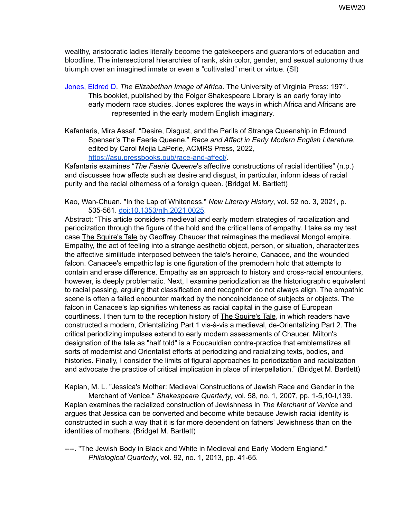wealthy, aristocratic ladies literally become the gatekeepers and guarantors of education and bloodline. The intersectional hierarchies of rank, skin color, gender, and sexual autonomy thus triumph over an imagined innate or even a "cultivated" merit or virtue. (SI)

- Jones, Eldred D. *The Elizabethan Image of Africa*. The University of Virginia Press: 1971. This booklet, published by the Folger Shakespeare Library is an early foray into early modern race studies. Jones explores the ways in which Africa and Africans are represented in the early modern English imaginary.
- Kafantaris, Mira Assaf. "Desire, Disgust, and the Perils of Strange Queenship in Edmund Spenser's The Faerie Queene." *Race and Affect in Early Modern English Literature*, edited by Carol Mejia LaPerle, ACMRS Press, 2022, <https://asu.pressbooks.pub/race-and-affect/>.

Kafantaris examines "*The Faerie Queene*'s affective constructions of racial identities" (n.p.) and discusses how affects such as desire and disgust, in particular, inform ideas of racial purity and the racial otherness of a foreign queen. (Bridget M. Bartlett)

Kao, Wan-Chuan. "In the Lap of Whiteness." *New Literary History*, vol. 52 no. 3, 2021, p. 535-561. [doi:10.1353/nlh.2021.0025.](http://doi.org/10.1353/nlh.2021.0025)

Abstract: "This article considers medieval and early modern strategies of racialization and periodization through the figure of the hold and the critical lens of empathy. I take as my test case The Squire's Tale by Geoffrey Chaucer that reimagines the medieval Mongol empire. Empathy, the act of feeling into a strange aesthetic object, person, or situation, characterizes the affective similitude interposed between the tale's heroine, Canacee, and the wounded falcon. Canacee's empathic lap is one figuration of the premodern hold that attempts to contain and erase difference. Empathy as an approach to history and cross-racial encounters, however, is deeply problematic. Next, I examine periodization as the historiographic equivalent to racial passing, arguing that classification and recognition do not always align. The empathic scene is often a failed encounter marked by the noncoincidence of subjects or objects. The falcon in Canacee's lap signifies whiteness as racial capital in the guise of European courtliness. I then turn to the reception history of The Squire's Tale, in which readers have constructed a modern, Orientalizing Part 1 vis-à-vis a medieval, de-Orientalizing Part 2. The critical periodizing impulses extend to early modern assessments of Chaucer. Milton's designation of the tale as "half told" is a Foucauldian contre-practice that emblematizes all sorts of modernist and Orientalist efforts at periodizing and racializing texts, bodies, and histories. Finally, I consider the limits of figural approaches to periodization and racialization and advocate the practice of critical implication in place of interpellation." (Bridget M. Bartlett)

Kaplan, M. L. "Jessica's Mother: Medieval Constructions of Jewish Race and Gender in the

Merchant of Venice." *Shakespeare Quarterly*, vol. 58, no. 1, 2007, pp. 1-5,10-I,139*.* Kaplan examines the racialized construction of Jewishness in *The Merchant of Venice* and argues that Jessica can be converted and become white because Jewish racial identity is constructed in such a way that it is far more dependent on fathers' Jewishness than on the identities of mothers. (Bridget M. Bartlett)

----. "The Jewish Body in Black and White in Medieval and Early Modern England." *Philological Quarterly*, vol. 92, no. 1, 2013, pp. 41-65*.*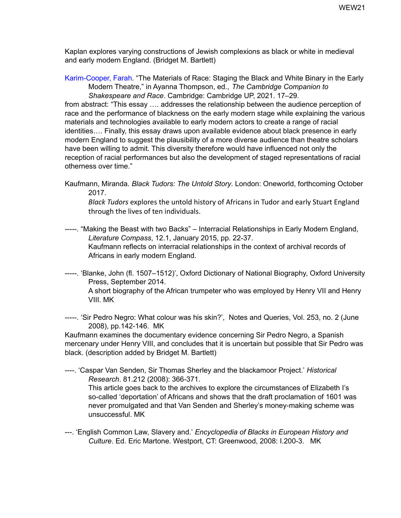Kaplan explores varying constructions of Jewish complexions as black or white in medieval and early modern England. (Bridget M. Bartlett)

Karim-Cooper, Farah. "The Materials of Race: Staging the Black and White Binary in the Early Modern Theatre," in Ayanna Thompson, ed., *The Cambridge Companion to Shakespeare and Race*. Cambridge: Cambridge UP, 2021. 17–29.

from abstract: "This essay …. addresses the relationship between the audience perception of race and the performance of blackness on the early modern stage while explaining the various materials and technologies available to early modern actors to create a range of racial identities…. Finally, this essay draws upon available evidence about black presence in early modern England to suggest the plausibility of a more diverse audience than theatre scholars have been willing to admit. This diversity therefore would have influenced not only the reception of racial performances but also the development of staged representations of racial otherness over time."

Kaufmann, Miranda. *Black Tudors: The Untold Story*. London: Oneworld, forthcoming October 2017.

*Black Tudors* explores the untold history of Africans in Tudor and early Stuart England through the lives of ten individuals.

- -----. "Making the Beast with two Backs" Interracial [Relationships](http://onlinelibrary.wiley.com/enhanced/doi/10.1111/lic3.12200/) in Early Modern England, *Literature Compass*, 12.1, January 2015, pp. 22-37. Kaufmann reflects on interracial relationships in the context of archival records of Africans in early modern England.
- -----. 'Blanke, John (fl. 1507–1512)', Oxford Dictionary of National Biography, Oxford University Press, September 2014.

A short biography of the African trumpeter who was employed by Henry VII and Henry VIII. MK

-----. 'Sir Pedro Negro: What colour was his skin?', Notes and Queries, Vol. 253, no. 2 (June 2008), pp.142-146. MK

Kaufmann examines the documentary evidence concerning Sir Pedro Negro, a Spanish mercenary under Henry VIII, and concludes that it is uncertain but possible that Sir Pedro was black. (description added by Bridget M. Bartlett)

----. 'Caspar Van Senden, Sir Thomas Sherley and the blackamoor Project.' *Historical Research*. 81.212 (2008): 366-371.

This article goes back to the archives to explore the circumstances of Elizabeth I's so-called 'deportation' of Africans and shows that the draft proclamation of 1601 was never promulgated and that Van Senden and Sherley's money-making scheme was unsuccessful. MK

---. 'English Common Law, Slavery and.' *Encyclopedia of Blacks in European History and Culture*. Ed. Eric Martone. Westport, CT: Greenwood, 2008: I.200-3. MK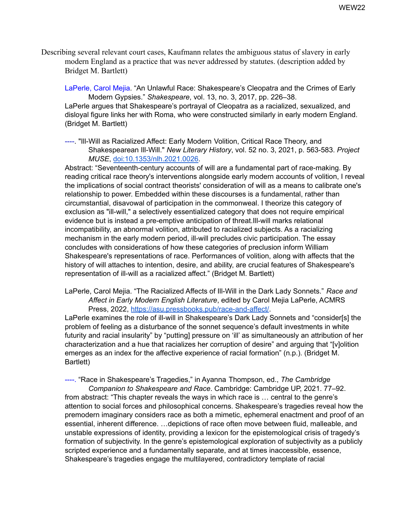Describing several relevant court cases, Kaufmann relates the ambiguous status of slavery in early modern England as a practice that was never addressed by statutes. (description added by Bridget M. Bartlett)

LaPerle, Carol Mejia. "An Unlawful Race: Shakespeare's Cleopatra and the Crimes of Early Modern Gypsies." *Shakespeare*, vol. 13, no. 3, 2017, pp. 226–38. LaPerle argues that Shakespeare's portrayal of Cleopatra as a racialized, sexualized, and disloyal figure links her with Roma, who were constructed similarly in early modern England. (Bridget M. Bartlett)

----. "Ill-Will as Racialized Affect: Early Modern Volition, Critical Race Theory, and Shakespearean Ill-Will." *New Literary History*, vol. 52 no. 3, 2021, p. 563-583. *Project MUSE*, [doi:10.1353/nlh.2021.0026](http://doi.org/10.1353/nlh.2021.0026).

Abstract: "Seventeenth-century accounts of will are a fundamental part of race-making. By reading critical race theory's interventions alongside early modern accounts of volition, I reveal the implications of social contract theorists' consideration of will as a means to calibrate one's relationship to power. Embedded within these discourses is a fundamental, rather than circumstantial, disavowal of participation in the commonweal. I theorize this category of exclusion as "ill-will," a selectively essentialized category that does not require empirical evidence but is instead a pre-emptive anticipation of threat.Ill-will marks relational incompatibility, an abnormal volition, attributed to racialized subjects. As a racializing mechanism in the early modern period, ill-will precludes civic participation. The essay concludes with considerations of how these categories of preclusion inform William Shakespeare's representations of race. Performances of volition, along with affects that the history of will attaches to intention, desire, and ability, are crucial features of Shakespeare's representation of ill-will as a racialized affect." (Bridget M. Bartlett)

LaPerle, Carol Mejia. "The Racialized Affects of Ill-Will in the Dark Lady Sonnets." *Race and Affect in Early Modern English Literature*, edited by Carol Mejia LaPerle, ACMRS Press, 2022, [https://asu.pressbooks.pub/race-and-affect/.](https://asu.pressbooks.pub/race-and-affect/)

LaPerle examines the role of ill-will in Shakespeare's Dark Lady Sonnets and "consider[s] the problem of feeling as a disturbance of the sonnet sequence's default investments in white futurity and racial insularity" by "putting] pressure on 'ill' as simultaneously an attribution of her characterization and a hue that racializes her corruption of desire" and arguing that "[v]olition emerges as an index for the affective experience of racial formation" (n.p.). (Bridget M. Bartlett)

----. "Race in Shakespeare's Tragedies," in Ayanna Thompson, ed., *The Cambridge Companion to Shakespeare and Race*. Cambridge: Cambridge UP, 2021. 77–92.

from abstract: "This chapter reveals the ways in which race is … central to the genre's attention to social forces and philosophical concerns. Shakespeare's tragedies reveal how the premodern imaginary considers race as both a mimetic, ephemeral enactment and proof of an essential, inherent difference. …depictions of race often move between fluid, malleable, and unstable expressions of identity, providing a lexicon for the epistemological crisis of tragedy's formation of subjectivity. In the genre's epistemological exploration of subjectivity as a publicly scripted experience and a fundamentally separate, and at times inaccessible, essence, Shakespeare's tragedies engage the multilayered, contradictory template of racial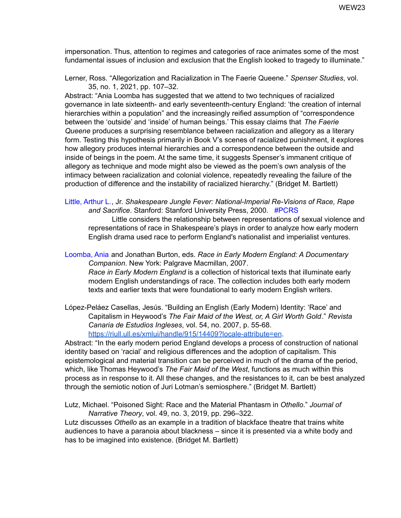impersonation. Thus, attention to regimes and categories of race animates some of the most fundamental issues of inclusion and exclusion that the English looked to tragedy to illuminate."

Lerner, Ross. "Allegorization and Racialization in The Faerie Queene." *Spenser Studies*, vol. 35, no. 1, 2021, pp. 107–32.

Abstract: "Ania Loomba has suggested that we attend to two techniques of racialized governance in late sixteenth- and early seventeenth-century England: 'the creation of internal hierarchies within a population" and the increasingly reified assumption of "correspondence between the 'outside' and 'inside' of human beings.' This essay claims that *The Faerie Queene* produces a surprising resemblance between racialization and allegory as a literary form. Testing this hypothesis primarily in Book V's scenes of racialized punishment, it explores how allegory produces internal hierarchies and a correspondence between the outside and inside of beings in the poem. At the same time, it suggests Spenser's immanent critique of allegory as technique and mode might also be viewed as the poem's own analysis of the intimacy between racialization and colonial violence, repeatedly revealing the failure of the production of difference and the instability of racialized hierarchy." (Bridget M. Bartlett)

Little, Arthur L., Jr. *Shakespeare Jungle Fever: National-Imperial Re-Visions of Race, Rape and Sacrifice.* Stanford: Stanford University Press, 2000. #PCRS

Little considers the relationship between representations of sexual violence and representations of race in Shakespeare's plays in order to analyze how early modern English drama used race to perform England's nationalist and imperialist ventures.

Loomba, Ania and Jonathan Burton, eds. *Race in Early Modern England: A Documentary Companion*. New York: Palgrave Macmillan, 2007. *Race in Early Modern England* is a collection of historical texts that illuminate early modern English understandings of race. The collection includes both early modern texts and earlier texts that were foundational to early modern English writers.

López-Peláez Casellas, Jesús. "Building an English (Early Modern) Identity: 'Race' and Capitalism in Heywood's *The Fair Maid of the West, or, A Girl Worth Gold*." *Revista Canaria de Estudios Ingleses*, vol. 54, no. 2007, p. 55-68. <https://riull.ull.es/xmlui/handle/915/14409?locale-attribute=en>.

Abstract: "In the early modern period England develops a process of construction of national identity based on 'racial' and religious differences and the adoption of capitalism. This epistemological and material transition can be perceived in much of the drama of the period, which, like Thomas Heywood's *The Fair Maid of the West*, functions as much within this process as in response to it. All these changes, and the resistances to it, can be best analyzed through the semiotic notion of Juri Lotman's semiosphere." (Bridget M. Bartlett)

Lutz, Michael. "Poisoned Sight: Race and the Material Phantasm in *Othello*." *Journal of Narrative Theory*, vol. 49, no. 3, 2019, pp. 296–322.

Lutz discusses *Othello* as an example in a tradition of blackface theatre that trains white audiences to have a paranoia about blackness – since it is presented via a white body and has to be imagined into existence. (Bridget M. Bartlett)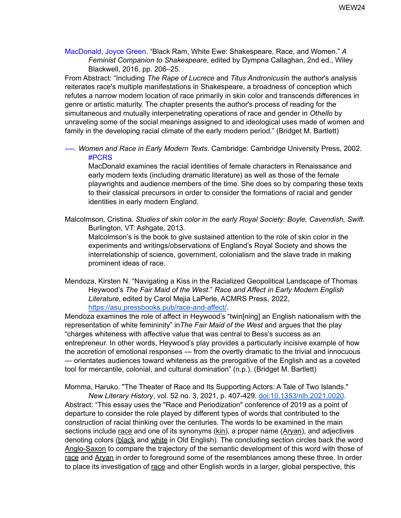MacDonald, Joyce Green. "Black Ram, White Ewe: Shakespeare, Race, and Women." *A Feminist Companion to Shakespeare*, edited by Dympna Callaghan, 2nd ed., Wiley Blackwell, 2016, pp. 206–25.

From Abstract: "Including *The Rape of Lucrece* and *Titus Andronicus*in the author's analysis reiterates race's multiple manifestations in Shakespeare, a broadness of conception which refutes a narrow modern location of race primarily in skin color and transcends differences in genre or artistic maturity. The chapter presents the author's process of reading for the simultaneous and mutually interpenetrating operations of race and gender in *Othello* by unraveling some of the social meanings assigned to and ideological uses made of women and family in the developing racial climate of the early modern period." (Bridget M. Bartlett)

*----. Women and Race in Early Modern Texts*. Cambridge: Cambridge University Press, 2002. #PCRS

MacDonald examines the racial identities of female characters in Renaissance and early modern texts (including dramatic literature) as well as those of the female playwrights and audience members of the time. She does so by comparing these texts to their classical precursors in order to consider the formations of racial and gender identities in early modern England.

Malcolmson, Cristina. *Studies of skin color in the early Royal Society: Boyle, Cavendish, Swift*. Burlington, VT: Ashgate, 2013.

Malcolmson's is the book to give sustained attention to the role of skin color in the experiments and writings/observations of England's Royal Society and shows the interrelationship of science, government, colonialism and the slave trade in making prominent ideas of race.

Mendoza, Kirsten N. "Navigating a Kiss in the Racialized Geopolitical Landscape of Thomas Heywood's *The Fair Maid of the West*." *Race and Affect in Early Modern English Literature*, edited by Carol Mejia LaPerle, ACMRS Press, 2022[,](https://asu.pressbooks.pub/race-and-affect/) <https://asu.pressbooks.pub/race-and-affect/>.

Mendoza examines the role of affect in Heywood's "twin[ning] an English nationalism with the representation of white femininity" in*The Fair Maid of the West* and argues that the play "charges whiteness with affective value that was central to Bess's success as an entrepreneur. In other words, Heywood's play provides a particularly incisive example of how the accretion of emotional responses — from the overtly dramatic to the trivial and innocuous — orientates audiences toward whiteness as the prerogative of the English and as a coveted tool for mercantile, colonial, and cultural domination" (n.p.). (Bridget M. Bartlett)

Momma, Haruko. "The Theater of Race and Its Supporting Actors: A Tale of Two Islands."

*New Literary History*, vol. 52 no. 3, 2021, p. 407-429. [doi:10.1353/nlh.2021.0020](http://doi.org/10.1353/nlh.2021.0020). Abstract: "This essay uses the "Race and Periodization" conference of 2019 as a point of departure to consider the role played by different types of words that contributed to the construction of racial thinking over the centuries. The words to be examined in the main sections include race and one of its synonyms (kin), a proper name (Aryan), and adjectives denoting colors (black and white in Old English). The concluding section circles back the word Anglo-Saxon to compare the trajectory of the semantic development of this word with those of race and Aryan in order to foreground some of the resemblances among these three. In order to place its investigation of race and other English words in a larger, global perspective, this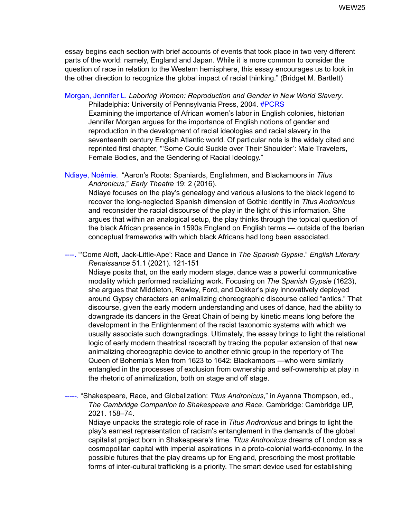essay begins each section with brief accounts of events that took place in two very different parts of the world: namely, England and Japan. While it is more common to consider the question of race in relation to the Western hemisphere, this essay encourages us to look in the other direction to recognize the global impact of racial thinking." (Bridget M. Bartlett)

Morgan, Jennifer L. *Laboring Women: Reproduction and Gender in New World Slavery*. Philadelphia: University of Pennsylvania Press, 2004. #PCRS

Examining the importance of African women's labor in English colonies, historian Jennifer Morgan argues for the importance of English notions of gender and reproduction in the development of racial ideologies and racial slavery in the seventeenth century English Atlantic world. Of particular note is the widely cited and reprinted first chapter, "'Some Could Suckle over Their Shoulder': Male Travelers, Female Bodies, and the Gendering of Racial Ideology."

Ndiaye, Noémie. "Aaron's Roots: Spaniards, Englishmen, and Blackamoors in *Titus Andronicus,*" *Early Theatre* 19: 2 (2016).

Ndiaye focuses on the play's genealogy and various allusions to the black legend to recover the long-neglected Spanish dimension of Gothic identity in *Titus Andronicus* and reconsider the racial discourse of the play in the light of this information. She argues that within an analogical setup, the play thinks through the topical question of the black African presence in 1590s England on English terms — outside of the Iberian conceptual frameworks with which black Africans had long been associated.

----. "'Come Aloft, Jack-Little-Ape': Race and Dance in *The Spanish Gypsie*." *English Literary Renaissance* 51.1 (2021). 121-151

Ndiaye posits that, on the early modern stage, dance was a powerful communicative modality which performed racializing work. Focusing on *The Spanish Gypsie* (1623), she argues that Middleton, Rowley, Ford, and Dekker's play innovatively deployed around Gypsy characters an animalizing choreographic discourse called "antics." That discourse, given the early modern understanding and uses of dance, had the ability to downgrade its dancers in the Great Chain of being by kinetic means long before the development in the Enlightenment of the racist taxonomic systems with which we usually associate such downgradings. Ultimately, the essay brings to light the relational logic of early modern theatrical racecraft by tracing the popular extension of that new animalizing choreographic device to another ethnic group in the repertory of The Queen of Bohemia's Men from 1623 to 1642: Blackamoors —who were similarly entangled in the processes of exclusion from ownership and self-ownership at play in the rhetoric of animalization, both on stage and off stage.

-----. "Shakespeare, Race, and Globalization: *Titus Andronicus*," in Ayanna Thompson, ed., *The Cambridge Companion to Shakespeare and Race*. Cambridge: Cambridge UP, 2021. 158–74.

Ndiaye unpacks the strategic role of race in *Titus Andronicus* and brings to light the play's earnest representation of racism's entanglement in the demands of the global capitalist project born in Shakespeare's time. *Titus Andronicus* dreams of London as a cosmopolitan capital with imperial aspirations in a proto-colonial world-economy. In the possible futures that the play dreams up for England, prescribing the most profitable forms of inter-cultural trafficking is a priority. The smart device used for establishing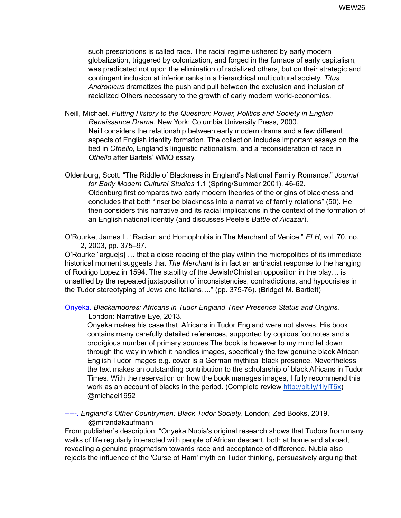such prescriptions is called race. The racial regime ushered by early modern globalization, triggered by colonization, and forged in the furnace of early capitalism, was predicated not upon the elimination of racialized others, but on their strategic and contingent inclusion at inferior ranks in a hierarchical multicultural society. *Titus Andronicus* dramatizes the push and pull between the exclusion and inclusion of racialized Others necessary to the growth of early modern world-economies.

Neill, Michael. *Putting History to the Question: Power, Politics and Society in English Renaissance Drama*. New York: Columbia University Press, 2000. Neill considers the relationship between early modern drama and a few different aspects of English identity formation. The collection includes important essays on the bed in *Othello*, England's linguistic nationalism, and a reconsideration of race in *Othello* after Bartels' WMQ essay.

Oldenburg, Scott. "The Riddle of Blackness in England's National Family Romance." *Journal for Early Modern Cultural Studies* 1.1 (Spring/Summer 2001), 46-62. Oldenburg first compares two early modern theories of the origins of blackness and concludes that both "inscribe blackness into a narrative of family relations" (50). He then considers this narrative and its racial implications in the context of the formation of an English national identity (and discusses Peele's *Battle of Alcazar*).

O'Rourke, James L. "Racism and Homophobia in The Merchant of Venice." *ELH*, vol. 70, no. 2, 2003, pp. 375–97.

O'Rourke "argue[s] … that a close reading of the play within the micropolitics of its immediate historical moment suggests that *The Merchant* is in fact an antiracist response to the hanging of Rodrigo Lopez in 1594. The stability of the Jewish/Christian opposition in the play… is unsettled by the repeated juxtaposition of inconsistencies, contradictions, and hypocrisies in the Tudor stereotyping of Jews and Italians…." (pp. 375-76). (Bridget M. Bartlett)

Onyeka. *Blackamoores: Africans in Tudor England Their Presence Status and Origins.* London: Narrative Eye, 2013.

Onyeka makes his case that Africans in Tudor England were not slaves. His book contains many carefully detailed references, supported by copious footnotes and a prodigious number of primary sources.The book is however to my mind let down through the way in which it handles images, specifically the few genuine black African English Tudor images e.g. cover is a German mythical black presence. Nevertheless the text makes an outstanding contribution to the scholarship of black Africans in Tudor Times. With the reservation on how the book manages images, I fully recommend this work as an account of blacks in the period. (Complete review [http://bit.ly/1iyiT6x\)](http://bit.ly/1iyiT6x) @michael1952

-----. *England's Other Countrymen: Black Tudor Society*. London; Zed Books, 2019. @mirandakaufmann

From publisher's description: "Onyeka Nubia's original research shows that Tudors from many walks of life regularly interacted with people of African descent, both at home and abroad, revealing a genuine pragmatism towards race and acceptance of difference. Nubia also rejects the influence of the 'Curse of Ham' myth on Tudor thinking, persuasively arguing that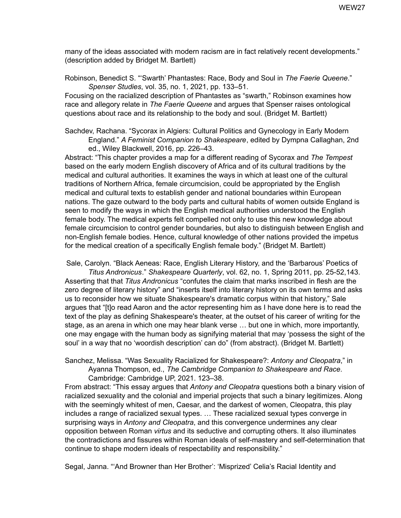many of the ideas associated with modern racism are in fact relatively recent developments." (description added by Bridget M. Bartlett)

Robinson, Benedict S. "'Swarth' Phantastes: Race, Body and Soul in *The Faerie Queene*." *Spenser Studies*, vol. 35, no. 1, 2021, pp. 133–51.

Focusing on the racialized description of Phantastes as "swarth," Robinson examines how race and allegory relate in *The Faerie Queene* and argues that Spenser raises ontological questions about race and its relationship to the body and soul. (Bridget M. Bartlett)

Sachdev, Rachana. "Sycorax in Algiers: Cultural Politics and Gynecology in Early Modern England." *A Feminist Companion to Shakespeare*, edited by Dympna Callaghan, 2nd ed., Wiley Blackwell, 2016, pp. 226–43.

Abstract: "This chapter provides a map for a different reading of Sycorax and *The Tempest* based on the early modern English discovery of Africa and of its cultural traditions by the medical and cultural authorities. It examines the ways in which at least one of the cultural traditions of Northern Africa, female circumcision, could be appropriated by the English medical and cultural texts to establish gender and national boundaries within European nations. The gaze outward to the body parts and cultural habits of women outside England is seen to modify the ways in which the English medical authorities understood the English female body. The medical experts felt compelled not only to use this new knowledge about female circumcision to control gender boundaries, but also to distinguish between English and non-English female bodies. Hence, cultural knowledge of other nations provided the impetus for the medical creation of a specifically English female body." (Bridget M. Bartlett)

Sale, Carolyn. "Black Aeneas: Race, English Literary History, and the 'Barbarous' Poetics of *Titus Andronicus*." *Shakespeare Quarterly*, vol. 62, no. 1, Spring 2011, pp. 25-52,143. Asserting that that *Titus Andronicus* "confutes the claim that marks inscribed in flesh are the zero degree of literary history" and "inserts itself into literary history on its own terms and asks us to reconsider how we situate Shakespeare's dramatic corpus within that history," Sale argues that "[t]o read Aaron and the actor representing him as I have done here is to read the text of the play as defining Shakespeare's theater, at the outset of his career of writing for the stage, as an arena in which one may hear blank verse … but one in which, more importantly, one may engage with the human body as signifying material that may 'possess the sight of the soul' in a way that no 'woordish description' can do" (from abstract). (Bridget M. Bartlett)

Sanchez, Melissa. "Was Sexuality Racialized for Shakespeare?: *Antony and Cleopatra*," in Ayanna Thompson, ed., *The Cambridge Companion to Shakespeare and Race*. Cambridge: Cambridge UP, 2021. 123–38.

From abstract: "This essay argues that *Antony and Cleopatra* questions both a binary vision of racialized sexuality and the colonial and imperial projects that such a binary legitimizes. Along with the seemingly whitest of men, Caesar, and the darkest of women, Cleopatra, this play includes a range of racialized sexual types. … These racialized sexual types converge in surprising ways in *Antony and Cleopatra*, and this convergence undermines any clear opposition between Roman *virtus* and its seductive and corrupting others. It also illuminates the contradictions and fissures within Roman ideals of self-mastery and self-determination that continue to shape modern ideals of respectability and responsibility."

Segal, Janna. "'And Browner than Her Brother': 'Misprized' Celia's Racial Identity and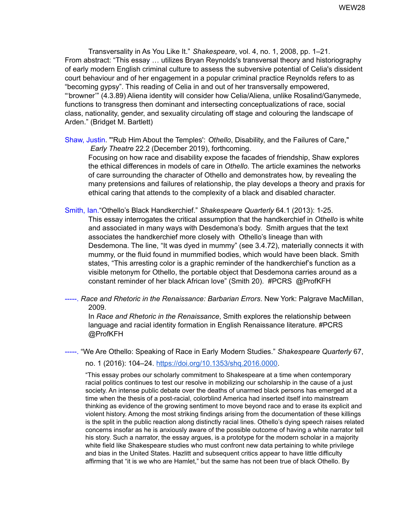Transversality in As You Like It." *Shakespeare*, vol. 4, no. 1, 2008, pp. 1–21. From abstract: "This essay … utilizes Bryan Reynolds's transversal theory and historiography of early modern English criminal culture to assess the subversive potential of Celia's dissident court behaviour and of her engagement in a popular criminal practice Reynolds refers to as "becoming gypsy". This reading of Celia in and out of her transversally empowered, "'browner'" (4.3.89) Aliena identity will consider how Celia/Aliena, unlike Rosalind/Ganymede, functions to transgress then dominant and intersecting conceptualizations of race, social class, nationality, gender, and sexuality circulating off stage and colouring the landscape of Arden." (Bridget M. Bartlett)

Shaw, Justin. "'Rub Him About the Temples': *Othello*, Disability, and the Failures of Care," *Early Theatre* 22.2 (December 2019), forthcoming. Focusing on how race and disability expose the facades of friendship, Shaw explores the ethical differences in models of care in *Othello*. The article examines the networks of care surrounding the character of Othello and demonstrates how, by revealing the many pretensions and failures of relationship, the play develops a theory and praxis for ethical caring that attends to the complexity of a black and disabled character.

Smith, Ian."Othello's Black Handkerchief." *Shakespeare Quarterly* 64.1 (2013): 1-25. This essay interrogates the critical assumption that the handkerchief in *Othello* is white and associated in many ways with Desdemona's body. Smith argues that the text associates the handkerchief more closely with Othello's lineage than with Desdemona. The line, "It was dyed in mummy" (see 3.4.72), materially connects it with mummy, or the fluid found in mummified bodies, which would have been black. Smith states, "This arresting color is a graphic reminder of the handkerchief's function as a visible metonym for Othello, the portable object that Desdemona carries around as a constant reminder of her black African love" (Smith 20). #PCRS @ProfKFH

-----. *Race and Rhetoric in the Renaissance: Barbarian Errors*. New York: Palgrave MacMillan, 2009.

In *Race and Rhetoric in the Renaissance*, Smith explores the relationship between language and racial identity formation in English Renaissance literature. #PCRS @ProfKFH

-----. "We Are Othello: Speaking of Race in Early Modern Studies." *Shakespeare Quarterly* 67,

no. 1 (2016): 104–24. [https://doi.org/10.1353/shq.2016.0000.](https://doi.org/10.1353/shq.2016.0000)

"This essay probes our scholarly commitment to Shakespeare at a time when contemporary racial politics continues to test our resolve in mobilizing our scholarship in the cause of a just society. An intense public debate over the deaths of unarmed black persons has emerged at a time when the thesis of a post-racial, colorblind America had inserted itself into mainstream thinking as evidence of the growing sentiment to move beyond race and to erase its explicit and violent history. Among the most striking findings arising from the documentation of these killings is the split in the public reaction along distinctly racial lines. Othello's dying speech raises related concerns insofar as he is anxiously aware of the possible outcome of having a white narrator tell his story. Such a narrator, the essay argues, is a prototype for the modern scholar in a majority white field like Shakespeare studies who must confront new data pertaining to white privilege and bias in the United States. Hazlitt and subsequent critics appear to have little difficulty affirming that "it is we who are Hamlet," but the same has not been true of black Othello. By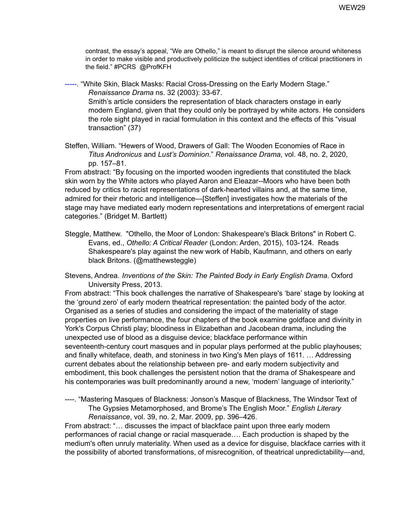contrast, the essay's appeal, "We are Othello," is meant to disrupt the silence around whiteness in order to make visible and productively politicize the subject identities of critical practitioners in the field." #PCRS @ProfKFH

-----. "White Skin, Black Masks: Racial Cross-Dressing on the Early Modern Stage." *Renaissance Drama* ns. 32 (2003): 33-67. Smith's article considers the representation of black characters onstage in early modern England, given that they could only be portrayed by white actors. He considers the role sight played in racial formulation in this context and the effects of this "visual transaction" (37)

Steffen, William. "Hewers of Wood, Drawers of Gall: The Wooden Economies of Race in *Titus Andronicus* and *Lust's Dominion*." *Renaissance Drama*, vol. 48, no. 2, 2020, pp. 157–81.

From abstract: "By focusing on the imported wooden ingredients that constituted the black skin worn by the White actors who played Aaron and Eleazar--Moors who have been both reduced by critics to racist representations of dark-hearted villains and, at the same time, admired for their rhetoric and intelligence—[Steffen] investigates how the materials of the stage may have mediated early modern representations and interpretations of emergent racial categories." (Bridget M. Bartlett)

Steggle, Matthew. "Othello, the Moor of London: Shakespeare's Black Britons" in Robert C. Evans, ed., *Othello: A Critical Reader* (London: Arden, 2015), 103-124. Reads Shakespeare's play against the new work of Habib, Kaufmann, and others on early black Britons. (@matthewsteggle)

Stevens, Andrea. *Inventions of the Skin: The Painted Body in Early English Drama*. Oxford University Press, 2013.

From abstract: "This book challenges the narrative of Shakespeare's 'bare' stage by looking at the 'ground zero' of early modern theatrical representation: the painted body of the actor. Organised as a series of studies and considering the impact of the materiality of stage properties on live performance, the four chapters of the book examine goldface and divinity in York's Corpus Christi play; bloodiness in Elizabethan and Jacobean drama, including the unexpected use of blood as a disguise device; blackface performance within seventeenth-century court masques and in popular plays performed at the public playhouses; and finally whiteface, death, and stoniness in two King's Men plays of 1611. … Addressing current debates about the relationship between pre- and early modern subjectivity and embodiment, this book challenges the persistent notion that the drama of Shakespeare and his contemporaries was built predominantly around a new, 'modern' language of interiority."

----. "Mastering Masques of Blackness: Jonson's Masque of Blackness, The Windsor Text of The Gypsies Metamorphosed, and Brome's The English Moor." *English Literary Renaissance*, vol. 39, no. 2, Mar. 2009, pp. 396–426.

From abstract: "… discusses the impact of blackface paint upon three early modern performances of racial change or racial masquerade…. Each production is shaped by the medium's often unruly materiality. When used as a device for disguise, blackface carries with it the possibility of aborted transformations, of misrecognition, of theatrical unpredictability—and,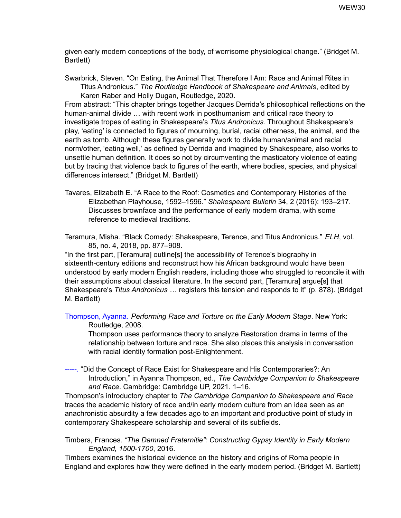given early modern conceptions of the body, of worrisome physiological change." (Bridget M. Bartlett)

Swarbrick, Steven. "On Eating, the Animal That Therefore I Am: Race and Animal Rites in Titus Andronicus." *The Routledge Handbook of Shakespeare and Animals*, edited by Karen Raber and Holly Dugan, Routledge, 2020.

From abstract: "This chapter brings together Jacques Derrida's philosophical reflections on the human-animal divide … with recent work in posthumanism and critical race theory to investigate tropes of eating in Shakespeare's *Titus Andronicus*. Throughout Shakespeare's play, 'eating' is connected to figures of mourning, burial, racial otherness, the animal, and the earth as tomb. Although these figures generally work to divide human/animal and racial norm/other, 'eating well,' as defined by Derrida and imagined by Shakespeare, also works to unsettle human definition. It does so not by circumventing the masticatory violence of eating but by tracing that violence back to figures of the earth, where bodies, species, and physical differences intersect." (Bridget M. Bartlett)

Tavares, Elizabeth E. "A Race to the Roof: Cosmetics and Contemporary Histories of the Elizabethan Playhouse, 1592–1596." *Shakespeare Bulletin* 34, 2 (2016): 193–217. Discusses brownface and the performance of early modern drama, with some reference to medieval traditions.

Teramura, Misha. "Black Comedy: Shakespeare, Terence, and Titus Andronicus." *ELH*, vol. 85, no. 4, 2018, pp. 877–908.

"In the first part, [Teramura] outline[s] the accessibility of Terence's biography in sixteenth-century editions and reconstruct how his African background would have been understood by early modern English readers, including those who struggled to reconcile it with their assumptions about classical literature. In the second part, [Teramura] argue[s] that Shakespeare's *Titus Andronicus* … registers this tension and responds to it" (p. 878). (Bridget M. Bartlett)

Thompson, Ayanna. *Performing Race and Torture on the Early Modern Stage*. New York: Routledge, 2008.

Thompson uses performance theory to analyze Restoration drama in terms of the relationship between torture and race. She also places this analysis in conversation with racial identity formation post-Enlightenment.

-----. "Did the Concept of Race Exist for Shakespeare and His Contemporaries?: An Introduction," in Ayanna Thompson, ed., *The Cambridge Companion to Shakespeare and Race*. Cambridge: Cambridge UP, 2021. 1–16.

Thompson's introductory chapter to *The Cambridge Companion to Shakespeare and Race* traces the academic history of race and/in early modern culture from an idea seen as an anachronistic absurdity a few decades ago to an important and productive point of study in contemporary Shakespeare scholarship and several of its subfields.

Timbers, Frances. *"The Damned Fraternitie": Constructing Gypsy Identity in Early Modern England, 1500-1700*, 2016.

Timbers examines the historical evidence on the history and origins of Roma people in England and explores how they were defined in the early modern period. (Bridget M. Bartlett)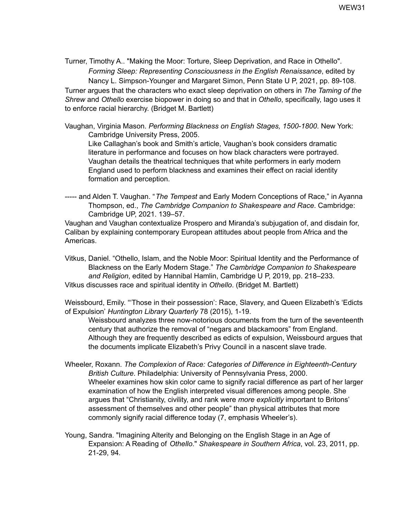Turner, Timothy A.. "Making the Moor: Torture, Sleep Deprivation, and Race in Othello". *Forming Sleep: Representing Consciousness in the English Renaissance*, edited by Nancy L. Simpson-Younger and Margaret Simon, Penn State U P, 2021, pp. 89-108. Turner argues that the characters who exact sleep deprivation on others in *The Taming of the Shrew* and *Othello* exercise biopower in doing so and that in *Othello*, specifically, Iago uses it to enforce racial hierarchy. (Bridget M. Bartlett)

Vaughan, Virginia Mason. *Performing Blackness on English Stages, 1500-1800*. New York: Cambridge University Press, 2005.

Like Callaghan's book and Smith's article, Vaughan's book considers dramatic literature in performance and focuses on how black characters were portrayed. Vaughan details the theatrical techniques that white performers in early modern England used to perform blackness and examines their effect on racial identity formation and perception.

----- and Alden T. Vaughan. "*The Tempest* and Early Modern Conceptions of Race," in Ayanna Thompson, ed., *The Cambridge Companion to Shakespeare and Race*. Cambridge: Cambridge UP, 2021. 139–57.

Vaughan and Vaughan contextualize Prospero and Miranda's subjugation of, and disdain for, Caliban by explaining contemporary European attitudes about people from Africa and the Americas.

Vitkus, Daniel. "Othello, Islam, and the Noble Moor: Spiritual Identity and the Performance of Blackness on the Early Modern Stage." *The Cambridge Companion to Shakespeare and Religion*, edited by Hannibal Hamlin, Cambridge U P, 2019, pp. 218–233. Vitkus discusses race and spiritual identity in *Othello*. (Bridget M. Bartlett)

Weissbourd, Emily. "'Those in their possession': Race, Slavery, and Queen Elizabeth's 'Edicts of Expulsion' *Huntington Library Quarterly* 78 (2015), 1-19.

Weissbourd analyzes three now-notorious documents from the turn of the seventeenth century that authorize the removal of "negars and blackamoors" from England. Although they are frequently described as edicts of expulsion, Weissbourd argues that the documents implicate Elizabeth's Privy Council in a nascent slave trade.

- Wheeler, Roxann. *The Complexion of Race: Categories of Difference in Eighteenth-Century British Culture*. Philadelphia: University of Pennsylvania Press, 2000. Wheeler examines how skin color came to signify racial difference as part of her larger examination of how the English interpreted visual differences among people. She argues that "Christianity, civility, and rank were *more explicitly* important to Britons' assessment of themselves and other people" than physical attributes that more commonly signify racial difference today (7, emphasis Wheeler's).
- Young, Sandra. "Imagining Alterity and Belonging on the English Stage in an Age of Expansion: A Reading of *Othello*." *Shakespeare in Southern Africa*, vol. 23, 2011, pp. 21-29, 94*.*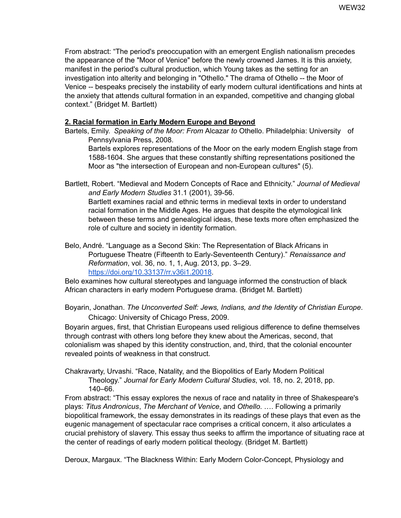From abstract: "The period's preoccupation with an emergent English nationalism precedes the appearance of the "Moor of Venice" before the newly crowned James. It is this anxiety, manifest in the period's cultural production, which Young takes as the setting for an investigation into alterity and belonging in "Othello." The drama of Othello -- the Moor of Venice -- bespeaks precisely the instability of early modern cultural identifications and hints at the anxiety that attends cultural formation in an expanded, competitive and changing global context." (Bridget M. Bartlett)

### <span id="page-31-0"></span>**2. Racial formation in Early Modern Europe and Beyond**

Bartels, Emily. *Speaking of the Moor: From* Alcazar *to* Othello. Philadelphia: University of Pennsylvania Press, 2008.

Bartels explores representations of the Moor on the early modern English stage from 1588-1604. She argues that these constantly shifting representations positioned the Moor as "the intersection of European and non-European cultures" (5).

Bartlett, Robert. "Medieval and Modern Concepts of Race and Ethnicity." *Journal of Medieval and Early Modern Studies* 31.1 (2001), 39-56. Bartlett examines racial and ethnic terms in medieval texts in order to understand racial formation in the Middle Ages. He argues that despite the etymological link between these terms and genealogical ideas, these texts more often emphasized the role of culture and society in identity formation.

Belo, André. "Language as a Second Skin: The Representation of Black Africans in Portuguese Theatre (Fifteenth to Early-Seventeenth Century)." *Renaissance and Reformation*, vol. 36, no. 1, 1, Aug. 2013, pp. 3–29. <https://doi.org/10.33137/rr.v36i1.20018>.

Belo examines how cultural stereotypes and language informed the construction of black African characters in early modern Portuguese drama. (Bridget M. Bartlett)

Boyarin, Jonathan. *The Unconverted Self: Jews, Indians, and the Identity of Christian Europe*. Chicago: University of Chicago Press, 2009.

Boyarin argues, first, that Christian Europeans used religious difference to define themselves through contrast with others long before they knew about the Americas, second, that colonialism was shaped by this identity construction, and, third, that the colonial encounter revealed points of weakness in that construct.

Chakravarty, Urvashi. "Race, Natality, and the Biopolitics of Early Modern Political Theology." *Journal for Early Modern Cultural Studies*, vol. 18, no. 2, 2018, pp. 140–66.

From abstract: "This essay explores the nexus of race and natality in three of Shakespeare's plays: *Titus Andronicus*, *The Merchant of Venice*, and *Othello*. …. Following a primarily biopolitical framework, the essay demonstrates in its readings of these plays that even as the eugenic management of spectacular race comprises a critical concern, it also articulates a crucial prehistory of slavery. This essay thus seeks to affirm the importance of situating race at the center of readings of early modern political theology. (Bridget M. Bartlett)

Deroux, Margaux. "The Blackness Within: Early Modern Color-Concept, Physiology and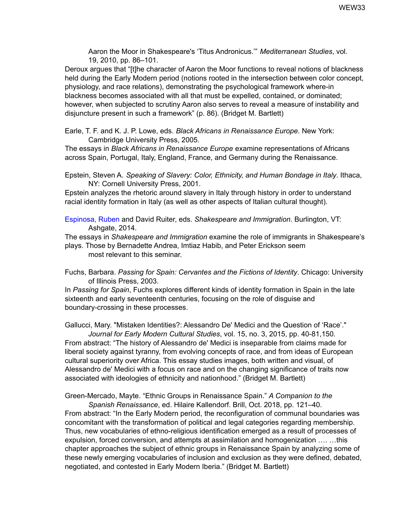Aaron the Moor in Shakespeare's 'Titus Andronicus.'" *Mediterranean Studies*, vol. 19, 2010, pp. 86–101.

Deroux argues that "[t]he character of Aaron the Moor functions to reveal notions of blackness held during the Early Modern period (notions rooted in the intersection between color concept, physiology, and race relations), demonstrating the psychological framework where-in blackness becomes associated with all that must be expelled, contained, or dominated; however, when subjected to scrutiny Aaron also serves to reveal a measure of instability and disjuncture present in such a framework" (p. 86). (Bridget M. Bartlett)

Earle, T. F. and K. J. P. Lowe, eds. *Black Africans in Renaissance Europe*. New York: Cambridge University Press, 2005.

The essays in *Black Africans in Renaissance Europe* examine representations of Africans across Spain, Portugal, Italy, England, France, and Germany during the Renaissance.

Epstein, Steven A. *Speaking of Slavery: Color, Ethnicity, and Human Bondage in Italy*. Ithaca, NY: Cornell University Press, 2001.

Epstein analyzes the rhetoric around slavery in Italy through history in order to understand racial identity formation in Italy (as well as other aspects of Italian cultural thought).

Espinosa, Ruben and David Ruiter, eds. *Shakespeare and Immigration*. Burlington, VT: Ashgate, 2014.

The essays in *Shakespeare and Immigration* examine the role of immigrants in Shakespeare's plays. Those by Bernadette Andrea, Imtiaz Habib, and Peter Erickson seem most relevant to this seminar.

Fuchs, Barbara. *Passing for Spain: Cervantes and the Fictions of Identity*. Chicago: University of Illinois Press, 2003.

In *Passing for Spain*, Fuchs explores different kinds of identity formation in Spain in the late sixteenth and early seventeenth centuries, focusing on the role of disguise and boundary-crossing in these processes.

Gallucci, Mary. "Mistaken Identities?: Alessandro De' Medici and the Question of 'Race'."

*Journal for Early Modern Cultural Studies*, vol. 15, no. 3, 2015, pp. 40-81,150*.* From abstract: "The history of Alessandro de' Medici is inseparable from claims made for liberal society against tyranny, from evolving concepts of race, and from ideas of European cultural superiority over Africa. This essay studies images, both written and visual, of Alessandro de' Medici with a focus on race and on the changing significance of traits now associated with ideologies of ethnicity and nationhood." (Bridget M. Bartlett)

Green-Mercado, Mayte. "Ethnic Groups in Renaissance Spain." *A Companion to the*

*Spanish Renaissance*, ed. Hilaire Kallendorf. Brill, Oct. 2018, pp. 121–40. From abstract: "In the Early Modern period, the reconfiguration of communal boundaries was concomitant with the transformation of political and legal categories regarding membership. Thus, new vocabularies of ethno-religious identification emerged as a result of processes of expulsion, forced conversion, and attempts at assimilation and homogenization …. …this chapter approaches the subject of ethnic groups in Renaissance Spain by analyzing some of these newly emerging vocabularies of inclusion and exclusion as they were defined, debated, negotiated, and contested in Early Modern Iberia." (Bridget M. Bartlett)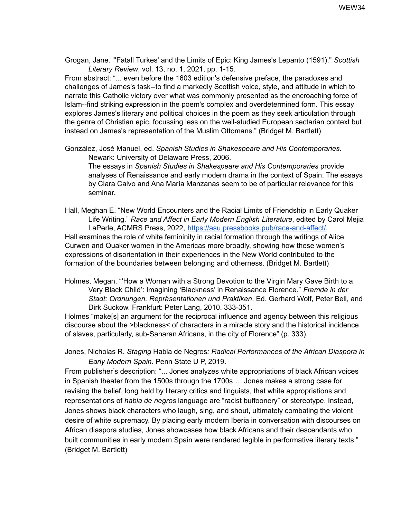Grogan, Jane. "'Fatall Turkes' and the Limits of Epic: King James's Lepanto (1591)." *Scottish Literary Review*, vol. 13, no. 1, 2021, pp. 1-15.

From abstract: "... even before the 1603 edition's defensive preface, the paradoxes and challenges of James's task--to find a markedly Scottish voice, style, and attitude in which to narrate this Catholic victory over what was commonly presented as the encroaching force of Islam--find striking expression in the poem's complex and overdetermined form. This essay explores James's literary and political choices in the poem as they seek articulation through the genre of Christian epic, focussing less on the well-studied European sectarian context but instead on James's representation of the Muslim Ottomans." (Bridget M. Bartlett)

González, José Manuel, ed. *Spanish Studies in Shakespeare and His Contemporaries*. Newark: University of Delaware Press, 2006.

The essays in *Spanish Studies in Shakespeare and His Contemporaries* provide analyses of Renaissance and early modern drama in the context of Spain. The essays by Clara Calvo and Ana María Manzanas seem to be of particular relevance for this seminar.

Hall, Meghan E. "New World Encounters and the Racial Limits of Friendship in Early Quaker Life Writing." *Race and Affect in Early Modern English Literature*, edited by Carol Mejia LaPerle, ACMRS Press, 2022, [https://asu.pressbooks.pub/race-and-affect/.](https://asu.pressbooks.pub/race-and-affect/) Hall examines the role of white femininity in racial formation through the writings of Alice Curwen and Quaker women in the Americas more broadly, showing how these women's expressions of disorientation in their experiences in the New World contributed to the formation of the boundaries between belonging and otherness. (Bridget M. Bartlett)

Holmes, Megan. "'How a Woman with a Strong Devotion to the Virgin Mary Gave Birth to a Very Black Child': Imagining 'Blackness' in Renaissance Florence." *Fremde in der Stadt: Ordnungen, Repräsentationen und Praktiken*. Ed. Gerhard Wolf, Peter Bell, and Dirk Suckow. Frankfurt: Peter Lang, 2010. 333-351.

Holmes "make[s] an argument for the reciprocal influence and agency between this religious discourse about the >blackness< of characters in a miracle story and the historical incidence of slaves, particularly, sub-Saharan Africans, in the city of Florence" (p. 333).

Jones, Nicholas R. *Staging* Habla de Negros*: Radical Performances of the African Diaspora in Early Modern Spain*. Penn State U P, 2019.

From publisher's description: "... Jones analyzes white appropriations of black African voices in Spanish theater from the 1500s through the 1700s…. Jones makes a strong case for revising the belief, long held by literary critics and linguists, that white appropriations and representations of *habla de negros* language are "racist buffoonery" or stereotype. Instead, Jones shows black characters who laugh, sing, and shout, ultimately combating the violent desire of white supremacy. By placing early modern Iberia in conversation with discourses on African diaspora studies, Jones showcases how black Africans and their descendants who built communities in early modern Spain were rendered legible in performative literary texts." (Bridget M. Bartlett)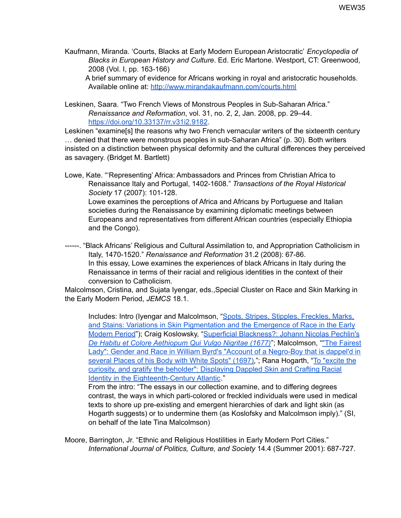Kaufmann, Miranda. 'Courts, Blacks at Early Modern European Aristocratic' *Encyclopedia of Blacks in European History and Culture*. Ed. Eric Martone. Westport, CT: Greenwood, 2008 (Vol. I, pp. 163-166)

A brief summary of evidence for Africans working in royal and aristocratic households. Available online at: <http://www.mirandakaufmann.com/courts.html>

Leskinen, Saara. "Two French Views of Monstrous Peoples in Sub-Saharan Africa." *Renaissance and Reformation*, vol. 31, no. 2, 2, Jan. 2008, pp. 29–44. <https://doi.org/10.33137/rr.v31i2.9182>.

Leskinen "examine[s] the reasons why two French vernacular writers of the sixteenth century … denied that there were monstrous peoples in sub-Saharan Africa" (p. 30). Both writers insisted on a distinction between physical deformity and the cultural differences they perceived as savagery. (Bridget M. Bartlett)

Lowe, Kate. "'Representing' Africa: Ambassadors and Princes from Christian Africa to Renaissance Italy and Portugal, 1402-1608." *Transactions of the Royal Historical Society* 17 (2007): 101-128. Lowe examines the perceptions of Africa and Africans by Portuguese and Italian societies during the Renaissance by examining diplomatic meetings between Europeans and representatives from different African countries (especially Ethiopia and the Congo).

------. "Black Africans' Religious and Cultural Assimilation to, and Appropriation Catholicism in Italy, 1470-1520." *Renaissance and Reformation* 31.2 (2008): 67-86. In this essay, Lowe examines the experiences of black Africans in Italy during the Renaissance in terms of their racial and religious identities in the context of their conversion to Catholicism.

Malcolmson, Cristina, and Sujata Iyengar, eds.,Special Cluster on Race and Skin Marking in the Early Modern Period, *JEMCS* 18.1.

Includes: Intro (Iyengar and Malcolmson, "Spots, Stripes, Stipples, [Freckles,](https://muse.jhu.edu/article/710803) Marks, and Stains: Variations in Skin [Pigmentation](https://muse.jhu.edu/article/710803) and the Emergence of Race in the Early [Modern](https://muse.jhu.edu/article/710803) Period"); Craig Koslowsky, "Superficial [Blackness?:](https://muse.jhu.edu/article/710804) Johann Nicolas Pechlin's *De Habitu et Colore [Aethiopum](https://muse.jhu.edu/article/710804) Qui Vulgo Nigritae (1677)*"; Malcolmson, ""The [Fairest](https://muse.jhu.edu/article/710805) Lady": Gender and Race in William Byrd's "Account of a [Negro-Boy](https://muse.jhu.edu/article/710805) that is dappel'd in [several](https://muse.jhu.edu/article/710805) Places of his Body with White Spots" (1697),"; Rana Hogarth, "To ["excite](https://muse.jhu.edu/article/710806) the curiosity, and gratify the beholder": [Displaying](https://muse.jhu.edu/article/710806) Dappled Skin and Crafting Racial Identity in the [Eighteenth-Century](https://muse.jhu.edu/article/710806) Atlantic."

From the intro: "The essays in our collection examine, and to differing degrees contrast, the ways in which parti-colored or freckled individuals were used in medical texts to shore up pre-existing and emergent hierarchies of dark and light skin (as Hogarth suggests) or to undermine them (as Koslofsky and Malcolmson imply)." (SI, on behalf of the late Tina Malcolmson)

Moore, Barrington, Jr. "Ethnic and Religious Hostilities in Early Modern Port Cities." *International Journal of Politics, Culture, and Society* 14.4 (Summer 2001): 687-727.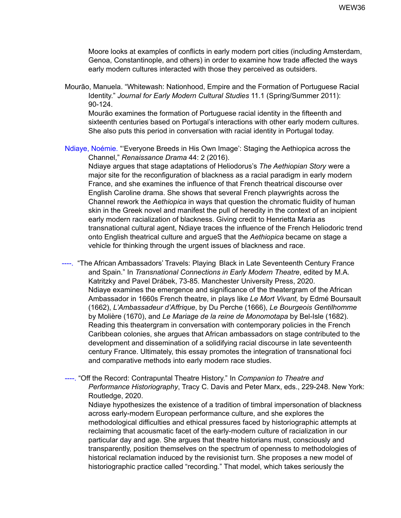Moore looks at examples of conflicts in early modern port cities (including Amsterdam, Genoa, Constantinople, and others) in order to examine how trade affected the ways early modern cultures interacted with those they perceived as outsiders.

Mourão, Manuela. "Whitewash: Nationhood, Empire and the Formation of Portuguese Racial Identity." *Journal for Early Modern Cultural Studies* 11.1 (Spring/Summer 2011): 90-124.

Mourão examines the formation of Portuguese racial identity in the fifteenth and sixteenth centuries based on Portugal's interactions with other early modern cultures. She also puts this period in conversation with racial identity in Portugal today.

Ndiaye, Noémie. "'Everyone Breeds in His Own Image': Staging the Aethiopica across the Channel," *Renaissance Drama* 44: 2 (2016).

Ndiaye argues that stage adaptations of Heliodorus's *The Aethiopian Story* were a major site for the reconfiguration of blackness as a racial paradigm in early modern France, and she examines the influence of that French theatrical discourse over English Caroline drama. She shows that several French playwrights across the Channel rework the *Aethiopica* in ways that question the chromatic fluidity of human skin in the Greek novel and manifest the pull of heredity in the context of an incipient early modern racialization of blackness. Giving credit to Henrietta Maria as transnational cultural agent, Ndiaye traces the influence of the French Heliodoric trend onto English theatrical culture and argueS that the *Aethiopica* became on stage a vehicle for thinking through the urgent issues of blackness and race.

----. "The African Ambassadors' Travels: Playing Black in Late Seventeenth Century France and Spain." In *Transnational Connections in Early Modern Theatre*, edited by M.A. Katritzky and Pavel Drábek, 73-85. Manchester University Press, 2020. Ndiaye examines the emergence and significance of the theatergram of the African Ambassador in 1660s French theatre, in plays like *Le Mort Vivant,* by Edmé Boursault (1662), *L'Ambassadeur d'Affrique*, by Du Perche (1666), *Le Bourgeois Gentilhomme* by Molière (1670), and *Le Mariage de la reine de Monomotapa* by Bel-Isle (1682). Reading this theatergram in conversation with contemporary policies in the French Caribbean colonies, she argues that African ambassadors on stage contributed to the development and dissemination of a solidifying racial discourse in late seventeenth century France. Ultimately, this essay promotes the integration of transnational foci and comparative methods into early modern race studies.

----. "Off the Record: Contrapuntal Theatre History." In *Companion to Theatre and Performance Historiography*, Tracy C. Davis and Peter Marx, eds., 229-248. New York: Routledge, 2020.

Ndiaye hypothesizes the existence of a tradition of timbral impersonation of blackness across early-modern European performance culture, and she explores the methodological difficulties and ethical pressures faced by historiographic attempts at reclaiming that acousmatic facet of the early-modern culture of racialization in our particular day and age. She argues that theatre historians must, consciously and transparently, position themselves on the spectrum of openness to methodologies of historical reclamation induced by the revisionist turn. She proposes a new model of historiographic practice called "recording." That model, which takes seriously the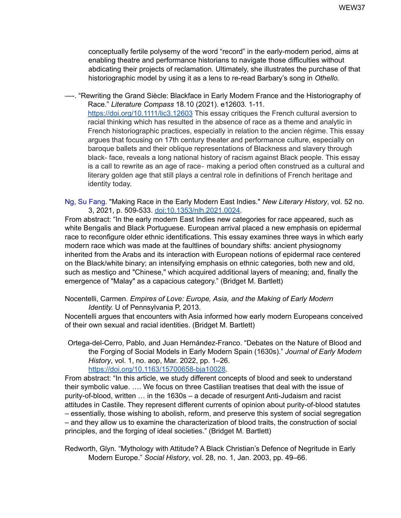conceptually fertile polysemy of the word "record" in the early-modern period, aims at enabling theatre and performance historians to navigate those difficulties without abdicating their projects of reclamation. Ultimately, she illustrates the purchase of that historiographic model by using it as a lens to re-read Barbary's song in *Othello.*

—-. "Rewriting the Grand Siècle: Blackface in Early Modern France and the Historiography of Race." *Literature Compass* 18.10 (2021). e12603. 1-11. <https://doi.org/10.1111/lic3.12603> This essay critiques the French cultural aversion to racial thinking which has resulted in the absence of race as a theme and analytic in French historiographic practices, especially in relation to the ancien régime. This essay argues that focusing on 17th century theater and performance culture, especially on baroque ballets and their oblique representations of Blackness and slavery through black- face, reveals a long national history of racism against Black people. This essay is a call to rewrite as an age of race‐ making a period often construed as a cultural and literary golden age that still plays a central role in definitions of French heritage and identity today.

Ng, Su Fang. "Making Race in the Early Modern East Indies." *New Literary History*, vol. 52 no. 3, 2021, p. 509-533. [doi:10.1353/nlh.2021.0024.](http://doi.org/10.1353/nlh.2021.0024)

From abstract: "In the early modern East Indies new categories for race appeared, such as white Bengalis and Black Portuguese. European arrival placed a new emphasis on epidermal race to reconfigure older ethnic identifications. This essay examines three ways in which early modern race which was made at the faultlines of boundary shifts: ancient physiognomy inherited from the Arabs and its interaction with European notions of epidermal race centered on the Black/white binary; an intensifying emphasis on ethnic categories, both new and old, such as mestiço and "Chinese," which acquired additional layers of meaning; and, finally the emergence of "Malay" as a capacious category." (Bridget M. Bartlett)

Nocentelli, Carmen. *Empires of Love: Europe, Asia, and the Making of Early Modern Identity.* U of Pennsylvania P, 2013.

Nocentelli argues that encounters with Asia informed how early modern Europeans conceived of their own sexual and racial identities. (Bridget M. Bartlett)

Ortega-del-Cerro, Pablo, and Juan Hernández-Franco. "Debates on the Nature of Blood and the Forging of Social Models in Early Modern Spain (1630s)." *Journal of Early Modern History*, vol. 1, no. aop, Mar. 2022, pp. 1–26. <https://doi.org/10.1163/15700658-bja10028>.

From abstract: "In this article, we study different concepts of blood and seek to understand their symbolic value. …. We focus on three Castilian treatises that deal with the issue of purity-of-blood, written … in the 1630s – a decade of resurgent Anti-Judaism and racist attitudes in Castile. They represent different currents of opinion about purity-of-blood statutes – essentially, those wishing to abolish, reform, and preserve this system of social segregation – and they allow us to examine the characterization of blood traits, the construction of social principles, and the forging of ideal societies." (Bridget M. Bartlett)

Redworth, Glyn. "Mythology with Attitude? A Black Christian's Defence of Negritude in Early Modern Europe." *Social History*, vol. 28, no. 1, Jan. 2003, pp. 49–66.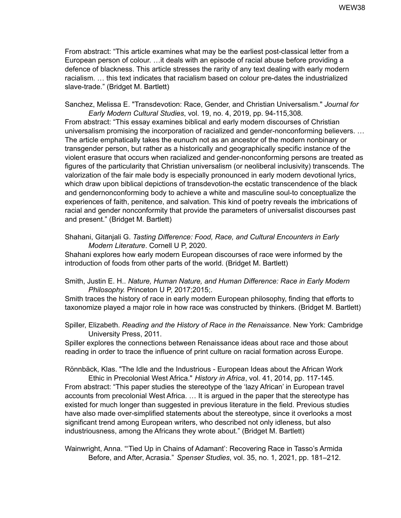From abstract: "This article examines what may be the earliest post-classical letter from a European person of colour. …it deals with an episode of racial abuse before providing a defence of blackness. This article stresses the rarity of any text dealing with early modern racialism. … this text indicates that racialism based on colour pre-dates the industrialized slave-trade." (Bridget M. Bartlett)

Sanchez, Melissa E. "Transdevotion: Race, Gender, and Christian Universalism." *Journal for Early Modern Cultural Studies*, vol. 19, no. 4, 2019, pp. 94-115,308*.*

From abstract: "This essay examines biblical and early modern discourses of Christian universalism promising the incorporation of racialized and gender-nonconforming believers. … The article emphatically takes the eunuch not as an ancestor of the modern nonbinary or transgender person, but rather as a historically and geographically specific instance of the violent erasure that occurs when racialized and gender-nonconforming persons are treated as figures of the particularity that Christian universalism (or neoliberal inclusivity) transcends. The valorization of the fair male body is especially pronounced in early modern devotional lyrics, which draw upon biblical depictions of transdevotion-the ecstatic transcendence of the black and gendernonconforming body to achieve a white and masculine soul-to conceptualize the experiences of faith, penitence, and salvation. This kind of poetry reveals the imbrications of racial and gender nonconformity that provide the parameters of universalist discourses past and present." (Bridget M. Bartlett)

Shahani, Gitanjali G. *Tasting Difference: Food, Race, and Cultural Encounters in Early Modern Literature*. Cornell U P, 2020.

Shahani explores how early modern European discourses of race were informed by the introduction of foods from other parts of the world. (Bridget M. Bartlett)

Smith, Justin E. H.. *Nature, Human Nature, and Human Difference: Race in Early Modern Philosophy.* Princeton U P, 2017;2015;.

Smith traces the history of race in early modern European philosophy, finding that efforts to taxonomize played a major role in how race was constructed by thinkers. (Bridget M. Bartlett)

Spiller, Elizabeth. *Reading and the History of Race in the Renaissance*. New York: Cambridge University Press, 2011.

Spiller explores the connections between Renaissance ideas about race and those about reading in order to trace the influence of print culture on racial formation across Europe.

Rönnbäck, Klas. "The Idle and the Industrious - European Ideas about the African Work Ethic in Precolonial West Africa." *History in Africa*, vol. 41, 2014, pp. 117-145*.*

From abstract: "This paper studies the stereotype of the 'lazy African' in European travel accounts from precolonial West Africa. … It is argued in the paper that the stereotype has existed for much longer than suggested in previous literature in the field. Previous studies have also made over-simplified statements about the stereotype, since it overlooks a most significant trend among European writers, who described not only idleness, but also industriousness, among the Africans they wrote about." (Bridget M. Bartlett)

Wainwright, Anna. "'Tied Up in Chains of Adamant': Recovering Race in Tasso's Armida Before, and After, Acrasia." *Spenser Studies*, vol. 35, no. 1, 2021, pp. 181–212.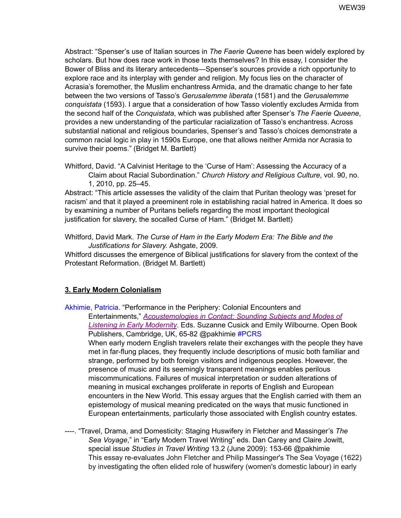Abstract: "Spenser's use of Italian sources in *The Faerie Queene* has been widely explored by scholars. But how does race work in those texts themselves? In this essay, I consider the Bower of Bliss and its literary antecedents—Spenser's sources provide a rich opportunity to explore race and its interplay with gender and religion. My focus lies on the character of Acrasia's foremother, the Muslim enchantress Armida, and the dramatic change to her fate between the two versions of Tasso's *Gerusalemme liberata* (1581) and the *Gerusalemme conquistata* (1593). I argue that a consideration of how Tasso violently excludes Armida from the second half of the *Conquistata*, which was published after Spenser's *The Faerie Queene*, provides a new understanding of the particular racialization of Tasso's enchantress. Across substantial national and religious boundaries, Spenser's and Tasso's choices demonstrate a common racial logic in play in 1590s Europe, one that allows neither Armida nor Acrasia to survive their poems." (Bridget M. Bartlett)

Whitford, David. "A Calvinist Heritage to the 'Curse of Ham': Assessing the Accuracy of a Claim about Racial Subordination." *Church History and Religious Culture*, vol. 90, no. 1, 2010, pp. 25–45.

Abstract: "This article assesses the validity of the claim that Puritan theology was 'preset for racism' and that it played a preeminent role in establishing racial hatred in America. It does so by examining a number of Puritans beliefs regarding the most important theological justification for slavery, the socalled Curse of Ham." (Bridget M. Bartlett)

Whitford, David Mark. *The Curse of Ham in the Early Modern Era: The Bible and the Justifications for Slavery.* Ashgate, 2009.

Whitford discusses the emergence of Biblical justifications for slavery from the context of the Protestant Reformation. (Bridget M. Bartlett)

## **3. Early Modern Colonialism**

Akhimie, Patricia. "Performance in the Periphery: Colonial Encounters and Entertainments," *[Acoustemologies](https://www.openbookpublishers.com/product/1238) in Contact: Sounding Subjects and Modes of Listening in Early [Modernity](https://www.openbookpublishers.com/product/1238)*. Eds. Suzanne Cusick and Emily Wilbourne. Open Book Publishers, Cambridge, UK, 65-82 @pakhimie #PCRS When early modern English travelers relate their exchanges with the people they have met in far-flung places, they frequently include descriptions of music both familiar and strange, performed by both foreign visitors and indigenous peoples. However, the presence of music and its seemingly transparent meanings enables perilous miscommunications. Failures of musical interpretation or sudden alterations of meaning in musical exchanges proliferate in reports of English and European encounters in the New World. This essay argues that the English carried with them an epistemology of musical meaning predicated on the ways that music functioned in European entertainments, particularly those associated with English country estates.

----. "Travel, Drama, and Domesticity: Staging Huswifery in Fletcher and Massinger's *The Sea Voyage*," in "Early Modern Travel Writing" eds. Dan Carey and Claire Jowitt, special issue *Studies in Travel Writing* 13.2 (June 2009): 153-66 @pakhimie This essay re-evaluates John Fletcher and Philip Massinger's The Sea Voyage (1622) by investigating the often elided role of huswifery (women's domestic labour) in early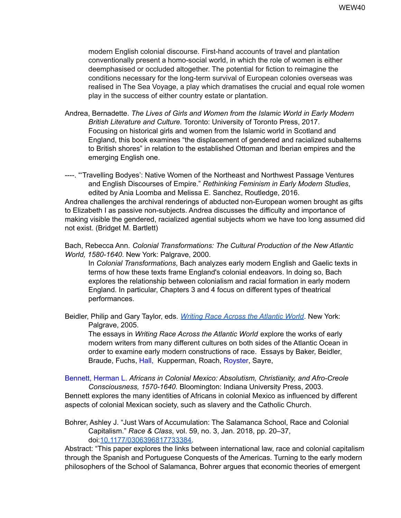modern English colonial discourse. First-hand accounts of travel and plantation conventionally present a homo-social world, in which the role of women is either deemphasised or occluded altogether. The potential for fiction to reimagine the conditions necessary for the long-term survival of European colonies overseas was realised in The Sea Voyage, a play which dramatises the crucial and equal role women play in the success of either country estate or plantation.

Andrea, Bernadette. *The Lives of Girls and Women from the Islamic World in Early Modern British Literature and Culture.* Toronto: University of Toronto Press, 2017. Focusing on historical girls and women from the Islamic world in Scotland and England, this book examines "the displacement of gendered and racialized subalterns to British shores" in relation to the established Ottoman and Iberian empires and the emerging English one.

----. "'Travelling Bodyes': Native Women of the Northeast and Northwest Passage Ventures and English Discourses of Empire." *Rethinking Feminism in Early Modern Studies*, edited by Ania Loomba and Melissa E. Sanchez, Routledge, 2016. Andrea challenges the archival renderings of abducted non-European women brought as gifts to Elizabeth I as passive non-subjects. Andrea discusses the difficulty and importance of making visible the gendered, racialized agential subjects whom we have too long assumed did not exist. (Bridget M. Bartlett)

Bach, Rebecca Ann. *Colonial Transformations: The Cultural Production of the New Atlantic World, 1580-1640*. New York: Palgrave, 2000.

In *Colonial Transformations*, Bach analyzes early modern English and Gaelic texts in terms of how these texts frame England's colonial endeavors. In doing so, Bach explores the relationship between colonialism and racial formation in early modern England. In particular, Chapters 3 and 4 focus on different types of theatrical performances.

Beidler, Philip and Gary Taylor, eds. *Writing Race Across the [Atlantic](https://www.palgrave.com/gp/book/9780312295967) World*. New York: Palgrave, 2005.

The essays in *Writing Race Across the Atlantic World* explore the works of early modern writers from many different cultures on both sides of the Atlantic Ocean in order to examine early modern constructions of race. Essays by Baker, Beidler, Braude, Fuchs, Hall, Kupperman, Roach, Royster, Sayre,

Bennett, Herman L. *Africans in Colonial Mexico: Absolutism, Christianity, and Afro-Creole Consciousness, 1570-1640*. Bloomington: Indiana University Press, 2003. Bennett explores the many identities of Africans in colonial Mexico as influenced by different aspects of colonial Mexican society, such as slavery and the Catholic Church.

Bohrer, Ashley J. "Just Wars of Accumulation: The Salamanca School, Race and Colonial Capitalism." *Race & Class*, vol. 59, no. 3, Jan. 2018, pp. 20–37, doi:[10.1177/0306396817733384.](https://doi-org.umiss.idm.oclc.org/10.1177/0306396817733384)

Abstract: "This paper explores the links between international law, race and colonial capitalism through the Spanish and Portuguese Conquests of the Americas. Turning to the early modern philosophers of the School of Salamanca, Bohrer argues that economic theories of emergent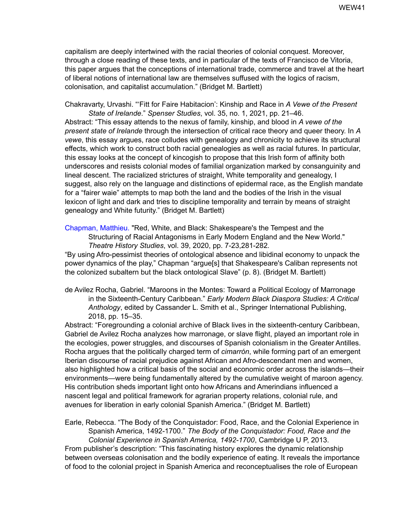capitalism are deeply intertwined with the racial theories of colonial conquest. Moreover, through a close reading of these texts, and in particular of the texts of Francisco de Vitoria, this paper argues that the conceptions of international trade, commerce and travel at the heart of liberal notions of international law are themselves suffused with the logics of racism, colonisation, and capitalist accumulation." (Bridget M. Bartlett)

Chakravarty, Urvashi. "'Fitt for Faire Habitacion': Kinship and Race in *A Vewe of the Present State of Irelande*." *Spenser Studies*, vol. 35, no. 1, 2021, pp. 21–46.

Abstract: "This essay attends to the nexus of family, kinship, and blood in *A vewe of the present state of Irelande* through the intersection of critical race theory and queer theory. In *A vewe*, this essay argues, race colludes with genealogy and chronicity to achieve its structural effects, which work to construct both racial genealogies as well as racial futures. In particular, this essay looks at the concept of kincogish to propose that this Irish form of affinity both underscores and resists colonial modes of familial organization marked by consanguinity and lineal descent. The racialized strictures of straight, White temporality and genealogy, I suggest, also rely on the language and distinctions of epidermal race, as the English mandate for a "fairer waie" attempts to map both the land and the bodies of the Irish in the visual lexicon of light and dark and tries to discipline temporality and terrain by means of straight genealogy and White futurity." (Bridget M. Bartlett)

Chapman, Matthieu. "Red, White, and Black: Shakespeare's the Tempest and the Structuring of Racial Antagonisms in Early Modern England and the New World." *Theatre History Studies*, vol. 39, 2020, pp. 7-23,281-282*.*

"By using Afro-pessimist theories of ontological absence and libidinal economy to unpack the power dynamics of the play," Chapman "argue[s] that Shakespeare's Caliban represents not the colonized subaltern but the black ontological Slave" (p. 8). (Bridget M. Bartlett)

de Avilez Rocha, Gabriel. "Maroons in the Montes: Toward a Political Ecology of Marronage in the Sixteenth-Century Caribbean." *Early Modern Black Diaspora Studies: A Critical Anthology*, edited by Cassander L. Smith et al., Springer International Publishing, 2018, pp. 15–35.

Abstract: "Foregrounding a colonial archive of Black lives in the sixteenth-century Caribbean, Gabriel de Avilez Rocha analyzes how marronage, or slave flight, played an important role in the ecologies, power struggles, and discourses of Spanish colonialism in the Greater Antilles. Rocha argues that the politically charged term of *cimarrón*, while forming part of an emergent Iberian discourse of racial prejudice against African and Afro-descendant men and women, also highlighted how a critical basis of the social and economic order across the islands—their environments—were being fundamentally altered by the cumulative weight of maroon agency. His contribution sheds important light onto how Africans and Amerindians influenced a nascent legal and political framework for agrarian property relations, colonial rule, and avenues for liberation in early colonial Spanish America." (Bridget M. Bartlett)

Earle, Rebecca. "The Body of the Conquistador: Food, Race, and the Colonial Experience in Spanish America, 1492-1700." *The Body of the Conquistador: Food, Race and the Colonial Experience in Spanish America, 1492-1700*, Cambridge U P, 2013. From publisher's description: "This fascinating history explores the dynamic relationship between overseas colonisation and the bodily experience of eating. It reveals the importance

of food to the colonial project in Spanish America and reconceptualises the role of European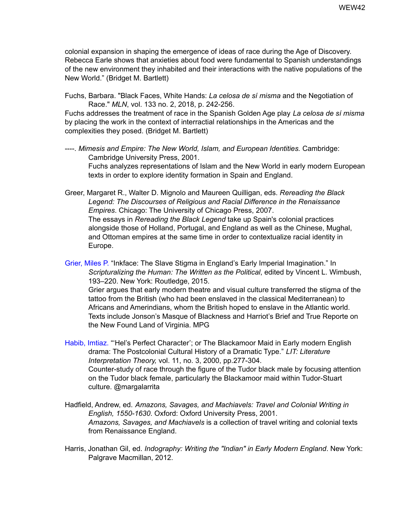colonial expansion in shaping the emergence of ideas of race during the Age of Discovery. Rebecca Earle shows that anxieties about food were fundamental to Spanish understandings of the new environment they inhabited and their interactions with the native populations of the New World." (Bridget M. Bartlett)

Fuchs, Barbara. "Black Faces, White Hands: *La celosa de sí misma* and the Negotiation of Race." *MLN*, vol. 133 no. 2, 2018, p. 242-256.

Fuchs addresses the treatment of race in the Spanish Golden Age play *La celosa de sí misma* by placing the work in the context of interractial relationships in the Americas and the complexities they posed. (Bridget M. Bartlett)

----. *Mimesis and Empire: The New World, Islam, and European Identities.* Cambridge: Cambridge University Press, 2001. Fuchs analyzes representations of Islam and the New World in early modern European texts in order to explore identity formation in Spain and England.

Greer, Margaret R., Walter D. Mignolo and Maureen Quilligan, eds. *Rereading the Black Legend: The Discourses of Religious and Racial Difference in the Renaissance Empires*. Chicago: The University of Chicago Press, 2007. The essays in *Rereading the Black Legend* take up Spain's colonial practices alongside those of Holland, Portugal, and England as well as the Chinese, Mughal, and Ottoman empires at the same time in order to contextualize racial identity in Europe.

Grier, Miles P. "Inkface: The Slave Stigma in England's Early Imperial Imagination." In *Scripturalizing the Human: The Written as the Political*, edited by Vincent L. Wimbush, 193–220. New York: Routledge, 2015.

Grier argues that early modern theatre and visual culture transferred the stigma of the tattoo from the British (who had been enslaved in the classical Mediterranean) to Africans and Amerindians, whom the British hoped to enslave in the Atlantic world. Texts include Jonson's Masque of Blackness and Harriot's Brief and True Reporte on the New Found Land of Virginia. MPG

Habib, Imtiaz. "'Hel's Perfect Character'; or The Blackamoor Maid in Early modern English drama: The Postcolonial Cultural History of a Dramatic Type." *LIT: Literature Interpretation Theory,* vol. 11, no. 3, 2000, pp.277-304. Counter-study of race through the figure of the Tudor black male by focusing attention on the Tudor black female, particularly the Blackamoor maid within Tudor-Stuart culture. @margalarrita

Hadfield, Andrew, ed. *Amazons, Savages, and Machiavels: Travel and Colonial Writing in English, 1550-1630*. Oxford: Oxford University Press, 2001. *Amazons, Savages, and Machiavels* is a collection of travel writing and colonial texts from Renaissance England.

Harris, Jonathan Gil, ed. *Indography: Writing the "Indian" in Early Modern England*. New York: Palgrave Macmillan, 2012.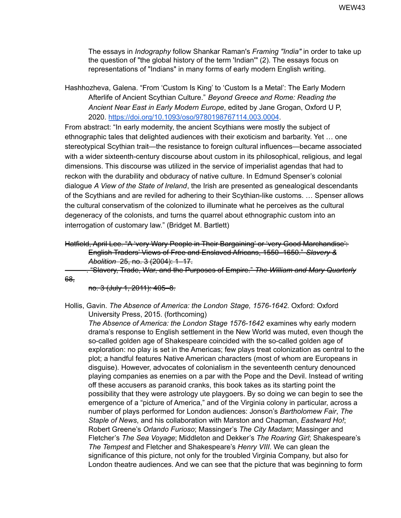The essays in *Indography* follow Shankar Raman's *Framing "India"* in order to take up the question of "the global history of the term 'Indian'" (2). The essays focus on representations of "Indians" in many forms of early modern English writing.

Hashhozheva, Galena. "From 'Custom Is King' to 'Custom Is a Metal': The Early Modern Afterlife of Ancient Scythian Culture." *Beyond Greece and Rome: Reading the Ancient Near East in Early Modern Europe*, edited by Jane Grogan, Oxford U P, 2020. <https://doi.org/10.1093/oso/9780198767114.003.0004>.

From abstract: "In early modernity, the ancient Scythians were mostly the subject of ethnographic tales that delighted audiences with their exoticism and barbarity. Yet … one stereotypical Scythian trait—the resistance to foreign cultural influences—became associated with a wider sixteenth-century discourse about custom in its philosophical, religious, and legal dimensions. This discourse was utilized in the service of imperialist agendas that had to reckon with the durability and obduracy of native culture. In Edmund Spenser's colonial dialogue *A View of the State of Ireland*, the Irish are presented as genealogical descendants of the Scythians and are reviled for adhering to their Scythian-like customs. … Spenser allows the cultural conservatism of the colonized to illuminate what he perceives as the cultural degeneracy of the colonists, and turns the quarrel about ethnographic custom into an interrogation of customary law." (Bridget M. Bartlett)

```
Hatfield, April Lee. "A 'very Wary People in Their Bargaining' or 'very Good Marchandise':
English Traders' Views of Free and Enslaved Africans, 1550–1650." Slavery &
Abolition 25, no. 3 (2004): 1–17.
```
———. "Slavery, Trade, War, and the Purposes of Empire." *The William and Mary Quarterly*

no. 3 (July 1, 2011): 405–8.

68,

Hollis, Gavin. *The Absence of America: the London Stage, 1576-1642*. Oxford: Oxford University Press, 2015. (forthcoming)

*The Absence of America: the London Stage 1576-1642* examines why early modern drama's response to English settlement in the New World was muted, even though the so-called golden age of Shakespeare coincided with the so-called golden age of exploration: no play is set in the Americas; few plays treat colonization as central to the plot; a handful features Native American characters (most of whom are Europeans in disguise). However, advocates of colonialism in the seventeenth century denounced playing companies as enemies on a par with the Pope and the Devil. Instead of writing off these accusers as paranoid cranks, this book takes as its starting point the possibility that they were astrology ute playgoers. By so doing we can begin to see the emergence of a "picture of America," and of the Virginia colony in particular, across a number of plays performed for London audiences: Jonson's *Bartholomew Fair*, *The Staple of News*, and his collaboration with Marston and Chapman, *Eastward Ho!*; Robert Greene's *Orlando Furioso*; Massinger's *The City Madam*; Massinger and Fletcher's *The Sea Voyage*; Middleton and Dekker's *The Roaring Girl*; Shakespeare's *The Tempest* and Fletcher and Shakespeare's *Henry VIII*. We can glean the significance of this picture, not only for the troubled Virginia Company, but also for London theatre audiences. And we can see that the picture that was beginning to form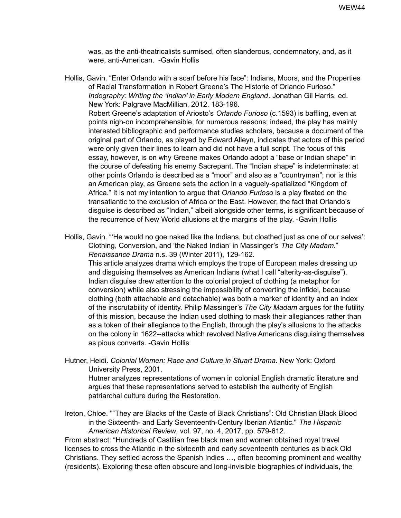was, as the anti-theatricalists surmised, often slanderous, condemnatory, and, as it were, anti-American. -Gavin Hollis

- Hollis, Gavin. "Enter Orlando with a scarf before his face": Indians, Moors, and the Properties of Racial Transformation in Robert Greene's The Historie of Orlando Furioso." *Indography: Writing the 'Indian' in Early Modern England*. Jonathan Gil Harris, ed. New York: Palgrave MacMillian, 2012. 183-196. Robert Greene's adaptation of Ariosto's *Orlando Furioso* (c.1593) is baffling, even at points nigh-on incomprehensible, for numerous reasons; indeed, the play has mainly interested bibliographic and performance studies scholars, because a document of the original part of Orlando, as played by Edward Alleyn, indicates that actors of this period were only given their lines to learn and did not have a full script. The focus of this essay, however, is on why Greene makes Orlando adopt a "base or Indian shape" in the course of defeating his enemy Sacrepant. The "Indian shape" is indeterminate: at other points Orlando is described as a "moor" and also as a "countryman"; nor is this an American play, as Greene sets the action in a vaguely-spatialized "Kingdom of Africa." It is not my intention to argue that *Orlando Furioso* is a play fixated on the transatlantic to the exclusion of Africa or the East. However, the fact that Orlando's disguise is described as "Indian," albeit alongside other terms, is significant because of the recurrence of New World allusions at the margins of the play. -Gavin Hollis
- Hollis, Gavin. "He would no goe naked like the Indians, but cloathed just as one of our selves': Clothing, Conversion, and 'the Naked Indian' in Massinger's *The City Madam*." *Renaissance Drama* n.s. 39 (Winter 2011), 129-162. This article analyzes drama which employs the trope of European males dressing up

and disguising themselves as American Indians (what I call "alterity-as-disguise"). Indian disguise drew attention to the colonial project of clothing (a metaphor for conversion) while also stressing the impossibility of converting the infidel, because clothing (both attachable and detachable) was both a marker of identity and an index of the inscrutability of identity. Philip Massinger's *The City Madam* argues for the futility of this mission, because the Indian used clothing to mask their allegiances rather than as a token of their allegiance to the English, through the play's allusions to the attacks on the colony in 1622--attacks which revolved Native Americans disguising themselves as pious converts. -Gavin Hollis

Hutner, Heidi. *Colonial Women: Race and Culture in Stuart Drama*. New York: Oxford University Press, 2001.

Hutner analyzes representations of women in colonial English dramatic literature and argues that these representations served to establish the authority of English patriarchal culture during the Restoration.

Ireton, Chloe. ""They are Blacks of the Caste of Black Christians": Old Christian Black Blood in the Sixteenth- and Early Seventeenth-Century Iberian Atlantic." *The Hispanic American Historical Review*, vol. 97, no. 4, 2017, pp. 579-612.

From abstract: "Hundreds of Castilian free black men and women obtained royal travel licenses to cross the Atlantic in the sixteenth and early seventeenth centuries as black Old Christians. They settled across the Spanish Indies …, often becoming prominent and wealthy (residents). Exploring these often obscure and long-invisible biographies of individuals, the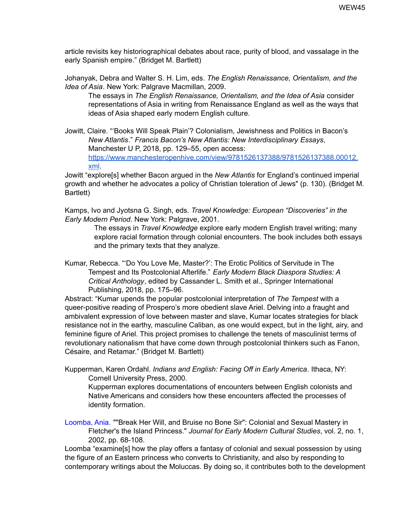article revisits key historiographical debates about race, purity of blood, and vassalage in the early Spanish empire." (Bridget M. Bartlett)

Johanyak, Debra and Walter S. H. Lim, eds. *The English Renaissance, Orientalism, and the Idea of Asia*. New York: Palgrave Macmillan, 2009.

The essays in *The English Renaissance, Orientalism, and the Idea of Asia* consider representations of Asia in writing from Renaissance England as well as the ways that ideas of Asia shaped early modern English culture.

Jowitt, Claire. "'Books Will Speak Plain'? Colonialism, Jewishness and Politics in Bacon's *New Atlantis*." *Francis Bacon's New Atlantis: New Interdisciplinary Essays*, Manchester U P, 2018, pp. 129–55, open access: [https://www.manchesteropenhive.com/view/9781526137388/9781526137388.00012.](https://www.manchesteropenhive.com/view/9781526137388/9781526137388.00012.xml) [xml](https://www.manchesteropenhive.com/view/9781526137388/9781526137388.00012.xml).

Jowitt "explore[s] whether Bacon argued in the *New Atlantis* for England's continued imperial growth and whether he advocates a policy of Christian toleration of Jews" (p. 130). (Bridget M. Bartlett)

Kamps, Ivo and Jyotsna G. Singh, eds. *Travel Knowledge: European "Discoveries" in the Early Modern Period*. New York: Palgrave, 2001.

> The essays in *Travel Knowledge* explore early modern English travel writing; many explore racial formation through colonial encounters. The book includes both essays and the primary texts that they analyze.

Kumar, Rebecca. "'Do You Love Me, Master?': The Erotic Politics of Servitude in The Tempest and Its Postcolonial Afterlife." *Early Modern Black Diaspora Studies: A Critical Anthology*, edited by Cassander L. Smith et al., Springer International Publishing, 2018, pp. 175–96.

Abstract: "Kumar upends the popular postcolonial interpretation of *The Tempest* with a queer-positive reading of Prospero's more obedient slave Ariel. Delving into a fraught and ambivalent expression of love between master and slave, Kumar locates strategies for black resistance not in the earthy, masculine Caliban, as one would expect, but in the light, airy, and feminine figure of Ariel. This project promises to challenge the tenets of masculinist terms of revolutionary nationalism that have come down through postcolonial thinkers such as Fanon, Césaire, and Retamar." (Bridget M. Bartlett)

Kupperman, Karen Ordahl. *Indians and English: Facing Off in Early America*. Ithaca, NY: Cornell University Press, 2000.

Kupperman explores documentations of encounters between English colonists and Native Americans and considers how these encounters affected the processes of identity formation.

Loomba, Ania. ""Break Her Will, and Bruise no Bone Sir": Colonial and Sexual Mastery in Fletcher's the Island Princess." *Journal for Early Modern Cultural Studies*, vol. 2, no. 1, 2002, pp. 68-108.

Loomba "examine[s] how the play offers a fantasy of colonial and sexual possession by using the figure of an Eastern princess who converts to Christianity, and also by responding to contemporary writings about the Moluccas. By doing so, it contributes both to the development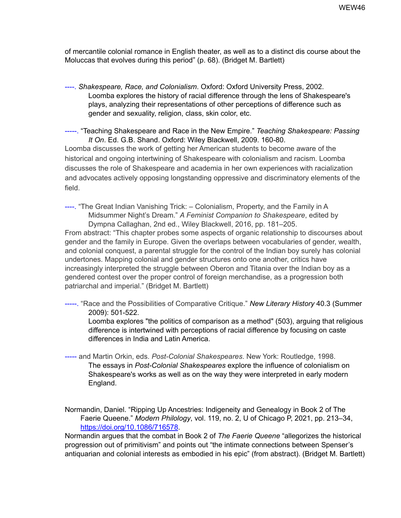of mercantile colonial romance in English theater, as well as to a distinct dis course about the Moluccas that evolves during this period" (p. 68). (Bridget M. Bartlett)

----. *Shakespeare, Race, and Colonialism*. Oxford: Oxford University Press, 2002. Loomba explores the history of racial difference through the lens of Shakespeare's plays, analyzing their representations of other perceptions of difference such as gender and sexuality, religion, class, skin color, etc.

-----. "Teaching Shakespeare and Race in the New Empire." *Teaching Shakespeare: Passing It On*. Ed. G.B. Shand. Oxford: Wiley Blackwell, 2009. 160-80.

Loomba discusses the work of getting her American students to become aware of the historical and ongoing intertwining of Shakespeare with colonialism and racism. Loomba discusses the role of Shakespeare and academia in her own experiences with racialization and advocates actively opposing longstanding oppressive and discriminatory elements of the field.

----. "The Great Indian Vanishing Trick: – Colonialism, Property, and the Family in A Midsummer Night's Dream." *A Feminist Companion to Shakespeare*, edited by Dympna Callaghan, 2nd ed., Wiley Blackwell, 2016, pp. 181–205. From abstract: "This chapter probes some aspects of organic relationship to discourses about

gender and the family in Europe. Given the overlaps between vocabularies of gender, wealth, and colonial conquest, a parental struggle for the control of the Indian boy surely has colonial undertones. Mapping colonial and gender structures onto one another, critics have increasingly interpreted the struggle between Oberon and Titania over the Indian boy as a gendered contest over the proper control of foreign merchandise, as a progression both patriarchal and imperial." (Bridget M. Bartlett)

-----. "Race and the Possibilities of Comparative Critique." *New Literary History* 40.3 (Summer 2009): 501-522.

Loomba explores "the politics of comparison as a method" (503), arguing that religious difference is intertwined with perceptions of racial difference by focusing on caste differences in India and Latin America.

----- and Martin Orkin, eds. *Post-Colonial Shakespeares*. New York: Routledge, 1998. The essays in *Post-Colonial Shakespeares* explore the influence of colonialism on Shakespeare's works as well as on the way they were interpreted in early modern England.

Normandin, Daniel. "Ripping Up Ancestries: Indigeneity and Genealogy in Book 2 of The Faerie Queene." *Modern Philology*, vol. 119, no. 2, U of Chicago P, 2021, pp. 213–34, <https://doi.org/10.1086/716578>.

Normandin argues that the combat in Book 2 of *The Faerie Queene* "allegorizes the historical progression out of primitivism" and points out "the intimate connections between Spenser's antiquarian and colonial interests as embodied in his epic" (from abstract). (Bridget M. Bartlett)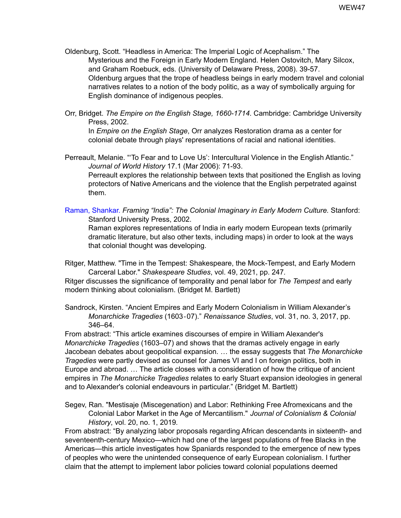- Oldenburg, Scott. "Headless in America: The Imperial Logic of Acephalism." The Mysterious and the Foreign in Early Modern England. Helen Ostovitch, Mary Silcox, and Graham Roebuck, eds. (University of Delaware Press, 2008). 39-57. Oldenburg argues that the trope of headless beings in early modern travel and colonial narratives relates to a notion of the body politic, as a way of symbolically arguing for English dominance of indigenous peoples.
- Orr, Bridget. *The Empire on the English Stage, 1660-1714*. Cambridge: Cambridge University Press, 2002.

In *Empire on the English Stage*, Orr analyzes Restoration drama as a center for colonial debate through plays' representations of racial and national identities.

Perreault, Melanie. "'To Fear and to Love Us': Intercultural Violence in the English Atlantic." *Journal of World History* 17.1 (Mar 2006): 71-93. Perreault explores the relationship between texts that positioned the English as loving protectors of Native Americans and the violence that the English perpetrated against them.

Raman, Shankar. *Framing "India": The Colonial Imaginary in Early Modern Culture.* Stanford: Stanford University Press, 2002.

Raman explores representations of India in early modern European texts (primarily dramatic literature, but also other texts, including maps) in order to look at the ways that colonial thought was developing.

Ritger, Matthew. "Time in the Tempest: Shakespeare, the Mock-Tempest, and Early Modern Carceral Labor." *Shakespeare Studies*, vol. 49, 2021, pp. 247*.*

Ritger discusses the significance of temporality and penal labor for *The Tempest* and early modern thinking about colonialism. (Bridget M. Bartlett)

Sandrock, Kirsten. "Ancient Empires and Early Modern Colonialism in William Alexander's *Monarchicke Tragedies* (1603‐07)." *Renaissance Studies*, vol. 31, no. 3, 2017, pp. 346–64.

From abstract: "This article examines discourses of empire in William Alexander's *Monarchicke Tragedies* (1603–07) and shows that the dramas actively engage in early Jacobean debates about geopolitical expansion. … the essay suggests that *The Monarchicke Tragedies* were partly devised as counsel for James VI and I on foreign politics, both in Europe and abroad. … The article closes with a consideration of how the critique of ancient empires in *The Monarchicke Tragedies* relates to early Stuart expansion ideologies in general and to Alexander's colonial endeavours in particular." (Bridget M. Bartlett)

Segev, Ran. "Mestisaje (Miscegenation) and Labor: Rethinking Free Afromexicans and the Colonial Labor Market in the Age of Mercantilism." *Journal of Colonialism & Colonial History*, vol. 20, no. 1, 2019*.*

From abstract: "By analyzing labor proposals regarding African descendants in sixteenth- and seventeenth-century Mexico—which had one of the largest populations of free Blacks in the Americas—this article investigates how Spaniards responded to the emergence of new types of peoples who were the unintended consequence of early European colonialism. I further claim that the attempt to implement labor policies toward colonial populations deemed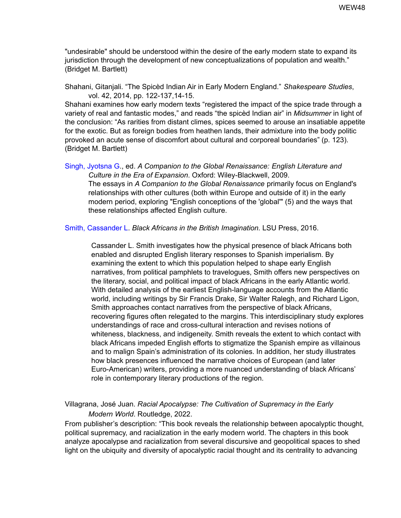"undesirable" should be understood within the desire of the early modern state to expand its jurisdiction through the development of new conceptualizations of population and wealth." (Bridget M. Bartlett)

Shahani, Gitanjali. "The Spicèd Indian Air in Early Modern England." *Shakespeare Studies*, vol. 42, 2014, pp. 122-137,14-15.

Shahani examines how early modern texts "registered the impact of the spice trade through a variety of real and fantastic modes," and reads "the spicèd Indian air" in *Midsummer* in light of the conclusion: "As rarities from distant climes, spices seemed to arouse an insatiable appetite for the exotic. But as foreign bodies from heathen lands, their admixture into the body politic provoked an acute sense of discomfort about cultural and corporeal boundaries" (p. 123). (Bridget M. Bartlett)

Singh, Jyotsna G., ed. *A Companion to the Global Renaissance: English Literature and Culture in the Era of Expansion*. Oxford: Wiley-Blackwell, 2009.

The essays in *A Companion to the Global Renaissance* primarily focus on England's relationships with other cultures (both within Europe and outside of it) in the early modern period, exploring "English conceptions of the 'global'" (5) and the ways that these relationships affected English culture.

Smith, Cassander L. *Black Africans in the British Imagination.* LSU Press, 2016.

Cassander L. Smith investigates how the physical presence of black Africans both enabled and disrupted English literary responses to Spanish imperialism. By examining the extent to which this population helped to shape early English narratives, from political pamphlets to travelogues, Smith offers new perspectives on the literary, social, and political impact of black Africans in the early Atlantic world. With detailed analysis of the earliest English-language accounts from the Atlantic world, including writings by Sir Francis Drake, Sir Walter Ralegh, and Richard Ligon, Smith approaches contact narratives from the perspective of black Africans, recovering figures often relegated to the margins. This interdisciplinary study explores understandings of race and cross-cultural interaction and revises notions of whiteness, blackness, and indigeneity. Smith reveals the extent to which contact with black Africans impeded English efforts to stigmatize the Spanish empire as villainous and to malign Spain's administration of its colonies. In addition, her study illustrates how black presences influenced the narrative choices of European (and later Euro-American) writers, providing a more nuanced understanding of black Africans' role in contemporary literary productions of the region.

Villagrana, José Juan. *Racial Apocalypse: The Cultivation of Supremacy in the Early Modern World*. Routledge, 2022.

From publisher's description: "This book reveals the relationship between apocalyptic thought, political supremacy, and racialization in the early modern world. The chapters in this book analyze apocalypse and racialization from several discursive and geopolitical spaces to shed light on the ubiquity and diversity of apocalyptic racial thought and its centrality to advancing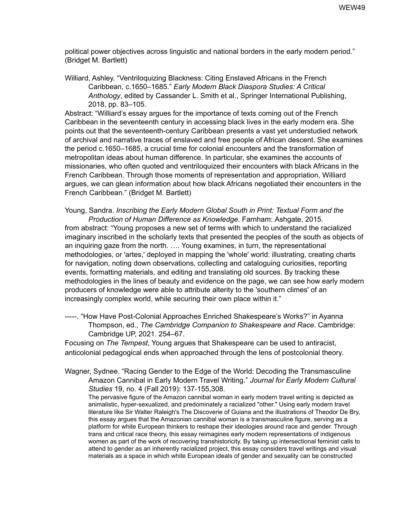political power objectives across linguistic and national borders in the early modern period." (Bridget M. Bartlett)

Williard, Ashley. "Ventriloquizing Blackness: Citing Enslaved Africans in the French Caribbean, c.1650–1685." *Early Modern Black Diaspora Studies: A Critical Anthology*, edited by Cassander L. Smith et al., Springer International Publishing, 2018, pp. 83–105.

Abstract: "Williard's essay argues for the importance of texts coming out of the French Caribbean in the seventeenth century in accessing black lives in the early modern era. She points out that the seventeenth-century Caribbean presents a vast yet understudied network of archival and narrative traces of enslaved and free people of African descent. She examines the period c.1650–1685, a crucial time for colonial encounters and the transformation of metropolitan ideas about human difference. In particular, she examines the accounts of missionaries, who often quoted and ventriloquized their encounters with black Africans in the French Caribbean. Through those moments of representation and appropriation, Williard argues, we can glean information about how black Africans negotiated their encounters in the French Caribbean." (Bridget M. Bartlett)

Young, Sandra. *Inscribing the Early Modern Global South in Print: Textual Form and the Production of Human Difference as Knowledge*. Farnham: Ashgate, 2015.

from abstract: "Young proposes a new set of terms with which to understand the racialized imaginary inscribed in the scholarly texts that presented the peoples of the south as objects of an inquiring gaze from the north. …. Young examines, in turn, the representational methodologies, or 'artes,' deployed in mapping the 'whole' world: illustrating, creating charts for navigation, noting down observations, collecting and cataloguing curiosities, reporting events, formatting materials, and editing and translating old sources. By tracking these methodologies in the lines of beauty and evidence on the page, we can see how early modern producers of knowledge were able to attribute alterity to the 'southern climes' of an increasingly complex world, while securing their own place within it."

-----. "How Have Post-Colonial Approaches Enriched Shakespeare's Works?" in Ayanna Thompson, ed., *The Cambridge Companion to Shakespeare and Race*. Cambridge: Cambridge UP, 2021. 254–67.

Focusing on *The Tempest*, Young argues that Shakespeare can be used to antiracist, anticolonial pedagogical ends when approached through the lens of postcolonial theory.

Wagner, Sydnee. "Racing Gender to the Edge of the World: Decoding the Transmasculine Amazon Cannibal in Early Modern Travel Writing." *Journal for Early Modern Cultural Studies* 19, no. 4 (Fall 2019): 137-155,308.

The pervasive figure of the Amazon cannibal woman in early modern travel writing is depicted as animalistic, hyper-sexualized, and predominately a racialized "other." Using early modern travel literature like Sir Walter Raleigh's The Discoverie of Guiana and the illustrations of Theodor De Bry, this essay argues that the Amazonian cannibal woman is a transmasculine figure, serving as a platform for white European thinkers to reshape their ideologies around race and gender. Through trans and critical race theory, this essay reimagines early modern representations of indigenous women as part of the work of recovering transhistoricity. By taking up intersectional feminist calls to attend to gender as an inherently racialized project, this essay considers travel writings and visual materials as a space in which white European ideals of gender and sexuality can be constructed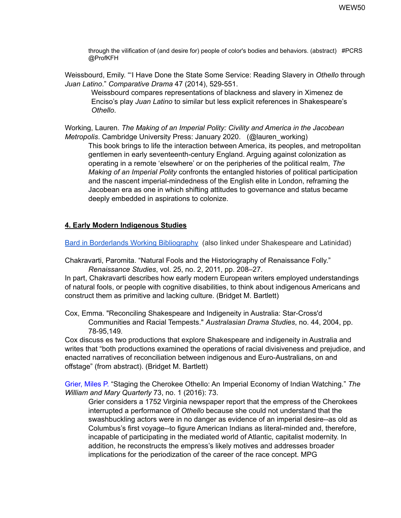through the vilification of (and desire for) people of color's bodies and behaviors. (abstract) #PCRS @ProfKFH

Weissbourd, Emily. "'I Have Done the State Some Service: Reading Slavery in *Othello* through *Juan Latino*." *Comparative Drama* 47 (2014), 529-551.

Weissbourd compares representations of blackness and slavery in Ximenez de Enciso's play *Juan Latino* to similar but less explicit references in Shakespeare's *Othello*.

Working, Lauren. *The Making of an Imperial Polity: Civility and America in the Jacobean Metropolis*. Cambridge University Press: January 2020. (@lauren\_working)

This book brings to life the interaction between America, its peoples, and metropolitan gentlemen in early seventeenth-century England. Arguing against colonization as operating in a remote 'elsewhere' or on the peripheries of the political realm, *The Making of an Imperial Polity* confronts the entangled histories of political participation and the nascent imperial-mindedness of the English elite in London, reframing the Jacobean era as one in which shifting attitudes to governance and status became deeply embedded in aspirations to colonize.

## **4. Early Modern Indigenous Studies**

Bard in Borderlands Working [Bibliography](https://docs.google.com/document/d/1znq62pLLRfEjsFK-7PeasoEn8U7YenxpUJr_-a3ic84/edit?usp=sharing) (also linked under Shakespeare and Latinidad)

Chakravarti, Paromita. "Natural Fools and the Historiography of Renaissance Folly." *Renaissance Studies*, vol. 25, no. 2, 2011, pp. 208–27.

In part, Chakravarti describes how early modern European writers employed understandings of natural fools, or people with cognitive disabilities, to think about indigenous Americans and construct them as primitive and lacking culture. (Bridget M. Bartlett)

Cox, Emma. "Reconciling Shakespeare and Indigeneity in Australia: Star-Cross'd Communities and Racial Tempests." *Australasian Drama Studies*, no. 44, 2004, pp. 78-95,149*.*

Cox discuss es two productions that explore Shakespeare and indigeneity in Australia and writes that "both productions examined the operations of racial divisiveness and prejudice, and enacted narratives of reconciliation between indigenous and Euro-Australians, on and offstage" (from abstract). (Bridget M. Bartlett)

Grier, Miles P. "Staging the Cherokee Othello: An Imperial Economy of Indian Watching." *The William and Mary Quarterly* 73, no. 1 (2016): 73.

Grier considers a 1752 Virginia newspaper report that the empress of the Cherokees interrupted a performance of *Othello* because she could not understand that the swashbuckling actors were in no danger as evidence of an imperial desire--as old as Columbus's first voyage--to figure American Indians as literal-minded and, therefore, incapable of participating in the mediated world of Atlantic, capitalist modernity. In addition, he reconstructs the empress's likely motives and addresses broader implications for the periodization of the career of the race concept. MPG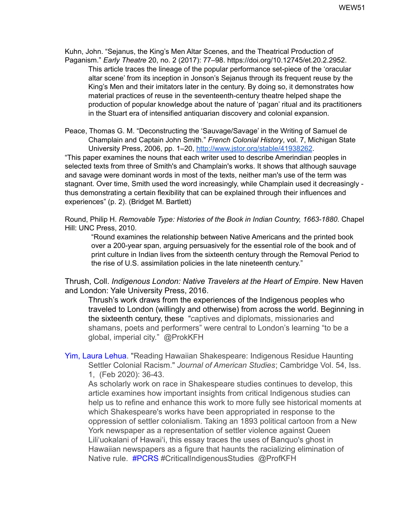Kuhn, John. "Sejanus, the King's Men Altar Scenes, and the Theatrical Production of Paganism." *Early Theatre* 20, no. 2 (2017): 77–98. https://doi.org/10.12745/et.20.2.2952.

This article traces the lineage of the popular performance set-piece of the 'oracular altar scene' from its inception in Jonson's Sejanus through its frequent reuse by the King's Men and their imitators later in the century. By doing so, it demonstrates how material practices of reuse in the seventeenth-century theatre helped shape the production of popular knowledge about the nature of 'pagan' ritual and its practitioners in the Stuart era of intensified antiquarian discovery and colonial expansion.

Peace, Thomas G. M. "Deconstructing the 'Sauvage/Savage' in the Writing of Samuel de Champlain and Captain John Smith." *French Colonial History*, vol. 7, Michigan State University Press, 2006, pp. 1–20, <http://www.jstor.org/stable/41938262>.

"This paper examines the nouns that each writer used to describe Amerindian peoples in selected texts from three of Smith's and Champlain's works. It shows that although sauvage and savage were dominant words in most of the texts, neither man's use of the term was stagnant. Over time, Smith used the word increasingly, while Champlain used it decreasingly thus demonstrating a certain flexibility that can be explained through their influences and experiences" (p. 2). (Bridget M. Bartlett)

Round, Philip H. *Removable Type: Histories of the Book in Indian Country, 1663-1880*. Chapel Hill: UNC Press, 2010.

"Round examines the relationship between Native Americans and the printed book over a 200-year span, arguing persuasively for the essential role of the book and of print culture in Indian lives from the sixteenth century through the Removal Period to the rise of U.S. assimilation policies in the late nineteenth century."

Thrush, Coll. *Indigenous London: Native Travelers at the Heart of Empire*. New Haven and London: Yale University Press, 2016.

Thrush's work draws from the experiences of the Indigenous peoples who traveled to London (willingly and otherwise) from across the world. Beginning in the sixteenth century, these "captives and diplomats, missionaries and shamans, poets and performers" were central to London's learning "to be a global, imperial city." @ProkKFH

Yim, Laura Lehua. "Reading Hawaiian Shakespeare: Indigenous Residue Haunting Settler Colonial Racism." *Journal of American Studies*; Cambridge Vol. 54, Iss. 1, (Feb 2020): 36-43.

As scholarly work on race in Shakespeare studies continues to develop, this article examines how important insights from critical Indigenous studies can help us to refine and enhance this work to more fully see historical moments at which Shakespeare's works have been appropriated in response to the oppression of settler colonialism. Taking an 1893 political cartoon from a New York newspaper as a representation of settler violence against Queen Lili'uokalani of Hawai'i, this essay traces the uses of Banquo's ghost in Hawaiian newspapers as a figure that haunts the racializing elimination of Native rule. #PCRS #CriticalIndigenousStudies @ProfKFH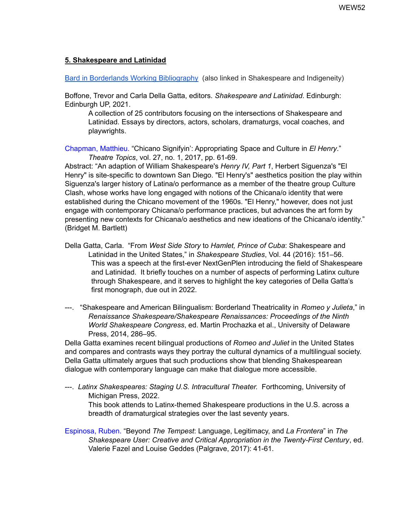### **5. Shakespeare and Latinidad**

Bard in Borderlands Working [Bibliography](https://docs.google.com/document/d/1znq62pLLRfEjsFK-7PeasoEn8U7YenxpUJr_-a3ic84/edit?usp=sharing) (also linked in Shakespeare and Indigeneity)

Boffone, Trevor and Carla Della Gatta, editors. *Shakespeare and Latinidad*. Edinburgh: Edinburgh UP, 2021.

A collection of 25 contributors focusing on the intersections of Shakespeare and Latinidad. Essays by directors, actors, scholars, dramaturgs, vocal coaches, and playwrights.

Chapman, Matthieu. "Chicano Signifyin': Appropriating Space and Culture in *El Henry*." *Theatre Topics*, vol. 27, no. 1, 2017, pp. 61-69.

Abstract: "An adaption of William Shakespeare's *Henry IV, Part 1*, Herbert Siguenza's "El Henry" is site-specific to downtown San Diego. "El Henry's" aesthetics position the play within Siguenza's larger history of Latina/o performance as a member of the theatre group Culture Clash, whose works have long engaged with notions of the Chicana/o identity that were established during the Chicano movement of the 1960s. "El Henry," however, does not just engage with contemporary Chicana/o performance practices, but advances the art form by presenting new contexts for Chicana/o aesthetics and new ideations of the Chicana/o identity." (Bridget M. Bartlett)

- Della Gatta, Carla. "From *West Side Story* to *Hamlet, Prince of Cuba*: Shakespeare and Latinidad in the United States," in *Shakespeare Studies*, Vol. 44 (2016): 151–56. This was a speech at the first-ever NextGenPlen introducing the field of Shakespeare and Latinidad. It briefly touches on a number of aspects of performing Latinx culture through Shakespeare, and it serves to highlight the key categories of Della Gatta's first monograph, due out in 2022.
- ---. "Shakespeare and American Bilingualism: Borderland Theatricality in *Romeo y Julieta*," in *Renaissance Shakespeare/Shakespeare Renaissances: Proceedings of the Ninth World Shakespeare Congress*, ed. Martin Prochazka et al., University of Delaware Press, 2014, 286–95.

Della Gatta examines recent bilingual productions of *Romeo and Juliet* in the United States and compares and contrasts ways they portray the cultural dynamics of a multilingual society. Della Gatta ultimately argues that such productions show that blending Shakespearean dialogue with contemporary language can make that dialogue more accessible.

---. *Latinx Shakespeares: Staging U.S. Intracultural Theater.* Forthcoming, University of Michigan Press, 2022.

This book attends to Latinx-themed Shakespeare productions in the U.S. across a breadth of dramaturgical strategies over the last seventy years.

Espinosa, Ruben. "Beyond *The Tempest*: Language, Legitimacy, and *La Frontera*" in *The Shakespeare User: Creative and Critical Appropriation in the Twenty-First Century*, ed. Valerie Fazel and Louise Geddes (Palgrave, 2017): 41-61.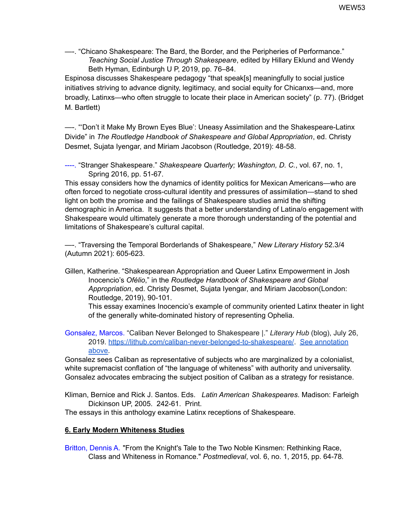—-. "Chicano Shakespeare: The Bard, the Border, and the Peripheries of Performance." *Teaching Social Justice Through Shakespeare*, edited by Hillary Eklund and Wendy Beth Hyman, Edinburgh U P, 2019, pp. 76–84.

Espinosa discusses Shakespeare pedagogy "that speak[s] meaningfully to social justice initiatives striving to advance dignity, legitimacy, and social equity for Chicanxs—and, more broadly, Latinxs—who often struggle to locate their place in American society" (p. 77). (Bridget M. Bartlett)

—-. "'Don't it Make My Brown Eyes Blue': Uneasy Assimilation and the Shakespeare-Latinx Divide" in *The Routledge Handbook of Shakespeare and Global Appropriation*, ed. Christy Desmet, Sujata Iyengar, and Miriam Jacobson (Routledge, 2019): 48-58.

----. "Stranger Shakespeare." *Shakespeare Quarterly; Washington, D. C.*, vol. 67, no. 1, Spring 2016, pp. 51-67.

This essay considers how the dynamics of identity politics for Mexican Americans—who are often forced to negotiate cross-cultural identity and pressures of assimilation—stand to shed light on both the promise and the failings of Shakespeare studies amid the shifting demographic in America. It suggests that a better understanding of Latina/o engagement with Shakespeare would ultimately generate a more thorough understanding of the potential and limitations of Shakespeare's cultural capital.

—-. "Traversing the Temporal Borderlands of Shakespeare," *New Literary History* 52.3/4 (Autumn 2021): 605-623.

Gillen, Katherine. "Shakespearean Appropriation and Queer Latinx Empowerment in Josh Inocencio's *Ofélio*," in the *Routledge Handbook of Shakespeare and Global Appropriation*, ed. Christy Desmet, Sujata Iyengar, and Miriam Jacobson(London: Routledge, 2019), 90-101.

This essay examines Inocencio's example of community oriented Latinx theater in light of the generally white-dominated history of representing Ophelia.

Gonsalez, Marcos. "Caliban Never Belonged to Shakespeare |." *Literary Hub* (blog), July 26, 2019. <https://lithub.com/caliban-never-belonged-to-shakespeare/>. See annotation above.

Gonsalez sees Caliban as representative of subjects who are marginalized by a colonialist, white supremacist conflation of "the language of whiteness" with authority and universality. Gonsalez advocates embracing the subject position of Caliban as a strategy for resistance.

Kliman, Bernice and Rick J. Santos. Eds. *Latin American Shakespeares*. Madison: Farleigh Dickinson UP, 2005. 242-61. Print.

The essays in this anthology examine Latinx receptions of Shakespeare.

# **6. Early Modern Whiteness Studies**

Britton, Dennis A. "From the Knight's Tale to the Two Noble Kinsmen: Rethinking Race, Class and Whiteness in Romance." *Postmedieval*, vol. 6, no. 1, 2015, pp. 64-78*.*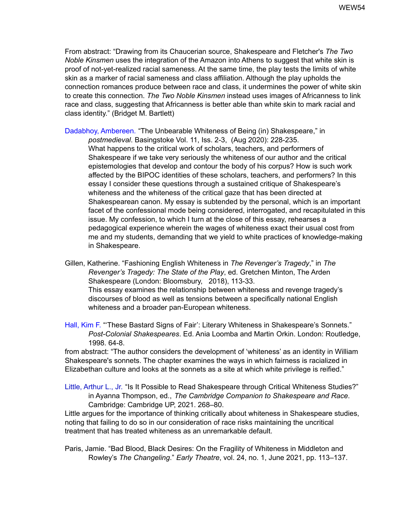From abstract: "Drawing from its Chaucerian source, Shakespeare and Fletcher's *The Two Noble Kinsmen* uses the integration of the Amazon into Athens to suggest that white skin is proof of not-yet-realized racial sameness. At the same time, the play tests the limits of white skin as a marker of racial sameness and class affiliation. Although the play upholds the connection romances produce between race and class, it undermines the power of white skin to create this connection. *The Two Noble Kinsmen* instead uses images of Africanness to link race and class, suggesting that Africanness is better able than white skin to mark racial and class identity." (Bridget M. Bartlett)

Dadabhoy, Ambereen. "The Unbearable Whiteness of Being (in) Shakespeare," in

*postmedieval*. Basingstoke Vol. 11, Iss. 2-3, (Aug 2020): 228-235. What happens to the critical work of scholars, teachers, and performers of Shakespeare if we take very seriously the whiteness of our author and the critical epistemologies that develop and contour the body of his corpus? How is such work affected by the BIPOC identities of these scholars, teachers, and performers? In this essay I consider these questions through a sustained critique of Shakespeare's whiteness and the whiteness of the critical gaze that has been directed at Shakespearean canon. My essay is subtended by the personal, which is an important facet of the confessional mode being considered, interrogated, and recapitulated in this issue. My confession, to which I turn at the close of this essay, rehearses a pedagogical experience wherein the wages of whiteness exact their usual cost from me and my students, demanding that we yield to white practices of knowledge-making in Shakespeare.

Gillen, Katherine. "Fashioning English Whiteness in *The Revenger's Tragedy*," in *The Revenger's Tragedy: The State of the Play*, ed. Gretchen Minton, The Arden Shakespeare (London: Bloomsbury, 2018), 113-33. This essay examines the relationship between whiteness and revenge tragedy's discourses of blood as well as tensions between a specifically national English whiteness and a broader pan-European whiteness.

Hall, Kim F. "'These Bastard Signs of Fair': Literary Whiteness in Shakespeare's Sonnets." *Post-Colonial Shakespeares*. Ed. Ania Loomba and Martin Orkin. London: Routledge, 1998. 64-8.

from abstract: "The author considers the development of 'whiteness' as an identity in William Shakespeare's sonnets. The chapter examines the ways in which fairness is racialized in Elizabethan culture and looks at the sonnets as a site at which white privilege is reified."

Little, Arthur L., Jr. "Is It Possible to Read Shakespeare through Critical Whiteness Studies?" in Ayanna Thompson, ed., *The Cambridge Companion to Shakespeare and Race*. Cambridge: Cambridge UP, 2021. 268–80.

Little argues for the importance of thinking critically about whiteness in Shakespeare studies, noting that failing to do so in our consideration of race risks maintaining the uncritical treatment that has treated whiteness as an unremarkable default.

Paris, Jamie. "Bad Blood, Black Desires: On the Fragility of Whiteness in Middleton and Rowley's *The Changeling*." *Early Theatre*, vol. 24, no. 1, June 2021, pp. 113–137.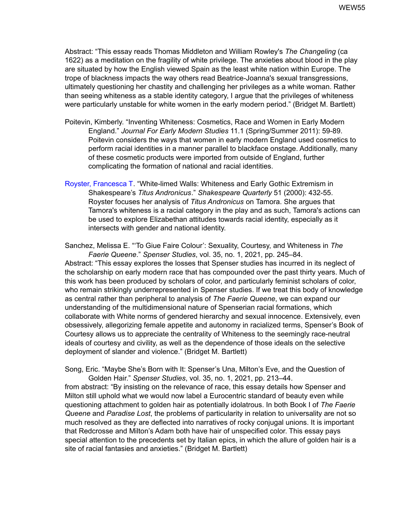Abstract: "This essay reads Thomas Middleton and William Rowley's *The Changeling* (ca 1622) as a meditation on the fragility of white privilege. The anxieties about blood in the play are situated by how the English viewed Spain as the least white nation within Europe. The trope of blackness impacts the way others read Beatrice-Joanna's sexual transgressions, ultimately questioning her chastity and challenging her privileges as a white woman. Rather than seeing whiteness as a stable identity category, I argue that the privileges of whiteness were particularly unstable for white women in the early modern period." (Bridget M. Bartlett)

- Poitevin, Kimberly. "Inventing Whiteness: Cosmetics, Race and Women in Early Modern England." *Journal For Early Modern Studies* 11.1 (Spring/Summer 2011): 59-89. Poitevin considers the ways that women in early modern England used cosmetics to perform racial identities in a manner parallel to blackface onstage. Additionally, many of these cosmetic products were imported from outside of England, further complicating the formation of national and racial identities.
- Royster, Francesca T. "White-limed Walls: Whiteness and Early Gothic Extremism in Shakespeare's *Titus Andronicus*." *Shakespeare Quarterly* 51 (2000): 432-55. Royster focuses her analysis of *Titus Andronicus* on Tamora. She argues that Tamora's whiteness is a racial category in the play and as such, Tamora's actions can be used to explore Elizabethan attitudes towards racial identity, especially as it intersects with gender and national identity.

Sanchez, Melissa E. "'To Giue Faire Colour': Sexuality, Courtesy, and Whiteness in *The Faerie Queene*." *Spenser Studies*, vol. 35, no. 1, 2021, pp. 245–84. Abstract: "This essay explores the losses that Spenser studies has incurred in its neglect of the scholarship on early modern race that has compounded over the past thirty years. Much of this work has been produced by scholars of color, and particularly feminist scholars of color, who remain strikingly underrepresented in Spenser studies. If we treat this body of knowledge as central rather than peripheral to analysis of *The Faerie Queene*, we can expand our understanding of the multidimensional nature of Spenserian racial formations, which collaborate with White norms of gendered hierarchy and sexual innocence. Extensively, even obsessively, allegorizing female appetite and autonomy in racialized terms, Spenser's Book of Courtesy allows us to appreciate the centrality of Whiteness to the seemingly race-neutral ideals of courtesy and civility, as well as the dependence of those ideals on the selective deployment of slander and violence." (Bridget M. Bartlett)

Song, Eric. "Maybe She's Born with It: Spenser's Una, Milton's Eve, and the Question of Golden Hair." *Spenser Studies*, vol. 35, no. 1, 2021, pp. 213–44.

from abstract: "By insisting on the relevance of race, this essay details how Spenser and Milton still uphold what we would now label a Eurocentric standard of beauty even while questioning attachment to golden hair as potentially idolatrous. In both Book I of *The Faerie Queene* and *Paradise Lost*, the problems of particularity in relation to universality are not so much resolved as they are deflected into narratives of rocky conjugal unions. It is important that Redcrosse and Milton's Adam both have hair of unspecified color. This essay pays special attention to the precedents set by Italian epics, in which the allure of golden hair is a site of racial fantasies and anxieties." (Bridget M. Bartlett)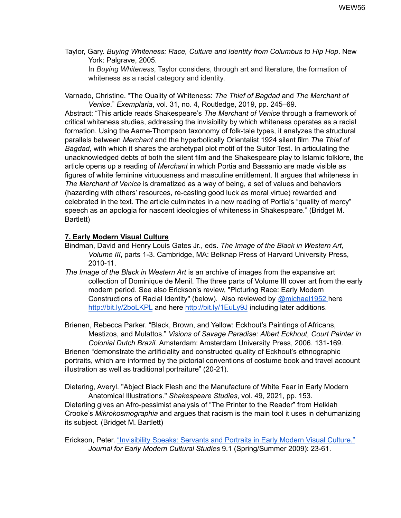Taylor, Gary. *Buying Whiteness: Race, Culture and Identity from Columbus to Hip Hop*. New York: Palgrave, 2005.

In *Buying Whiteness*, Taylor considers, through art and literature, the formation of whiteness as a racial category and identity.

Varnado, Christine. "The Quality of Whiteness: *The Thief of Bagdad* and *The Merchant of Venice*." *Exemplaria*, vol. 31, no. 4, Routledge, 2019, pp. 245–69.

Abstract: "This article reads Shakespeare's *The Merchant of Venice* through a framework of critical whiteness studies, addressing the invisibility by which whiteness operates as a racial formation. Using the Aarne-Thompson taxonomy of folk-tale types, it analyzes the structural parallels between *Merchant* and the hyperbolically Orientalist 1924 silent film *The Thief of Bagdad*, with which it shares the archetypal plot motif of the Suitor Test. In articulating the unacknowledged debts of both the silent film and the Shakespeare play to Islamic folklore, the article opens up a reading of *Merchant* in which Portia and Bassanio are made visible as figures of white feminine virtuousness and masculine entitlement. It argues that whiteness in *The Merchant of Venice* is dramatized as a way of being, a set of values and behaviors (hazarding with others' resources, re-casting good luck as moral virtue) rewarded and celebrated in the text. The article culminates in a new reading of Portia's "quality of mercy" speech as an apologia for nascent ideologies of whiteness in Shakespeare." (Bridget M. Bartlett)

### **7. Early Modern Visual Culture**

- Bindman, David and Henry Louis Gates Jr., eds. *The Image of the Black in Western Art, Volume III*, parts 1-3. Cambridge, MA: Belknap Press of Harvard University Press, 2010-11.
- *The Image of the Black in Western Art* is an archive of images from the expansive art collection of Dominique de Menil. The three parts of Volume III cover art from the early modern period. See also Erickson's review, "Picturing Race: Early Modern Constructions of Racial Identity" (below). Also reviewed by [@michael1952](https://twitter.com/michael1952) here <http://bit.ly/2boLKPL> and here <http://bit.ly/1EuLy9J> including later additions.

Brienen, Rebecca Parker. "Black, Brown, and Yellow: Eckhout's Paintings of Africans, Mestizos, and Mulattos." *Visions of Savage Paradise: Albert Eckhout, Court Painter in Colonial Dutch Brazil.* Amsterdam: Amsterdam University Press, 2006. 131-169. Brienen "demonstrate the artificiality and constructed quality of Eckhout's ethnographic portraits, which are informed by the pictorial conventions of costume book and travel account illustration as well as traditional portraiture" (20-21).

Dietering, Averyl. "Abject Black Flesh and the Manufacture of White Fear in Early Modern Anatomical Illustrations." *Shakespeare Studies*, vol. 49, 2021, pp. 153*.*

Dieterling gives an Afro-pessimist analysis of "The Printer to the Reader" from Helkiah Crooke's *Mikrokosmographia* and argues that racism is the main tool it uses in dehumanizing its subject. (Bridget M. Bartlett)

Erickson, Peter. ["Invisibility](https://huminst.uic.edu/docs/default-source/research/erickson-2009.pdf?sfvrsn=0&sfvrsn=0) Speaks: Servants and Portraits in Early Modern Visual Culture." *Journal for Early Modern Cultural Studies* 9.1 (Spring/Summer 2009): 23-61.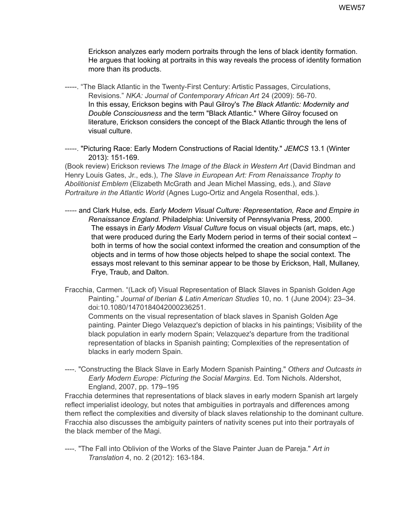Erickson analyzes early modern portraits through the lens of black identity formation. He argues that looking at portraits in this way reveals the process of identity formation more than its products.

-----. "The Black Atlantic in the Twenty-First Century: Artistic Passages, Circulations, Revisions." *NKA: Journal of Contemporary African Art* 24 (2009): 56-70. In this essay, Erickson begins with Paul Gilroy's *The Black Atlantic: Modernity and Double Consciousness* and the term "Black Atlantic." Where Gilroy focused on literature, Erickson considers the concept of the Black Atlantic through the lens of visual culture.

-----. "Picturing Race: Early Modern Constructions of Racial Identity." *JEMCS* 13.1 (Winter 2013): 151-169.

(Book review) Erickson reviews *The Image of the Black in Western Art* (David Bindman and Henry Louis Gates, Jr., eds.), *The Slave in European Art: From Renaissance Trophy to Abolitionist Emblem* (Elizabeth McGrath and Jean Michel Massing, eds.), and *Slave Portraiture in the Atlantic World* (Agnes Lugo-Ortiz and Angela Rosenthal, eds.).

- ----- and Clark Hulse, eds. *Early Modern Visual Culture: Representation, Race and Empire in Renaissance England.* Philadelphia: University of Pennsylvania Press, 2000. The essays in *Early Modern Visual Culture* focus on visual objects (art, maps, etc.) that were produced during the Early Modern period in terms of their social context – both in terms of how the social context informed the creation and consumption of the objects and in terms of how those objects helped to shape the social context. The essays most relevant to this seminar appear to be those by Erickson, Hall, Mullaney, Frye, Traub, and Dalton.
- Fracchia, Carmen. "(Lack of) Visual Representation of Black Slaves in Spanish Golden Age Painting." *Journal of Iberian & Latin American Studies* 10, no. 1 (June 2004): 23–34. doi:10.1080/1470184042000236251.

Comments on the visual representation of black slaves in Spanish Golden Age painting. Painter Diego Velazquez's depiction of blacks in his paintings; Visibility of the black population in early modern Spain; Velazquez's departure from the traditional representation of blacks in Spanish painting; Complexities of the representation of blacks in early modern Spain.

----. "Constructing the Black Slave in Early Modern Spanish Painting." *Others and Outcasts in Early Modern Europe: Picturing the Social Margins*. Ed. Tom Nichols. Aldershot, England, 2007, pp. 179–195

Fracchia determines that representations of black slaves in early modern Spanish art largely reflect imperialist ideology, but notes that ambiguities in portrayals and differences among them reflect the complexities and diversity of black slaves relationship to the dominant culture. Fracchia also discusses the ambiguity painters of nativity scenes put into their portrayals of the black member of the Magi.

----. "The Fall into Oblivion of the Works of the Slave Painter Juan de Pareja." *Art in Translation* 4, no. 2 (2012): 163-184.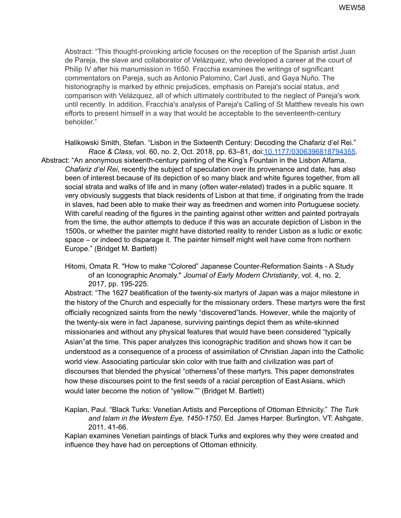Abstract: "This thought-provoking article focuses on the reception of the Spanish artist Juan de Pareja, the slave and collaborator of Velázquez, who developed a career at the court of Philip IV after his manumission in 1650. Fracchia examines the writings of significant commentators on Pareja, such as Antonio Palomino, Carl Justi, and Gaya Nuño. The historiography is marked by ethnic prejudices, emphasis on Pareja's social status, and comparison with Velázquez, all of which ultimately contributed to the neglect of Pareja's work until recently. In addition, Fracchia's analysis of Pareja's Calling of St Matthew reveals his own efforts to present himself in a way that would be acceptable to the seventeenth-century beholder."

Halikowski Smith, Stefan. "Lisbon in the Sixteenth Century: Decoding the Chafariz d'el Rei." *Race & Class*, vol. 60, no. 2, Oct. 2018, pp. 63–81, doi[:10.1177/0306396818794355](https://doi-org.umiss.idm.oclc.org/10.1177/0306396818794355). Abstract: "An anonymous sixteenth-century painting of the King's Fountain in the Lisbon Alfama, *Chafariz d'el Rei*, recently the subject of speculation over its provenance and date, has also been of interest because of its depiction of so many black and white figures together, from all social strata and walks of life and in many (often water-related) trades in a public square. It very obviously suggests that black residents of Lisbon at that time, if originating from the trade in slaves, had been able to make their way as freedmen and women into Portuguese society. With careful reading of the figures in the painting against other written and painted portrayals from the time, the author attempts to deduce if this was an accurate depiction of Lisbon in the 1500s, or whether the painter might have distorted reality to render Lisbon as a ludic or exotic space – or indeed to disparage it. The painter himself might well have come from northern Europe." (Bridget M. Bartlett)

Hitomi, Omata R. "How to make "Colored" Japanese Counter-Reformation Saints - A Study of an Iconographic Anomaly." *Journal of Early Modern Christianity*, vol. 4, no. 2, 2017, pp. 195-225*.*

Abstract: "The 1627 beatification of the twenty-six martyrs of Japan was a major milestone in the history of the Church and especially for the missionary orders. These martyrs were the first officially recognized saints from the newly "discovered"lands. However, while the majority of the twenty-six were in fact Japanese, surviving paintings depict them as white-skinned missionaries and without any physical features that would have been considered "typically Asian"at the time. This paper analyzes this iconographic tradition and shows how it can be understood as a consequence of a process of assimilation of Christian Japan into the Catholic world view. Associating particular skin color with true faith and civilization was part of discourses that blended the physical "otherness"of these martyrs. This paper demonstrates how these discourses point to the first seeds of a racial perception of East Asians, which would later become the notion of "yellow."" (Bridget M. Bartlett)

Kaplan, Paul. "Black Turks: Venetian Artists and Perceptions of Ottoman Ethnicity." *The Turk and Islam in the Western Eye, 1450-1750*. Ed. James Harper. Burlington, VT: Ashgate, 2011. 41-66.

Kaplan examines Venetian paintings of black Turks and explores why they were created and influence they have had on perceptions of Ottoman ethnicity.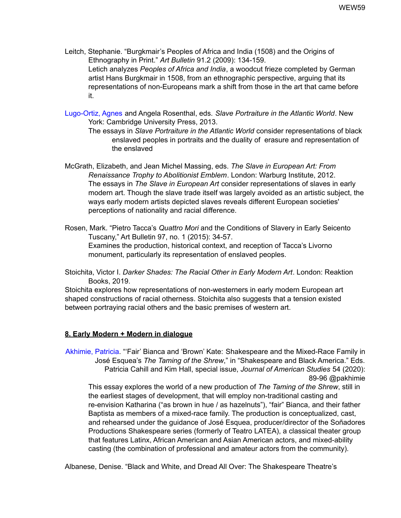- Leitch, Stephanie. "Burgkmair's Peoples of Africa and India (1508) and the Origins of Ethnography in Print." *Art Bulletin* 91.2 (2009): 134-159. Letich analyzes *Peoples of Africa and India*, a woodcut frieze completed by German artist Hans Burgkmair in 1508, from an ethnographic perspective, arguing that its representations of non-Europeans mark a shift from those in the art that came before it.
- Lugo-Ortiz, Agnes and Angela Rosenthal, eds. *Slave Portraiture in the Atlantic World*. New York: Cambridge University Press, 2013.
	- The essays in *Slave Portraiture in the Atlantic World* consider representations of black enslaved peoples in portraits and the duality of erasure and representation of the enslaved
- McGrath, Elizabeth, and Jean Michel Massing, eds. *The Slave in European Art: From Renaissance Trophy to Abolitionist Emblem*. London: Warburg Institute, 2012. The essays in *The Slave in European Art* consider representations of slaves in early modern art. Though the slave trade itself was largely avoided as an artistic subject, the ways early modern artists depicted slaves reveals different European societies' perceptions of nationality and racial difference.
- Rosen, Mark. "Pietro Tacca's *Quattro Mori* and the Conditions of Slavery in Early Seicento Tuscany," Art Bulletin 97, no. 1 (2015): 34-57. Examines the production, historical context, and reception of Tacca's Livorno monument, particularly its representation of enslaved peoples.
- Stoichita, Victor I. *Darker Shades: The Racial Other in Early Modern Art*. London: Reaktion Books, 2019.

Stoichita explores how representations of non-westerners in early modern European art shaped constructions of racial otherness. Stoichita also suggests that a tension existed between portraying racial others and the basic premises of western art.

## **8. Early Modern + Modern in dialogue**

Akhimie, Patricia. "'Fair' Bianca and 'Brown' Kate: Shakespeare and the Mixed-Race Family in José Esquea's *The Taming of the Shrew*," in "Shakespeare and Black America." Eds. Patricia Cahill and Kim Hall, special issue, *Journal of American Studies* 54 (2020): 89-96 @pakhimie

This essay explores the world of a new production of *The Taming of the Shrew*, still in the earliest stages of development, that will employ non-traditional casting and re-envision Katharina ("as brown in hue / as hazelnuts"), "fair" Bianca, and their father Baptista as members of a mixed-race family. The production is conceptualized, cast, and rehearsed under the guidance of José Esquea, producer/director of the Soñadores Productions Shakespeare series (formerly of Teatro LATEA), a classical theater group that features Latinx, African American and Asian American actors, and mixed-ability casting (the combination of professional and amateur actors from the community).

Albanese, Denise. "Black and White, and Dread All Over: The Shakespeare Theatre's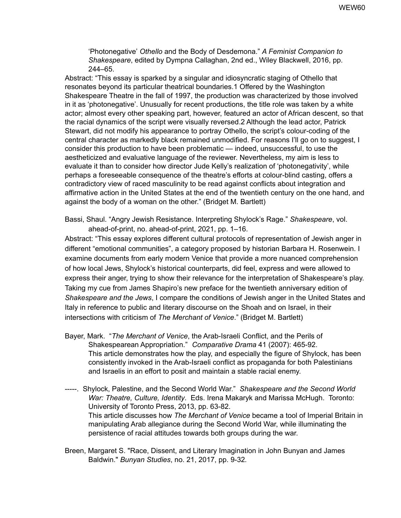'Photonegative' *Othello* and the Body of Desdemona." *A Feminist Companion to Shakespeare*, edited by Dympna Callaghan, 2nd ed., Wiley Blackwell, 2016, pp. 244–65.

Abstract: "This essay is sparked by a singular and idiosyncratic staging of Othello that resonates beyond its particular theatrical boundaries.1 Offered by the Washington Shakespeare Theatre in the fall of 1997, the production was characterized by those involved in it as 'photonegative'. Unusually for recent productions, the title role was taken by a white actor; almost every other speaking part, however, featured an actor of African descent, so that the racial dynamics of the script were visually reversed.2 Although the lead actor, Patrick Stewart, did not modify his appearance to portray Othello, the script's colour-coding of the central character as markedly black remained unmodified. For reasons I'll go on to suggest, I consider this production to have been problematic — indeed, unsuccessful, to use the aestheticized and evaluative language of the reviewer. Nevertheless, my aim is less to evaluate it than to consider how director Jude Kelly's realization of 'photonegativity', while perhaps a foreseeable consequence of the theatre's efforts at colour-blind casting, offers a contradictory view of raced masculinity to be read against conflicts about integration and affirmative action in the United States at the end of the twentieth century on the one hand, and against the body of a woman on the other." (Bridget M. Bartlett)

Bassi, Shaul. "Angry Jewish Resistance. Interpreting Shylock's Rage." *Shakespeare*, vol. ahead-of-print, no. ahead-of-print, 2021, pp. 1–16.

Abstract: "This essay explores different cultural protocols of representation of Jewish anger in different "emotional communities", a category proposed by historian Barbara H. Rosenwein. I examine documents from early modern Venice that provide a more nuanced comprehension of how local Jews, Shylock's historical counterparts, did feel, express and were allowed to express their anger, trying to show their relevance for the interpretation of Shakespeare's play. Taking my cue from James Shapiro's new preface for the twentieth anniversary edition of *Shakespeare and the Jews*, I compare the conditions of Jewish anger in the United States and Italy in reference to public and literary discourse on the Shoah and on Israel, in their intersections with criticism of *The Merchant of Venice*." (Bridget M. Bartlett)

- Bayer, Mark. "*The Merchant of Venice*, the Arab-Israeli Conflict, and the Perils of Shakespearean Appropriation." *Comparative Drama* 41 (2007): 465-92. This article demonstrates how the play, and especially the figure of Shylock, has been consistently invoked in the Arab-Israeli conflict as propaganda for both Palestinians and Israelis in an effort to posit and maintain a stable racial enemy.
- -----. Shylock, Palestine, and the Second World War." *Shakespeare and the Second World War: Theatre, Culture, Identity*. Eds. Irena Makaryk and Marissa McHugh. Toronto: University of Toronto Press, 2013, pp. 63-82. This article discusses how *The Merchant of Venice* became a tool of Imperial Britain in manipulating Arab allegiance during the Second World War, while illuminating the persistence of racial attitudes towards both groups during the war.
- Breen, Margaret S. "Race, Dissent, and Literary Imagination in John Bunyan and James Baldwin." *Bunyan Studies*, no. 21, 2017, pp. 9-32*.*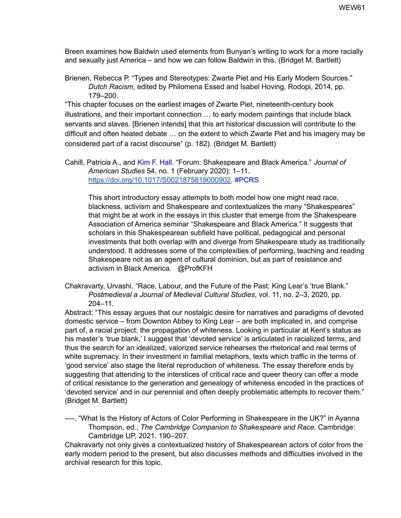Breen examines how Baldwin used elements from Bunyan's writing to work for a more racially and sexually just America – and how we can follow Baldwin in this. (Bridget M. Bartlett)

Brienen, Rebecca P. "Types and Stereotypes: Zwarte Piet and His Early Modern Sources." *Dutch Racism*, edited by Philomena Essed and Isabel Hoving, Rodopi, 2014, pp. 179–200.

"This chapter focuses on the earliest images of Zwarte Piet, nineteenth-century book illustrations, and their important connection … to early modern paintings that include black servants and slaves. [Brienen intends] that this art historical discussion will contribute to the difficult and often heated debate … on the extent to which Zwarte Piet and his imagery may be considered part of a racist discourse" (p. 182). (Bridget M. Bartlett)

Cahill, Patricia A., and Kim F. Hall. "Forum: Shakespeare and Black America." *Journal of American Studies* 54, no. 1 (February 2020): 1–11. [https://doi.org/10.1017/S0021875819000902.](https://doi.org/10.1017/S0021875819000902) #PCRS

This short introductory essay attempts to both model how one might read race, blackness, activism and Shakespeare and contextualizes the many "Shakespeares" that might be at work in the essays in this cluster that emerge from the Shakespeare Association of America seminar "Shakespeare and Black America." It suggests that scholars in this Shakespearean subfield have political, pedagogical and personal investments that both overlap with and diverge from Shakespeare study as traditionally understood. It addresses some of the complexities of performing, teaching and reading Shakespeare not as an agent of cultural dominion, but as part of resistance and activism in Black America. @ProfKFH

Chakravarty, Urvashi. "Race, Labour, and the Future of the Past: King Lear's 'true Blank." *Postmedieval a Journal of Medieval Cultural Studies*, vol. 11, no. 2–3, 2020, pp. 204–11.

Abstract: "This essay argues that our nostalgic desire for narratives and paradigms of devoted domestic service – from Downton Abbey to King Lear – are both implicated in, and comprise part of, a racial project: the propagation of whiteness. Looking in particular at Kent's status as his master's 'true blank,' I suggest that 'devoted service' is articulated in racialized terms, and thus the search for an idealized, valorized service rehearses the rhetorical and real terms of white supremacy. In their investment in familial metaphors, texts which traffic in the terms of 'good service' also stage the literal reproduction of whiteness. The essay therefore ends by suggesting that attending to the interstices of critical race and queer theory can offer a mode of critical resistance to the generation and genealogy of whiteness encoded in the practices of 'devoted service' and in our perennial and often deeply problematic attempts to recover them." (Bridget M. Bartlett)

----. "What Is the History of Actors of Color Performing in Shakespeare in the UK?" in Ayanna Thompson, ed., *The Cambridge Companion to Shakespeare and Race*. Cambridge: Cambridge UP, 2021. 190–207.

Chakravarty not only gives a contextualized history of Shakespearean actors of color from the early modern period to the present, but also discusses methods and difficulties involved in the archival research for this topic.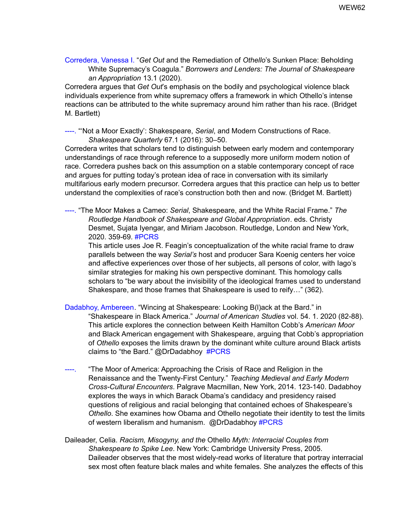Corredera, Vanessa I. "*Get Out* and the Remediation of *Othello*'s Sunken Place: Beholding White Supremacy's Coagula." *Borrowers and Lenders: The Journal of Shakespeare an Appropriation* 13.1 (2020).

Corredera argues that *Get Out*'s emphasis on the bodily and psychological violence black individuals experience from white supremacy offers a framework in which Othello's intense reactions can be attributed to the white supremacy around him rather than his race. (Bridget M. Bartlett)

----. "'Not a Moor Exactly': Shakespeare, *Serial*, and Modern Constructions of Race. *Shakespeare Quarterly* 67.1 (2016): 30–50.

Corredera writes that scholars tend to distinguish between early modern and contemporary understandings of race through reference to a supposedly more uniform modern notion of race. Corredera pushes back on this assumption on a stable contemporary concept of race and argues for putting today's protean idea of race in conversation with its similarly multifarious early modern precursor. Corredera argues that this practice can help us to better understand the complexities of race's construction both then and now. (Bridget M. Bartlett)

----. "The Moor Makes a Cameo: *Serial*, Shakespeare, and the White Racial Frame." *The Routledge Handbook of Shakespeare and Global Appropriation*. eds. Christy Desmet, Sujata Iyengar, and Miriam Jacobson. Routledge, London and New York, 2020. 359-69. #PCRS

This article uses Joe R. Feagin's conceptualization of the white racial frame to draw parallels between the way *Serial's* host and producer Sara Koenig centers her voice and affective experiences over those of her subjects, all persons of color, with Iago's similar strategies for making his own perspective dominant. This homology calls scholars to "be wary about the invisibility of the ideological frames used to understand Shakespare, and those frames that Shakespeare is used to reify…" (362).

Dadabhoy, Ambereen. "Wincing at Shakespeare: Looking B(l)ack at the Bard." in "Shakespeare in Black America." *Journal of American Studies* vol. 54. 1. 2020 (82-88). This article explores the connection between Keith Hamilton Cobb's *American Moor* and Black American engagement with Shakespeare, arguing that Cobb's appropriation of *Othello* exposes the limits drawn by the dominant white culture around Black artists claims to "the Bard." @DrDadabhoy #PCRS

- ----. "The Moor of America: Approaching the Crisis of Race and Religion in the Renaissance and the Twenty-First Century." *Teaching Medieval and Early Modern Cross-Cultural Encounters*. Palgrave Macmillan, New York, 2014. 123-140. Dadabhoy explores the ways in which Barack Obama's candidacy and presidency raised questions of religious and racial belonging that contained echoes of Shakespeare's *Othello*. She examines how Obama and Othello negotiate their identity to test the limits of western liberalism and humanism. @DrDadabhoy #PCRS
- Daileader, Celia. *Racism, Misogyny, and the* Othello *Myth: Interracial Couples from Shakespeare to Spike Lee*. New York: Cambridge University Press, 2005. Daileader observes that the most widely-read works of literature that portray interracial sex most often feature black males and white females. She analyzes the effects of this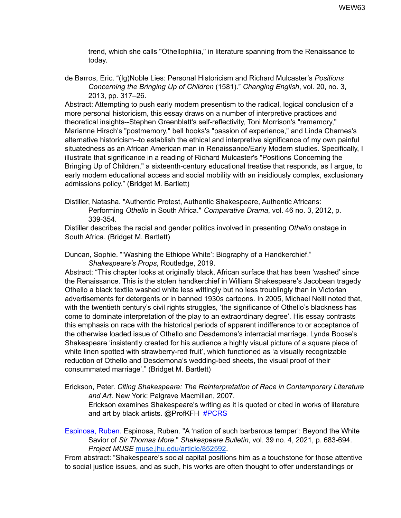trend, which she calls "Othellophilia," in literature spanning from the Renaissance to today.

de Barros, Eric. "(Ig)Noble Lies: Personal Historicism and Richard Mulcaster's *Positions Concerning the Bringing Up of Children* (1581)." *Changing English*, vol. 20, no. 3, 2013, pp. 317–26.

Abstract: Attempting to push early modern presentism to the radical, logical conclusion of a more personal historicism, this essay draws on a number of interpretive practices and theoretical insights--Stephen Greenblatt's self-reflectivity, Toni Morrison's "rememory," Marianne Hirsch's "postmemory," bell hooks's "passion of experience," and Linda Charnes's alternative historicism--to establish the ethical and interpretive significance of my own painful situatedness as an African American man in Renaissance/Early Modern studies. Specifically, I illustrate that significance in a reading of Richard Mulcaster's "Positions Concerning the Bringing Up of Children," a sixteenth-century educational treatise that responds, as I argue, to early modern educational access and social mobility with an insidiously complex, exclusionary admissions policy." (Bridget M. Bartlett)

Distiller, Natasha. "Authentic Protest, Authentic Shakespeare, Authentic Africans:

Performing *Othello* in South Africa." *Comparative Drama*, vol. 46 no. 3, 2012, p. 339-354.

Distiller describes the racial and gender politics involved in presenting *Othello* onstage in South Africa. (Bridget M. Bartlett)

Duncan, Sophie. "'Washing the Ethiope White': Biography of a Handkerchief."

*Shakespeare's Props*, Routledge, 2019.

Abstract: "This chapter looks at originally black, African surface that has been 'washed' since the Renaissance. This is the stolen handkerchief in William Shakespeare's Jacobean tragedy Othello a black textile washed white less wittingly but no less troublingly than in Victorian advertisements for detergents or in banned 1930s cartoons. In 2005, Michael Neill noted that, with the twentieth century's civil rights struggles, 'the significance of Othello's blackness has come to dominate interpretation of the play to an extraordinary degree'. His essay contrasts this emphasis on race with the historical periods of apparent indifference to or acceptance of the otherwise loaded issue of Othello and Desdemona's interracial marriage. Lynda Boose's Shakespeare 'insistently created for his audience a highly visual picture of a square piece of white linen spotted with strawberry-red fruit', which functioned as 'a visually recognizable reduction of Othello and Desdemona's wedding-bed sheets, the visual proof of their consummated marriage'." (Bridget M. Bartlett)

Erickson, Peter. *Citing Shakespeare: The Reinterpretation of Race in Contemporary Literature and Art*. New York: Palgrave Macmillan, 2007.

Erickson examines Shakespeare's writing as it is quoted or cited in works of literature and art by black artists. @ProfKFH #PCRS

Espinosa, Ruben. Espinosa, Ruben. "A 'nation of such barbarous temper': Beyond the White Savior of *Sir Thomas More*." *Shakespeare Bulletin*, vol. 39 no. 4, 2021, p. 683-694. *Project MUSE* [muse.jhu.edu/article/852592](https://muse-jhu-edu.umiss.idm.oclc.org/article/852592).

From abstract: "Shakespeare's social capital positions him as a touchstone for those attentive to social justice issues, and as such, his works are often thought to offer understandings or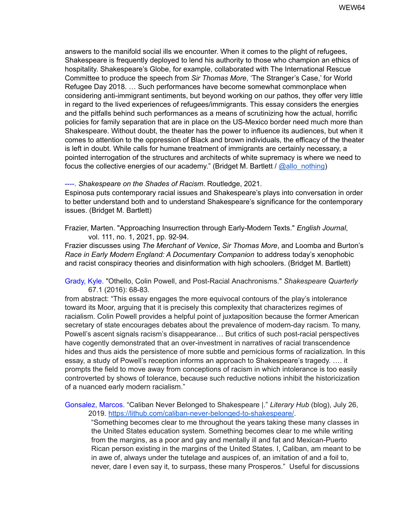answers to the manifold social ills we encounter. When it comes to the plight of refugees, Shakespeare is frequently deployed to lend his authority to those who champion an ethics of hospitality. Shakespeare's Globe, for example, collaborated with The International Rescue Committee to produce the speech from *Sir Thomas More*, 'The Stranger's Case,' for World Refugee Day 2018. … Such performances have become somewhat commonplace when considering anti-immigrant sentiments, but beyond working on our pathos, they offer very little in regard to the lived experiences of refugees/immigrants. This essay considers the energies and the pitfalls behind such performances as a means of scrutinizing how the actual, horrific policies for family separation that are in place on the US-Mexico border need much more than Shakespeare. Without doubt, the theater has the power to influence its audiences, but when it comes to attention to the oppression of Black and brown individuals, the efficacy of the theater is left in doubt. While calls for humane treatment of immigrants are certainly necessary, a pointed interrogation of the structures and architects of white supremacy is where we need to focus the collective energies of our academy." (Bridget M. Bartlett /  $@allowsub>allo$  nothing)

----. *Shakespeare on the Shades of Racism*. Routledge, 2021.

Espinosa puts contemporary racial issues and Shakespeare's plays into conversation in order to better understand both and to understand Shakespeare's significance for the contemporary issues. (Bridget M. Bartlett)

Frazier, Marten. "Approaching Insurrection through Early-Modern Texts." *English Journal*, vol. 111, no. 1, 2021, pp. 92-94*.*

Frazier discusses using *The Merchant of Venice*, *Sir Thomas More*, and Loomba and Burton's *Race in Early Modern England: A Documentary Companion* to address today's xenophobic and racist conspiracy theories and disinformation with high schoolers. (Bridget M. Bartlett)

Grady, Kyle. "Othello, Colin Powell, and Post-Racial Anachronisms." *Shakespeare Quarterly* 67.1 (2016): 68-83.

from abstract: "This essay engages the more equivocal contours of the play's intolerance toward its Moor, arguing that it is precisely this complexity that characterizes regimes of racialism. Colin Powell provides a helpful point of juxtaposition because the former American secretary of state encourages debates about the prevalence of modern-day racism. To many, Powell's ascent signals racism's disappearance… But critics of such post-racial perspectives have cogently demonstrated that an over-investment in narratives of racial transcendence hides and thus aids the persistence of more subtle and pernicious forms of racialization. In this essay, a study of Powell's reception informs an approach to Shakespeare's tragedy. …. it prompts the field to move away from conceptions of racism in which intolerance is too easily controverted by shows of tolerance, because such reductive notions inhibit the historicization of a nuanced early modern racialism."

Gonsalez, Marcos. "Caliban Never Belonged to Shakespeare |." *Literary Hub* (blog), July 26, 2019. <https://lithub.com/caliban-never-belonged-to-shakespeare/>.

"Something becomes clear to me throughout the years taking these many classes in the United States education system. Something becomes clear to me while writing from the margins, as a poor and gay and mentally ill and fat and Mexican-Puerto Rican person existing in the margins of the United States. I, Caliban, am meant to be in awe of, always under the tutelage and auspices of, an imitation of and a foil to, never, dare I even say it, to surpass, these many Prosperos." Useful for discussions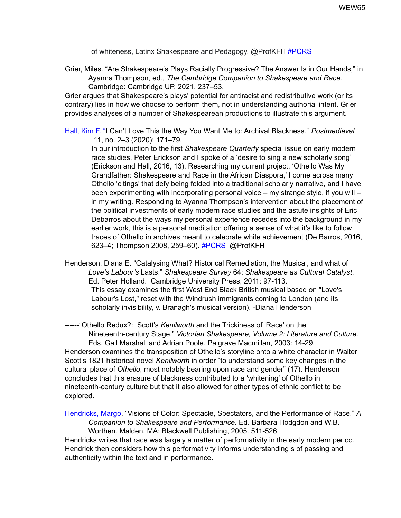of whiteness, Latinx Shakespeare and Pedagogy. @ProfKFH #PCRS

Grier, Miles. "Are Shakespeare's Plays Racially Progressive? The Answer Is in Our Hands," in Ayanna Thompson, ed., *The Cambridge Companion to Shakespeare and Race*. Cambridge: Cambridge UP, 2021. 237–53.

Grier argues that Shakespeare's plays' potential for antiracist and redistributive work (or its contrary) lies in how we choose to perform them, not in understanding authorial intent. Grier provides analyses of a number of Shakespearean productions to illustrate this argument.

Hall, Kim F. "I Can't Love This the Way You Want Me to: Archival Blackness." *Postmedieval* 11, no. 2–3 (2020): 171–79.

In our introduction to the first *Shakespeare Quarterly* special issue on early modern race studies, Peter Erickson and I spoke of a 'desire to sing a new scholarly song' (Erickson and Hall, 2016, 13). Researching my current project, 'Othello Was My Grandfather: Shakespeare and Race in the African Diaspora,' I come across many Othello 'citings' that defy being folded into a traditional scholarly narrative, and I have been experimenting with incorporating personal voice – my strange style, if you will – in my writing. Responding to Ayanna Thompson's intervention about the placement of the political investments of early modern race studies and the astute insights of Eric Debarros about the ways my personal experience recedes into the background in my earlier work, this is a personal meditation offering a sense of what it's like to follow traces of Othello in archives meant to celebrate white achievement (De Barros, 2016, 623–4; Thompson 2008, 259–60). #PCRS @ProfKFH

Henderson, Diana E. "Catalysing What? Historical Remediation, the Musical, and what of *Love's Labour's* Lasts." *Shakespeare Survey* 64: *Shakespeare as Cultural Catalyst*. Ed. Peter Holland. Cambridge University Press, 2011: 97-113. This essay examines the first West End Black British musical based on "Love's Labour's Lost," reset with the Windrush immigrants coming to London (and its scholarly invisibility, v. Branagh's musical version). -Diana Henderson

------"Othello Redux?: Scott's *Kenilworth* and the Trickiness of 'Race' on the Nineteenth-century Stage." *Victorian Shakespeare, Volume 2: Literature and Culture*. Eds. Gail Marshall and Adrian Poole. Palgrave Macmillan, 2003: 14-29. Henderson examines the transposition of Othello's storyline onto a white character in Walter Scott's 1821 historical novel *Kenilworth* in order "to understand some key changes in the cultural place of *Othello*, most notably bearing upon race and gender" (17). Henderson concludes that this erasure of blackness contributed to a 'whitening' of Othello in nineteenth-century culture but that it also allowed for other types of ethnic conflict to be explored.

Hendricks, Margo. "Visions of Color: Spectacle, Spectators, and the Performance of Race." *A Companion to Shakespeare and Performance*. Ed. Barbara Hodgdon and W.B. Worthen. Malden, MA: Blackwell Publishing, 2005. 511-526.

Hendricks writes that race was largely a matter of performativity in the early modern period. Hendrick then considers how this performativity informs understanding s of passing and authenticity within the text and in performance.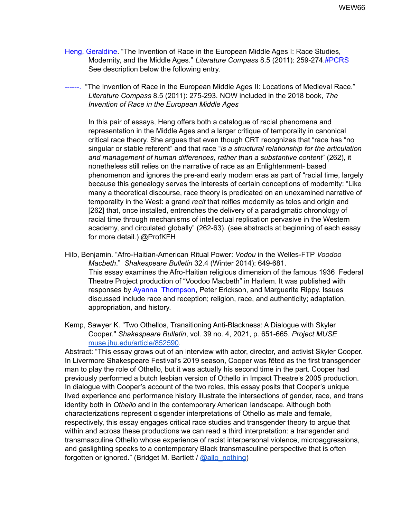- Heng, Geraldine. "The Invention of Race in the European Middle Ages I: Race Studies, Modernity, and the Middle Ages." *Literature Compass* 8.5 (2011): 259-274.#PCRS See description below the following entry.
- ------. "The Invention of Race in the European Middle Ages II: Locations of Medieval Race." *Literature Compass* 8.5 (2011): 275-293. NOW included in the 2018 book, *The Invention of Race in the European Middle Ages*

In this pair of essays, Heng offers both a catalogue of racial phenomena and representation in the Middle Ages and a larger critique of temporality in canonical critical race theory. She argues that even though CRT recognizes that "race has "no singular or stable referent" and that race "*is a structural relationship for the articulation and management of human differences, rather than a substantive content*" (262), it nonetheless still relies on the narrative of race as an Enlightenment- based phenomenon and ignores the pre-and early modern eras as part of "racial time, largely because this genealogy serves the interests of certain conceptions of modernity: "Like many a theoretical discourse, race theory is predicated on an unexamined narrative of temporality in the West: a grand *recit* that reifies modernity as telos and origin and [262] that, once installed, entrenches the delivery of a paradigmatic chronology of racial time through mechanisms of intellectual replication pervasive in the Western academy, and circulated globally" (262-63). (see abstracts at beginning of each essay for more detail.) @ProfKFH

- Hilb, Benjamin. "Afro-Haitian-American Ritual Power: *Vodou* in the Welles-FTP *Voodoo Macbeth*." *Shakespeare Bulletin* 32.4 (Winter 2014): 649-681. This essay examines the Afro-Haitian religious dimension of the famous 1936 Federal Theatre Project production of "Voodoo Macbeth" in Harlem. It was published with responses by Ayanna Thompson, Peter Erickson, and Marguerite Rippy. Issues discussed include race and reception; religion, race, and authenticity; adaptation, appropriation, and history.
- Kemp, Sawyer K. "Two Othellos, Transitioning Anti-Blackness: A Dialogue with Skyler Cooper." *Shakespeare Bulletin*, vol. 39 no. 4, 2021, p. 651-665. *Project MUSE* [muse.jhu.edu/article/852590](https://muse-jhu-edu.umiss.idm.oclc.org/article/852590).

Abstract: "This essay grows out of an interview with actor, director, and activist Skyler Cooper. In Livermore Shakespeare Festival's 2019 season, Cooper was fêted as the first transgender man to play the role of Othello, but it was actually his second time in the part. Cooper had previously performed a butch lesbian version of Othello in Impact Theatre's 2005 production. In dialogue with Cooper's account of the two roles, this essay posits that Cooper's unique lived experience and performance history illustrate the intersections of gender, race, and trans identity both in *Othello* and in the contemporary American landscape. Although both characterizations represent cisgender interpretations of Othello as male and female, respectively, this essay engages critical race studies and transgender theory to argue that within and across these productions we can read a third interpretation: a transgender and transmasculine Othello whose experience of racist interpersonal violence, microaggressions, and gaslighting speaks to a contemporary Black transmasculine perspective that is often forgotten or ignored." (Bridget M. Bartlett / [@allo\\_nothing\)](https://twitter.com/allo_nothing)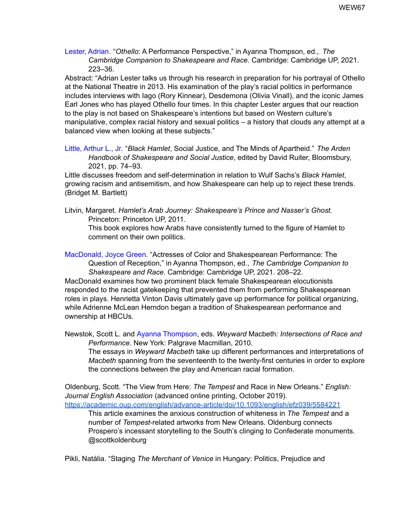Lester, Adrian. "*Othello*: A Performance Perspective," in Ayanna Thompson, ed., *The Cambridge Companion to Shakespeare and Race*. Cambridge: Cambridge UP, 2021. 223–36.

Abstract: "Adrian Lester talks us through his research in preparation for his portrayal of Othello at the National Theatre in 2013. His examination of the play's racial politics in performance includes interviews with Iago (Rory Kinnear), Desdemona (Olivia Vinall), and the iconic James Earl Jones who has played Othello four times. In this chapter Lester argues that our reaction to the play is not based on Shakespeare's intentions but based on Western culture's manipulative, complex racial history and sexual politics – a history that clouds any attempt at a balanced view when looking at these subjects."

Little, Arthur L., Jr. "*Black Hamlet*, Social Justice, and The Minds of Apartheid." *The Arden Handbook of Shakespeare and Social Justice*, edited by David Ruiter, Bloomsbury, 2021, pp. 74–93.

Little discusses freedom and self-determination in relation to Wulf Sachs's *Black Hamlet*, growing racism and antisemitism, and how Shakespeare can help up to reject these trends. (Bridget M. Bartlett)

Litvin, Margaret. *Hamlet's Arab Journey: Shakespeare's Prince and Nasser's Ghost.* Princeton: Princeton UP, 2011.

This book explores how Arabs have consistently turned to the figure of Hamlet to comment on their own politics.

MacDonald, Joyce Green. "Actresses of Color and Shakespearean Performance: The Question of Reception," in Ayanna Thompson, ed., *The Cambridge Companion to Shakespeare and Race*. Cambridge: Cambridge UP, 2021. 208–22. MacDonald examines how two prominent black female Shakespearean elocutionists responded to the racist gatekeeping that prevented them from performing Shakespearean

roles in plays. Henrietta Vinton Davis ultimately gave up performance for political organizing, while Adrienne McLean Herndon began a tradition of Shakespearean performance and ownership at HBCUs.

Newstok, Scott L. and Ayanna Thompson, eds. *Weyward* Macbeth*: Intersections of Race and Performance.* New York: Palgrave Macmillan, 2010.

The essays in *Weyward Macbeth* take up different performances and interpretations of *Macbeth* spanning from the seventeenth to the twenty-first centuries in order to explore the connections between the play and American racial formation.

Oldenburg, Scott. "The View from Here: *The Tempest* and Race in New Orleans." *English: Journal English Association* (advanced online printing, October 2019). <https://academic.oup.com/english/advance-article/doi/10.1093/english/efz039/5584221>

This article examines the anxious construction of whiteness in *The Tempest* and a number of *Tempest*-related artworks from New Orleans. Oldenburg connects Prospero's incessant storytelling to the South's clinging to Confederate monuments. @scottkoldenburg

Pikli, Natália. "Staging *The Merchant of Venice* in Hungary: Politics, Prejudice and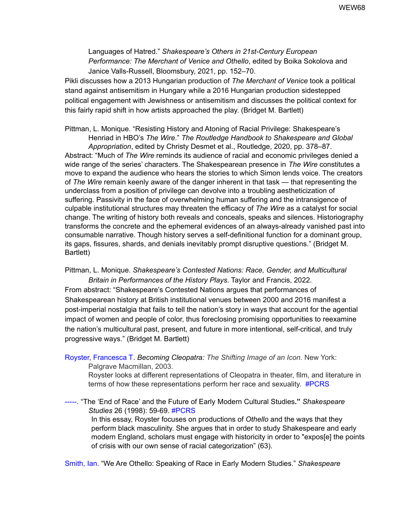Languages of Hatred." *Shakespeare's Others in 21st-Century European Performance: The Merchant of Venice and Othello*, edited by Boika Sokolova and Janice Valls-Russell, Bloomsbury, 2021, pp. 152–70.

Pikli discusses how a 2013 Hungarian production of *The Merchant of Venice* took a political stand against antisemitism in Hungary while a 2016 Hungarian production sidestepped political engagement with Jewishness or antisemitism and discusses the political context for this fairly rapid shift in how artists approached the play. (Bridget M. Bartlett)

Pittman, L. Monique. "Resisting History and Atoning of Racial Privilege: Shakespeare's Henriad in HBO's *The Wire*." *The Routledge Handbook to Shakespeare and Global Appropriation*, edited by Christy Desmet et al., Routledge, 2020, pp. 378–87. Abstract: "Much of *The Wire* reminds its audience of racial and economic privileges denied a wide range of the series' characters. The Shakespearean presence in *The Wire* constitutes a move to expand the audience who hears the stories to which Simon lends voice. The creators of *The Wire* remain keenly aware of the danger inherent in that task — that representing the underclass from a position of privilege can devolve into a troubling aestheticization of suffering. Passivity in the face of overwhelming human suffering and the intransigence of culpable institutional structures may threaten the efficacy of *The Wire* as a catalyst for social change. The writing of history both reveals and conceals, speaks and silences. Historiography transforms the concrete and the ephemeral evidences of an always-already vanished past into consumable narrative. Though history serves a self-definitional function for a dominant group, its gaps, fissures, shards, and denials inevitably prompt disruptive questions." (Bridget M. Bartlett)

Pittman, L. Monique. *Shakespeare's Contested Nations: Race, Gender, and Multicultural*

*Britain in Performances of the History Plays*. Taylor and Francis, 2022. From abstract: "Shakespeare's Contested Nations argues that performances of Shakespearean history at British institutional venues between 2000 and 2016 manifest a post-imperial nostalgia that fails to tell the nation's story in ways that account for the agential impact of women and people of color, thus foreclosing promising opportunities to reexamine the nation's multicultural past, present, and future in more intentional, self-critical, and truly progressive ways." (Bridget M. Bartlett)

Royster, Francesca T. *Becoming Cleopatra: The Shifting Image of an Icon.* New York: Palgrave Macmillan, 2003.

Royster looks at different representations of Cleopatra in theater, film, and literature in terms of how these representations perform her race and sexuality. #PCRS

-----. "The 'End of Race' and the Future of Early Modern Cultural Studies**."** *Shakespeare Studies* 26 (1998): 59-69. #PCRS

In this essay, Royster focuses on productions of *Othello* and the ways that they perform black masculinity. She argues that in order to study Shakespeare and early modern England, scholars must engage with historicity in order to "expos[e] the points of crisis with our own sense of racial categorization" (63).

Smith, Ian. "We Are Othello: Speaking of Race in Early Modern Studies." *Shakespeare*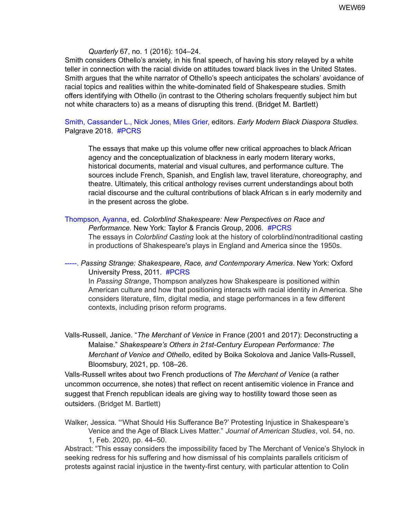#### *Quarterly* 67, no. 1 (2016): 104–24.

Smith considers Othello's anxiety, in his final speech, of having his story relayed by a white teller in connection with the racial divide on attitudes toward black lives in the United States. Smith argues that the white narrator of Othello's speech anticipates the scholars' avoidance of racial topics and realities within the white-dominated field of Shakespeare studies. Smith offers identifying with Othello (in contrast to the Othering scholars frequently subject him but not white characters to) as a means of disrupting this trend. (Bridget M. Bartlett)

### Smith, Cassander L., Nick Jones, Miles Grier, editors. *Early Modern Black Diaspora Studies.* Palgrave 2018. #PCRS

The essays that make up this volume offer new critical approaches to black African agency and the conceptualization of blackness in early modern literary works, historical documents, material and visual cultures, and performance culture. The sources include French, Spanish, and English law, travel literature, choreography, and theatre. Ultimately, this critical anthology revises current understandings about both racial discourse and the cultural contributions of black African s in early modernity and in the present across the globe.

Thompson, Ayanna, ed. *Colorblind Shakespeare: New Perspectives on Race and Performance.* New York: Taylor & Francis Group, 2006. #PCRS The essays in *Colorblind Casting* look at the history of colorblind/nontraditional casting in productions of Shakespeare's plays in England and America since the 1950s.

-----. *Passing Strange: Shakespeare, Race, and Contemporary America*. New York: Oxford University Press, 2011. #PCRS

In *Passing Strange*, Thompson analyzes how Shakespeare is positioned within American culture and how that positioning interacts with racial identity in America. She considers literature, film, digital media, and stage performances in a few different contexts, including prison reform programs.

Valls-Russell, Janice. "*The Merchant of Venice* in France (2001 and 2017): Deconstructing a Malaise." *Shakespeare's Others in 21st-Century European Performance: The Merchant of Venice and Othello*, edited by Boika Sokolova and Janice Valls-Russell, Bloomsbury, 2021, pp. 108–26.

Valls-Russell writes about two French productions of *The Merchant of Venice* (a rather uncommon occurrence, she notes) that reflect on recent antisemitic violence in France and suggest that French republican ideals are giving way to hostility toward those seen as outsiders. (Bridget M. Bartlett)

Walker, Jessica. "'What Should His Sufferance Be?' Protesting Injustice in Shakespeare's Venice and the Age of Black Lives Matter." *Journal of American Studies*, vol. 54, no. 1, Feb. 2020, pp. 44–50.

Abstract: "This essay considers the impossibility faced by The Merchant of Venice's Shylock in seeking redress for his suffering and how dismissal of his complaints parallels criticism of protests against racial injustice in the twenty-first century, with particular attention to Colin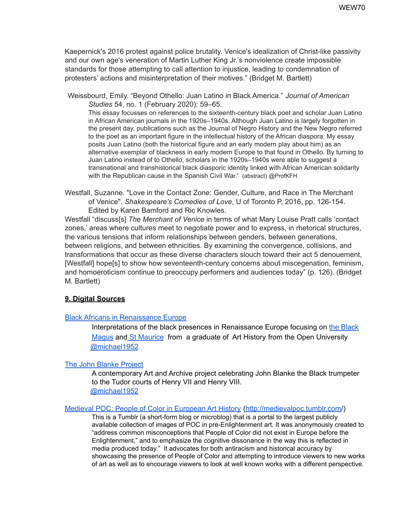Kaepernick's 2016 protest against police brutality. Venice's idealization of Christ-like passivity and our own age's veneration of Martin Luther King Jr.'s nonviolence create impossible standards for those attempting to call attention to injustice, leading to condemnation of protesters' actions and misinterpretation of their motives." (Bridget M. Bartlett)

Weissbourd, Emily. "Beyond Othello: Juan Latino in Black America." *Journal of American Studies* 54, no. 1 (February 2020): 59–65[.](https://doi.org/10.1017/S0021875819002020)

This essay focusses on references to the sixteenth-century black poet and scholar Juan Latino in African American journals in the 1920s–1940s. Although Juan Latino is largely forgotten in the present day, publications such as the Journal of Negro History and the New Negro referred to the poet as an important figure in the intellectual history of the African diaspora. My essay posits Juan Latino (both the historical figure and an early modern play about him) as an alternative exemplar of blackness in early modern Europe to that found in Othello. By turning to Juan Latino instead of to Othello, scholars in the 1920s–1940s were able to suggest a transnational and transhistorical black diasporic identity linked with African American solidarity with the Republican cause in the Spanish Civil War." (abstract) @ProfKFH

Westfall, Suzanne. "Love in the Contact Zone: Gender, Culture, and Race in The Merchant of Venice". *Shakespeare's Comedies of Love*, U of Toronto P, 2016, pp. 126-154. Edited by Karen Bamford and Ric Knowles.

Westfall "discuss[s] *The Merchant of Venice* in terms of what Mary Louise Pratt calls 'contact zones,' areas where cultures meet to negotiate power and to express, in rhetorical structures, the various tensions that inform relationships between genders, between generations, between religions, and between ethnicities. By examining the convergence, collisions, and transformations that occur as these diverse characters slouch toward their act 5 denouement, [Westfall] hope[s] to show how seventeenth-century concerns about miscegenation, feminism, and homoeroticism continue to preoccupy performers and audiences today" (p. 126). (Bridget M. Bartlett)

## **9. Digital Sources**

#### Black Africans in [Renaissance](http://veronese1515.blogspot.co.uk) Europe

Interpretations of the black presences in Renaissance Europe focusing on the [Black](http://veronese1515.blogspot.co.uk/2012/09/great-malverns-retouched-black-magus.html) [Magus](http://veronese1515.blogspot.co.uk/2012/09/great-malverns-retouched-black-magus.html) and St [Maurice](http://veronese1515.blogspot.co.uk/p/the-st-maurices-at-madge.html) from a graduate of Art History from the Open University [@michael1952](https://twitter.com/michael1952)

## The John Blanke [Project](http://johnblanke.com)

A contemporary Art and Archive project celebrating John Blanke the Black trumpeter to the Tudor courts of Henry VII and Henry VIII. [@michael1952](https://twitter.com/michael1952)

#### Medieval POC: People of Color in [European](http://medievalpoc.tumblr.com/) Art History [\(http://medievalpoc.tumblr.com](http://medievalpoc.tumblr.com)/)

This is a Tumblr (a short-form blog or microblog) that is a portal to the largest publicly available collection of images of POC in pre-Enlightenment art. It was anonymously created to "address common misconceptions that People of Color did not exist in Europe before the Enlightenment," and to emphasize the cognitive dissonance in the way this is reflected in media produced today." It advocates for both antiracism and historical accuracy by showcasing the presence of People of Color and attempting to introduce viewers to new works of art as well as to encourage viewers to look at well known works with a different perspective.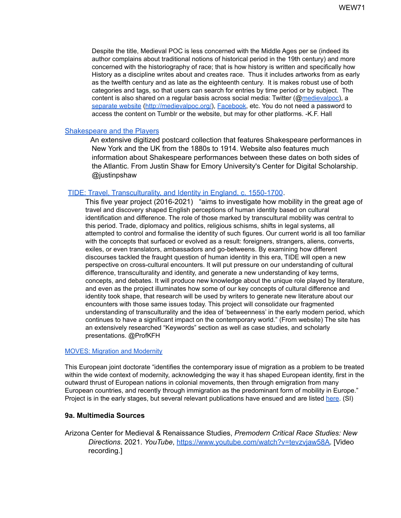Despite the title, Medieval POC is less concerned with the Middle Ages per se (indeed its author complains about traditional notions of historical period in the 19th century) and more concerned with the historiography of race; that is how history is written and specifically how History as a discipline writes about and creates race. Thus it includes artworks from as early as the twelfth century and as late as the eighteenth century. It is makes robust use of both categories and tags, so that users can search for entries by time period or by subject. The content is also shared on a regular basis across social media: Twitter (@[medievalpoc\)](https://twitter.com/medievalpoc), a [separate](http://medievalpoc.org/) website (<http://medievalpoc.org/>), [Facebook,](https://www.facebook.com/medievalpoc) etc. You do not need a password to access the content on Tumblr or the website, but may for other platforms. -K.F. Hall

#### [Shakespeare](https://shakespeare.emory.edu/) and the Players

An extensive digitized postcard collection that features Shakespeare performances in New York and the UK from the 1880s to 1914. Website also features much information about Shakespeare performances between these dates on both sides of the Atlantic. From Justin Shaw for Emory University's Center for Digital Scholarship. @justinpshaw

#### TIDE: Travel, [Transculturality,](http://www.tideproject.uk/) and Identity in England, c. 1550-1700.

This five year project (2016-2021) "aims to investigate how mobility in the great age of travel and discovery shaped English perceptions of human identity based on cultural identification and difference. The role of those marked by transcultural mobility was central to this period. Trade, diplomacy and politics, religious schisms, shifts in legal systems, all attempted to control and formalise the identity of such figures. Our current world is all too familiar with the concepts that surfaced or evolved as a result: foreigners, strangers, aliens, converts, exiles, or even translators, ambassadors and go-betweens. By examining how different discourses tackled the fraught question of human identity in this era, TIDE will open a new perspective on cross-cultural encounters. It will put pressure on our understanding of cultural difference, transculturality and identity, and generate a new understanding of key terms, concepts, and debates. It will produce new knowledge about the unique role played by literature, and even as the project illuminates how some of our key concepts of cultural difference and identity took shape, that research will be used by writers to generate new literature about our encounters with those same issues today. This project will consolidate our fragmented understanding of transculturality and the idea of 'betweenness' in the early modern period, which continues to have a significant impact on the contemporary world." (From website) The site has an extensively researched "Keywords" section as well as case studies, and scholarly presentations. @ProfKFH

#### MOVES: Migration and [Modernity](http://projectmoves.eu/)

This European joint doctorate "identifies the contemporary issue of migration as a problem to be treated within the wide context of modernity, acknowledging the way it has shaped European identity, first in the outward thrust of European nations in colonial movements, then through emigration from many European countries, and recently through immigration as the predominant form of mobility in Europe." Project is in the early stages, but several relevant publications have ensued and are listed [here.](http://projectmoves.eu/publications/) (SI)

#### **9a. Multimedia Sources**

Arizona Center for Medieval & Renaissance Studies, *Premodern Critical Race Studies: New Directions*. 2021. *YouTube*, [https://www.youtube.com/watch?v=tevzvjaw58A.](https://www.youtube.com/watch?v=tevzvjaw58A) [Video recording.]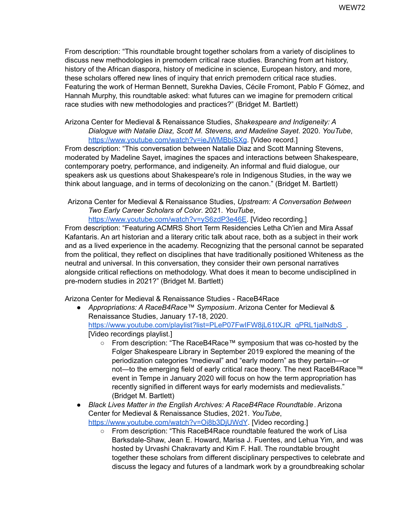From description: "This roundtable brought together scholars from a variety of disciplines to discuss new methodologies in premodern critical race studies. Branching from art history, history of the African diaspora, history of medicine in science, European history, and more, these scholars offered new lines of inquiry that enrich premodern critical race studies. Featuring the work of Herman Bennett, Surekha Davies, Cécile Fromont, Pablo F Gómez, and Hannah Murphy, this roundtable asked: what futures can we imagine for premodern critical race studies with new methodologies and practices?" (Bridget M. Bartlett)

Arizona Center for Medieval & Renaissance Studies, *Shakespeare and Indigeneity: A Dialogue with Natalie Diaz, Scott M. Stevens, and Madeline Sayet*. 2020. *YouTube*, <https://www.youtube.com/watch?v=ieJWMBbiSXg>. [Video record.]

From description: "This conversation between Natalie Diaz and Scott Manning Stevens, moderated by Madeline Sayet, imagines the spaces and interactions between Shakespeare, contemporary poetry, performance, and indigeneity. An informal and fluid dialogue, our speakers ask us questions about Shakespeare's role in Indigenous Studies, in the way we think about language, and in terms of decolonizing on the canon." (Bridget M. Bartlett)

Arizona Center for Medieval & Renaissance Studies, *Upstream: A Conversation Between Two Early Career Scholars of Color*. 2021. *YouTube*,

[https://www.youtube.com/watch?v=yS6zdP3e46E.](https://www.youtube.com/watch?v=yS6zdP3e46E) [Video recording.] From description: "Featuring ACMRS Short Term Residencies Letha Ch'ien and Mira Assaf Kafantaris. An art historian and a literary critic talk about race, both as a subject in their work and as a lived experience in the academy. Recognizing that the personal cannot be separated from the political, they reflect on disciplines that have traditionally positioned Whiteness as the neutral and universal. In this conversation, they consider their own personal narratives alongside critical reflections on methodology. What does it mean to become undisciplined in pre-modern studies in 2021?" (Bridget M. Bartlett)

Arizona Center for Medieval & Renaissance Studies - RaceB4Race

- *Appropriations: A RaceB4Race™ Symposium*. Arizona Center for Medieval & Renaissance Studies, January 17-18, 2020. https://www.youtube.com/playlist?list=PLeP07FwIFW8jL61tXJR\_qPRL1jalNdbS [Video recordings playlist.]
	- From description: "The RaceB4Race™ symposium that was co-hosted by the Folger Shakespeare Library in September 2019 explored the meaning of the periodization categories "medieval" and "early modern" as they pertain—or not—to the emerging field of early critical race theory. The next RaceB4Race™ event in Tempe in January 2020 will focus on how the term appropriation has recently signified in different ways for early modernists and medievalists." (Bridget M. Bartlett)
- *Black Lives Matter in the English Archives: A RaceB4Race Roundtable*. Arizona Center for Medieval & Renaissance Studies, 2021. *YouTube*, <https://www.youtube.com/watch?v=Oi8b3DjUWdY>. [Video recording.]
	- From description: "This RaceB4Race roundtable featured the work of Lisa Barksdale-Shaw, Jean E. Howard, Marisa J. Fuentes, and Lehua Yim, and was hosted by Urvashi Chakravarty and Kim F. Hall. The roundtable brought together these scholars from different disciplinary perspectives to celebrate and discuss the legacy and futures of a landmark work by a groundbreaking scholar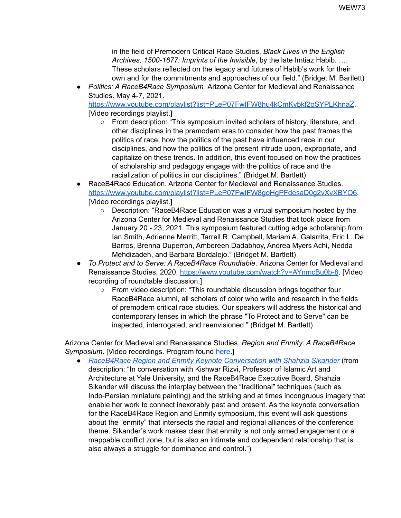in the field of Premodern Critical Race Studies, *Black Lives in the English Archives, 1500-1677: Imprints of the Invisible*, by the late Imtiaz Habib. …. These scholars reflected on the legacy and futures of Habib's work for their own and for the commitments and approaches of our field." (Bridget M. Bartlett)

● *Politics: A RaceB4Race Symposium*. Arizona Center for Medieval and Renaissance Studies. May 4-7, 2021.

[https://www.youtube.com/playlist?list=PLeP07FwIFW8hu4kCmKybkf2oSYPLKhnaZ.](https://www.youtube.com/playlist?list=PLeP07FwIFW8hu4kCmKybkf2oSYPLKhnaZ) [Video recordings playlist.]

- From description: "This symposium invited scholars of history, literature, and other disciplines in the premodern eras to consider how the past frames the politics of race, how the politics of the past have influenced race in our disciplines, and how the politics of the present intrude upon, expropriate, and capitalize on these trends. In addition, this event focused on how the practices of scholarship and pedagogy engage with the politics of race and the racialization of politics in our disciplines." (Bridget M. Bartlett)
- RaceB4Race Education. Arizona Center for Medieval and Renaissance Studies. <https://www.youtube.com/playlist?list=PLeP07FwIFW8goHgPFdesaD0g2vXvXBYO6>. [Video recordings playlist.]
	- Description: "RaceB4Race Education was a virtual symposium hosted by the Arizona Center for Medieval and Renaissance Studies that took place from January 20 - 23, 2021. This symposium featured cutting edge scholarship from Ian Smith, Adrienne Merritt, Tarrell R. Campbell, Mariam A. Galarrita, Eric L. De Barros, Brenna Duperron, Ambereen Dadabhoy, Andrea Myers Achi, Nedda Mehdizadeh, and Barbara Bordalejo." (Bridget M. Bartlett)
- *To Protect and to Serve: A RaceB4Race Roundtable*. Arizona Center for Medieval and Renaissance Studies, 2020, [https://www.youtube.com/watch?v=AYnmcBu0b-8.](https://www.youtube.com/watch?v=AYnmcBu0b-8) [Video recording of roundtable discussion.]
	- From video description: "This roundtable discussion brings together four RaceB4Race alumni, all scholars of color who write and research in the fields of premodern critical race studies. Our speakers will address the historical and contemporary lenses in which the phrase "To Protect and to Serve" can be inspected, interrogated, and reenvisioned." (Bridget M. Bartlett)

Arizona Center for Medieval and Renaissance Studies. *Region and Enmity: A RaceB4Race Symposium*. [Video recordings. Program found [here.](https://acmrs.asu.edu/sites/default/files/2021-10/RB4R%20Region_Webv2_09-30-21.pdf)]

● *RaceB4Race Region and Enmity Keynote [Conversation](https://www.youtube.com/watch?v=eh_k5yaFYew) with Shahzia Sikander* (from description: "In conversation with Kishwar Rizvi, Professor of Islamic Art and Architecture at Yale University, and the RaceB4Race Executive Board, Shahzia Sikander will discuss the interplay between the "traditional" techniques (such as Indo-Persian miniature painting) and the striking and at times incongruous imagery that enable her work to connect inexorably past and present. As the keynote conversation for the RaceB4Race Region and Enmity symposium, this event will ask questions about the "enmity" that intersects the racial and regional alliances of the conference theme. Sikander's work makes clear that enmity is not only armed engagement or a mappable conflict zone, but is also an intimate and codependent relationship that is also always a struggle for dominance and control.")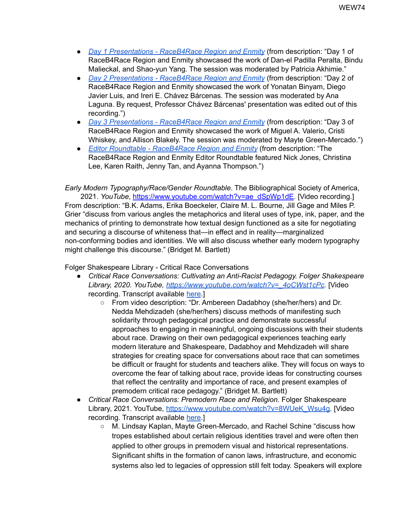- *Day 1 [Presentations](https://www.youtube.com/watch?v=rhuXrB0JgLQ) - RaceB4Race Region and Enmity* (from description: "Day 1 of RaceB4Race Region and Enmity showcased the work of Dan-el Padilla Peralta, Bindu Malieckal, and Shao-yun Yang. The session was moderated by Patricia Akhimie."
- *Day 2 [Presentations](https://www.youtube.com/watch?v=QZe3kYnnIuk) - RaceB4Race Region and Enmity* (from description: "Day 2 of RaceB4Race Region and Enmity showcased the work of Yonatan Binyam, Diego Javier Luis, and Ireri E. Chávez Bárcenas. The session was moderated by Ana Laguna. By request, Professor Chávez Bárcenas' presentation was edited out of this recording.")
- *Day 3 [Presentations](https://www.youtube.com/watch?v=2o9ReKpg1hk) - RaceB4Race Region and Enmity* (from description: "Day 3 of RaceB4Race Region and Enmity showcased the work of Miguel A. Valerio, Cristi Whiskey, and Allison Blakely. The session was moderated by Mayte Green-Mercado.")
- *Editor Roundtable - [RaceB4Race](https://www.youtube.com/watch?v=yGErdWbi9-4) Region and Enmity* (from description: "The RaceB4Race Region and Enmity Editor Roundtable featured Nick Jones, Christina Lee, Karen Raith, Jenny Tan, and Ayanna Thompson.")

*Early Modern Typography/Race/Gender Roundtable*. The Bibliographical Society of America, 2021. *YouTube*, [https://www.youtube.com/watch?v=ae\\_dSpWp1dE.](https://www.youtube.com/watch?v=ae_dSpWp1dE) [Video recording.] From description: "B.K. Adams, Erika Boeckeler, Claire M. L. Bourne, Jill Gage and Miles P. Grier "discuss from various angles the metaphorics and literal uses of type, ink, paper, and the mechanics of printing to demonstrate how textual design functioned as a site for negotiating and securing a discourse of whiteness that—in effect and in reality—marginalized non-conforming bodies and identities. We will also discuss whether early modern typography might challenge this discourse." (Bridget M. Bartlett)

Folger Shakespeare Library - Critical Race Conversations

- *Critical Race Conversations: Cultivating an Anti-Racist Pedagogy. Folger Shakespeare Library, 2020. YouTube, [https://www.youtube.com/watch?v=\\_4oCWst1cPc](https://www.youtube.com/watch?v=_4oCWst1cPc).* [Video recording. Transcript available [here.](https://www.folger.edu/sites/default/files/Transcript.%20Cultivating%20Anti-Racist%20Pedagogy_logo.pdf)]
	- From video description: "Dr. Ambereen Dadabhoy (she/her/hers) and Dr. Nedda Mehdizadeh (she/her/hers) discuss methods of manifesting such solidarity through pedagogical practice and demonstrate successful approaches to engaging in meaningful, ongoing discussions with their students about race. Drawing on their own pedagogical experiences teaching early modern literature and Shakespeare, Dadabhoy and Mehdizadeh will share strategies for creating space for conversations about race that can sometimes be difficult or fraught for students and teachers alike. They will focus on ways to overcome the fear of talking about race, provide ideas for constructing courses that reflect the centrality and importance of race, and present examples of premodern critical race pedagogy." (Bridget M. Bartlett)
- *Critical Race Conversations: Premodern Race and Religion.* Folger Shakespeare Library, 2021. YouTube, [https://www.youtube.com/watch?v=8WUeK\\_Wsu4g.](https://www.youtube.com/watch?v=8WUeK_Wsu4g) [Video] recording. Transcript available [here.](https://www.folger.edu/sites/default/files/Transcript%2C%20Premodern%20Race%20and%20Religion_logo.pdf)]
	- M. Lindsay Kaplan, Mayte Green-Mercado, and Rachel Schine "discuss how tropes established about certain religious identities travel and were often then applied to other groups in premodern visual and historical representations. Significant shifts in the formation of canon laws, infrastructure, and economic systems also led to legacies of oppression still felt today. Speakers will explore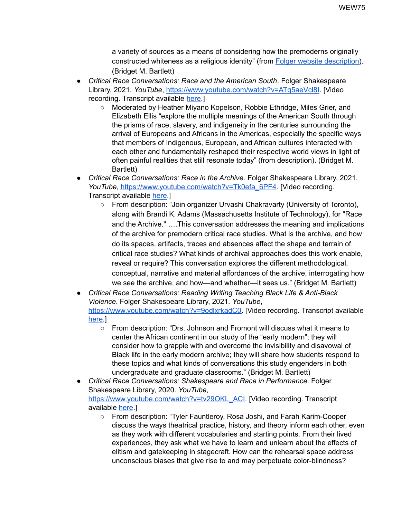a variety of sources as a means of considering how the premoderns originally constructed whiteness as a religious identity" (from Folger website [description\)](https://www.folger.edu/events/premodern-race-and-religion). (Bridget M. Bartlett)

- *Critical Race Conversations: Race and the American South*. Folger Shakespeare Library, 2021. *YouTube*, [https://www.youtube.com/watch?v=ATq5aeVcl8I.](https://www.youtube.com/watch?v=ATq5aeVcl8I) [Video recording. Transcript available [here.](https://www.folger.edu/sites/default/files/Transcript%2C%20Race%20in%20the%20American%20South_logo.pdf)]
	- Moderated by Heather Miyano Kopelson, Robbie Ethridge, Miles Grier, and Elizabeth Ellis "explore the multiple meanings of the American South through the prisms of race, slavery, and indigeneity in the centuries surrounding the arrival of Europeans and Africans in the Americas, especially the specific ways that members of Indigenous, European, and African cultures interacted with each other and fundamentally reshaped their respective world views in light of often painful realities that still resonate today" (from description). (Bridget M. Bartlett)
- *Critical Race Conversations: Race in the Archive*. Folger Shakespeare Library, 2021. YouTube, [https://www.youtube.com/watch?v=Tk0efa\\_6PF4](https://www.youtube.com/watch?v=Tk0efa_6PF4). [Video recording. Transcript available [here.](https://www.folger.edu/sites/default/files/Transcript%2C%20Race%20and%20the%20Archive_logo.pdf)]
	- From description: "Join organizer Urvashi Chakravarty (University of Toronto), along with Brandi K. Adams (Massachusetts Institute of Technology), for "Race and the Archive." ….This conversation addresses the meaning and implications of the archive for premodern critical race studies. What is the archive, and how do its spaces, artifacts, traces and absences affect the shape and terrain of critical race studies? What kinds of archival approaches does this work enable, reveal or require? This conversation explores the different methodological, conceptual, narrative and material affordances of the archive, interrogating how we see the archive, and how—and whether—it sees us." (Bridget M. Bartlett)
- *Critical Race Conversations: Reading Writing Teaching Black Life & Anti-Black Violence*. Folger Shakespeare Library, 2021. *YouTube*, [https://www.youtube.com/watch?v=9odlxrkadC0.](https://www.youtube.com/watch?v=9odlxrkadC0) [Video recording. Transcript available [here](https://www.folger.edu/sites/default/files/Transcript%2C%20Reading%2C%20Writing%2C%20and%20Teaching%20Black%20Life%20and%20Anti-Black%20Violence%20in%20the%20Early%20Modern%20World_logo%20.pdf).]
	- From description: "Drs. Johnson and Fromont will discuss what it means to center the African continent in our study of the "early modern"; they will consider how to grapple with and overcome the invisibility and disavowal of Black life in the early modern archive; they will share how students respond to these topics and what kinds of conversations this study engenders in both undergraduate and graduate classrooms." (Bridget M. Bartlett)
- *Critical Race Conversations: Shakespeare and Race in Performance*. Folger Shakespeare Library, 2020. *YouTube*, [https://www.youtube.com/watch?v=tv29OKL\\_ACI](https://www.youtube.com/watch?v=tv29OKL_ACI). [Video recording. Transcript available [here](https://www.folger.edu/sites/default/files/Transcript%2C%20Shakespeare%20and%20Race%20in%20Performance_logo%20.pdf).]
	- From description: "Tyler Fauntleroy, Rosa Joshi, and Farah Karim-Cooper discuss the ways theatrical practice, history, and theory inform each other, even as they work with different vocabularies and starting points. From their lived experiences, they ask what we have to learn and unlearn about the effects of elitism and gatekeeping in stagecraft. How can the rehearsal space address unconscious biases that give rise to and may perpetuate color-blindness?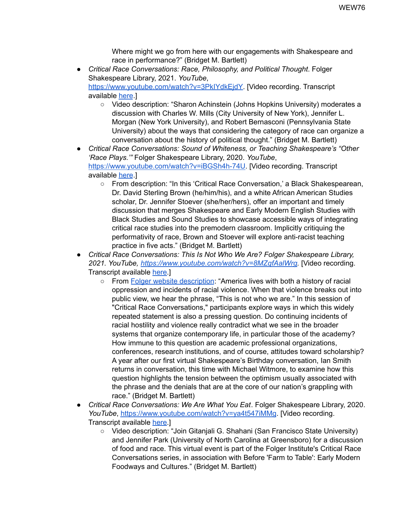Where might we go from here with our engagements with Shakespeare and race in performance?" (Bridget M. Bartlett)

- *Critical Race Conversations: Race, Philosophy, and Political Thought*. Folger Shakespeare Library, 2021. *YouTube*, <https://www.youtube.com/watch?v=3PkIYdkEjdY>. [Video recording. Transcript available [here](https://www.folger.edu/sites/default/files/Transcript%2C%20Race%2C%20Philosophy%2C%20and%20Political%20Thought_logo.pdf).]
	- Video description: "Sharon Achinstein (Johns Hopkins University) moderates a discussion with Charles W. Mills (City University of New York), Jennifer L. Morgan (New York University), and Robert Bernasconi (Pennsylvania State University) about the ways that considering the category of race can organize a conversation about the history of political thought." (Bridget M. Bartlett)
- *Critical Race Conversations: Sound of Whiteness, or Teaching Shakespeare's "Other 'Race Plays.'"* Folger Shakespeare Library, 2020. *YouTube*, [https://www.youtube.com/watch?v=iBGSh4h-74U.](https://www.youtube.com/watch?v=iBGSh4h-74U) [Video recording. Transcript available [here](https://www.folger.edu/sites/default/files/Transcript.%20The%20Sound%20of%20Whiteness%20or%20Teaching%20Shakespeare%E2%80%99s%20%E2%80%9COther%20%E2%80%98Race%20Plays%E2%80%99%E2%80%9D%20in%20Five%20Acts_logo.pdf).]
	- From description: "In this 'Critical Race Conversation,' a Black Shakespearean, Dr. David Sterling Brown (he/him/his), and a white African American Studies scholar, Dr. Jennifer Stoever (she/her/hers), offer an important and timely discussion that merges Shakespeare and Early Modern English Studies with Black Studies and Sound Studies to showcase accessible ways of integrating critical race studies into the premodern classroom. Implicitly critiquing the performativity of race, Brown and Stoever will explore anti-racist teaching practice in five acts." (Bridget M. Bartlett)
- *Critical Race Conversations: This Is Not Who We Are? Folger Shakespeare Library, 2021. YouTube, <https://www.youtube.com/watch?v=8MZqfAalWrg>.* [Video recording. Transcript available [here.](https://www.folger.edu/sites/default/files/Transcript%2C%20%20This%20is%20Not%20Who%20We%20Are_logo.pdf)]
	- From Folger website [description](https://www.folger.edu/events/this-is-not-who-we-are): "America lives with both a history of racial oppression and incidents of racial violence. When that violence breaks out into public view, we hear the phrase, "This is not who we are." In this session of "Critical Race Conversations," participants explore ways in which this widely repeated statement is also a pressing question. Do continuing incidents of racial hostility and violence really contradict what we see in the broader systems that organize contemporary life, in particular those of the academy? How immune to this question are academic professional organizations, conferences, research institutions, and of course, attitudes toward scholarship? A year after our first virtual Shakespeare's Birthday conversation, Ian Smith returns in conversation, this time with Michael Witmore, to examine how this question highlights the tension between the optimism usually associated with the phrase and the denials that are at the core of our nation's grappling with race." (Bridget M. Bartlett)
- *Critical Race Conversations: We Are What You Eat*. Folger Shakespeare Library, 2020. *YouTube*, <https://www.youtube.com/watch?v=ya4t547iMMg>. [Video recording. Transcript available [here.](https://www.folger.edu/sites/default/files/Transcript%2C%20We%20are%20What%20You%20Eat_logo.pdf)]
	- Video description: "Join Gitanjali G. Shahani (San Francisco State University) and Jennifer Park (University of North Carolina at Greensboro) for a discussion of food and race. This virtual event is part of the Folger Institute's Critical Race Conversations series, in association with Before 'Farm to Table': Early Modern Foodways and Cultures." (Bridget M. Bartlett)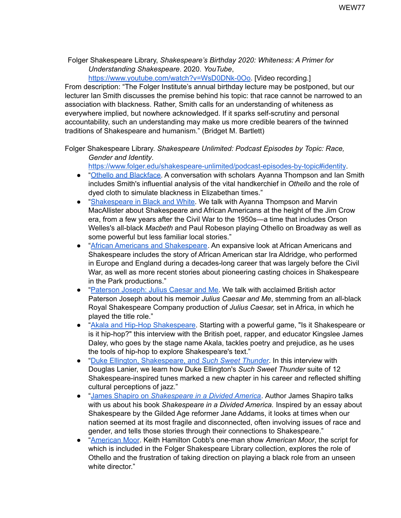Folger Shakespeare Library, *Shakespeare's Birthday 2020: Whiteness: A Primer for Understanding Shakespeare*. 2020. *YouTube*[,](https://www.youtube.com/watch?v=WsD0DNk-0Oo)

[https://www.youtube.com/watch?v=WsD0DNk-0Oo.](https://www.youtube.com/watch?v=WsD0DNk-0Oo) [Video recording.]

From description: "The Folger Institute's annual birthday lecture may be postponed, but our lecturer Ian Smith discusses the premise behind his topic: that race cannot be narrowed to an association with blackness. Rather, Smith calls for an understanding of whiteness as everywhere implied, but nowhere acknowledged. If it sparks self-scrutiny and personal accountability, such an understanding may make us more credible bearers of the twinned traditions of Shakespeare and humanism." (Bridget M. Bartlett)

Folger Shakespeare Library. *Shakespeare Unlimited: Podcast Episodes by Topic: Race, Gender and Identity*.

<https://www.folger.edu/shakespeare-unlimited/podcast-episodes-by-topic#identity>.

- "Othello and [Blackface.](http://www.folger.edu/shakespeare-unlimited-episode-50) A conversation with scholars Ayanna Thompson and Ian Smith includes Smith's influential analysis of the vital handkerchief in *Othello* and the role of dyed cloth to simulate blackness in Elizabethan times."
- "[Shakespeare](http://www.folger.edu/shakespeare-unlimited-episode-19) in Black and White. We talk with Ayanna Thompson and Marvin MacAllister about Shakespeare and African Americans at the height of the Jim Crow era, from a few years after the Civil War to the 1950s—a time that includes Orson Welles's all-black *Macbeth* and Paul Robeson playing Othello on Broadway as well as some powerful but less familiar local stories."
- "African Americans and [Shakespeare](http://www.folger.edu/shakespeare-unlimited-episode-20). An expansive look at African Americans and Shakespeare includes the story of African American star Ira Aldridge, who performed in Europe and England during a decades-long career that was largely before the Civil War, as well as more recent stories about pioneering casting choices in Shakespeare in the Park productions."
- "[Paterson](https://www.folger.edu/shakespeare-unlimited/paterson-joseph-julius-caesar) Joseph: Julius Caesar and Me. We talk with acclaimed British actor Paterson Joseph about his memoir *Julius Caesar and Me*, stemming from an all-black Royal Shakespeare Company production of *Julius Caesar,* set in Africa, in which he played the title role."
- "Akala and Hip-Hop [Shakespeare.](http://www.folger.edu/shakespeare-unlimited/akala-hip-hop-shakespeare) Starting with a powerful game, "Is it Shakespeare or is it hip-hop?" this interview with the British poet, rapper, and educator Kingslee James Daley, who goes by the stage name Akala, tackles poetry and prejudice, as he uses the tools of hip-hop to explore Shakespeare's text."
- "Duke Ellington, [Shakespeare,](https://www.folger.edu/shakespeare-unlimited/duke-ellington) and *Such Sweet Thunder*. In this interview with Douglas Lanier, we learn how Duke Ellington's *Such Sweet Thunder* suite of 12 Shakespeare-inspired tunes marked a new chapter in his career and reflected shifting cultural perceptions of jazz."
- "James Shapiro on *[Shakespeare](https://www.folger.edu/shakespeare-unlimited/shapiro-divided-america) in a Divided America*. Author James Shapiro talks with us about his book *Shakespeare in a Divided America.* Inspired by an essay about Shakespeare by the Gilded Age reformer Jane Addams, it looks at times when our nation seemed at its most fragile and disconnected, often involving issues of race and gender, and tells those stories through their connections to Shakespeare."
- "[American](http://www.folger.edu/shakespeare-unlimited-episode-54) Moor. Keith Hamilton Cobb's one-man show *American Moor*, the script for which is included in the Folger Shakespeare Library collection, explores the role of Othello and the frustration of taking direction on playing a black role from an unseen white director."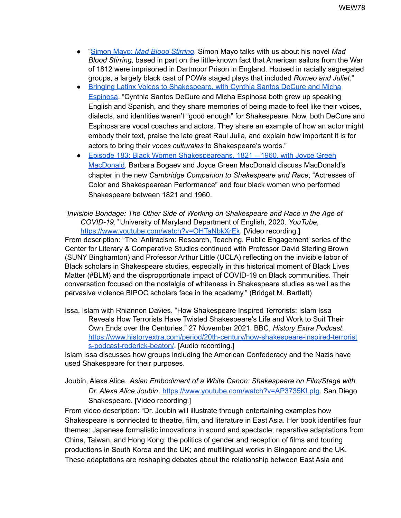- "Simon Mayo: *Mad Blood [Stirring](https://www.folger.edu/shakespeare-unlimited/simon-mayo-mad-blood-stirring)*. Simon Mayo talks with us about his novel *Mad Blood Stirring,* based in part on the little-known fact that American sailors from the War of 1812 were imprisoned in Dartmoor Prison in England. Housed in racially segregated groups, a largely black cast of POWs staged plays that included *Romeo and Juliet*."
- Bringing Latinx Voices to [Shakespeare,](https://www.folger.edu/shakespeare-unlimited/latinx-voices-decure-espinosa) with Cynthia Santos DeCure and Micha [Espinosa](https://www.folger.edu/shakespeare-unlimited/latinx-voices-decure-espinosa). "Cynthia Santos DeCure and Micha Espinosa both grew up speaking English and Spanish, and they share memories of being made to feel like their voices, dialects, and identities weren't "good enough" for Shakespeare. Now, both DeCure and Espinosa are vocal coaches and actors. They share an example of how an actor might embody their text, praise the late great Raul Julia, and explain how important it is for actors to bring their *voces culturales* to Shakespeare's words."
- Episode 183: Black Women [Shakespeareans,](https://www.folger.edu/shakespeare-unlimited/black-women-shakespeareans-macdonald) 1821 1960, with Joyce Green [MacDonald.](https://www.folger.edu/shakespeare-unlimited/black-women-shakespeareans-macdonald) Barbara Bogaev and Joyce Green MacDonald discuss MacDonald's chapter in the new *Cambridge Companion to Shakespeare and Race*, "Actresses of Color and Shakespearean Performance" and four black women who performed Shakespeare between 1821 and 1960.

*"Invisible Bondage: The Other Side of Working on Shakespeare and Race in the Age of COVID-19."* University of Maryland Department of English, 2020. *YouTube*, <https://www.youtube.com/watch?v=OHTaNbkXrEk>. [Video recording.] From description: "The 'Antiracism: Research, Teaching, Public Engagement' series of the

Center for Literary & Comparative Studies continued with Professor David Sterling Brown (SUNY Binghamton) and Professor Arthur Little (UCLA) reflecting on the invisible labor of Black scholars in Shakespeare studies, especially in this historical moment of Black Lives Matter (#BLM) and the disproportionate impact of COVID-19 on Black communities. Their conversation focused on the nostalgia of whiteness in Shakespeare studies as well as the pervasive violence BIPOC scholars face in the academy." (Bridget M. Bartlett)

Issa, Islam with Rhiannon Davies. "How Shakespeare Inspired Terrorists: Islam Issa Reveals How Terrorists Have Twisted Shakespeare's Life and Work to Suit Their Own Ends over the Centuries." 27 November 2021. BBC, *History Extra Podcast*. [https://www.historyextra.com/period/20th-century/how-shakespeare-inspired-terrorist](https://www.historyextra.com/period/20th-century/how-shakespeare-inspired-terrorists-podcast-roderick-beaton/) [s-podcast-roderick-beaton/.](https://www.historyextra.com/period/20th-century/how-shakespeare-inspired-terrorists-podcast-roderick-beaton/) [Audio recording.]

Islam Issa discusses how groups including the American Confederacy and the Nazis have used Shakespeare for their purposes.

Joubin, Alexa Alice. *Asian Embodiment of a White Canon: Shakespeare on Film/Stage with Dr. Alexa Alice Joubin*. <https://www.youtube.com/watch?v=AP3735KLpIg>. San Diego Shakespeare. [Video recording.]

From video description: "Dr. Joubin will illustrate through entertaining examples how Shakespeare is connected to theatre, film, and literature in East Asia. Her book identifies four themes: Japanese formalistic innovations in sound and spectacle; reparative adaptations from China, Taiwan, and Hong Kong; the politics of gender and reception of films and touring productions in South Korea and the UK; and multilingual works in Singapore and the UK. These adaptations are reshaping debates about the relationship between East Asia and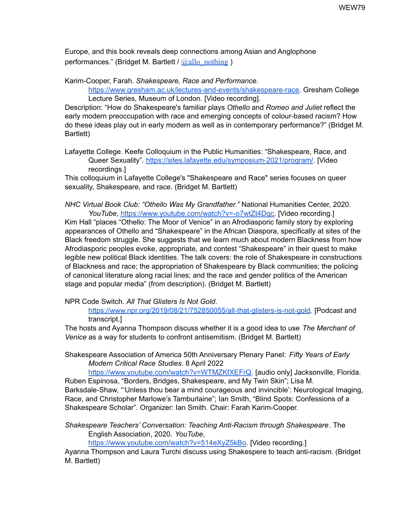Europe, and this book reveals deep connections among Asian and Anglophone performances." (Bridget M. Bartlett /  $\omega$ allo\_nothing )

Karim-Cooper, Farah. *Shakespeare, Race and Performance*. [https://www.gresham.ac.uk/lectures-and-events/shakespeare-race.](https://www.gresham.ac.uk/lectures-and-events/shakespeare-race?utm_source=pocket_mylist) Gresham College Lecture Series, Museum of London. [Video recording].

Description: "How do Shakespeare's familiar plays *Othello* and *Romeo and Juliet* reflect the early modern preoccupation with race and emerging concepts of colour-based racism? How do these ideas play out in early modern as well as in contemporary performance?" (Bridget M. Bartlett)

Lafayette College. Keefe Colloquium in the Public Humanities: "Shakespeare, Race, and Queer Sexuality". <https://sites.lafayette.edu/symposium-2021/program/>. [Video recordings.]

This colloquium in Lafayette College's "Shakespeare and Race" series focuses on queer sexuality, Shakespeare, and race. (Bridget M. Bartlett)

*NHC Virtual Book Club: "Othello Was My Grandfather."* National Humanities Center, 2020. *YouTube*, [https://www.youtube.com/watch?v=-o7wtZt4Dqc.](https://www.youtube.com/watch?v=-o7wtZt4Dqc) [Video recording.]

Kim Hall "places "Othello: The Moor of Venice" in an Afrodiasporic family story by exploring appearances of Othello and "Shakespeare" in the African Diaspora, specifically at sites of the Black freedom struggle. She suggests that we learn much about modern Blackness from how Afrodiasporic peoples evoke, appropriate, and contest "Shakespeare" in their quest to make legible new political Black identities. The talk covers: the role of Shakespeare in constructions of Blackness and race; the appropriation of Shakespeare by Black communities; the policing of canonical literature along racial lines; and the race and gender politics of the American stage and popular media" (from description). (Bridget M. Bartlett)

NPR Code Switch. *All That Glisters Is Not Gold*.

<https://www.npr.org/2019/08/21/752850055/all-that-glisters-is-not-gold>. [Podcast and transcript.]

The hosts and Ayanna Thompson discuss whether it is a good idea to use *The Merchant of Venice* as a way for students to confront antisemitism. (Bridget M. Bartlett)

Shakespeare Association of America 50th Anniversary Plenary Panel: *Fifty Years of Early Modern Critical Race Studies*. 8 April 2022

[https://www.youtube.com/watch?v=WTMZKfXEFrQ.](https://www.youtube.com/watch?v=WTMZKfXEFrQ) [audio only] Jacksonville, Florida. Ruben Espinosa, "Borders, Bridges, Shakespeare, and My Twin Skin"; Lisa M.

Barksdale-Shaw, "'Unless thou bear a mind courageous and invincible': Neurological Imaging, Race, and Christopher Marlowe's Tamburlaine"; Ian Smith, "Blind Spots: Confessions of a Shakespeare Scholar". Organizer: Ian Smith. Chair: Farah Karim-Cooper.

*Shakespeare Teachers' Conversation: Teaching Anti-Racism through Shakespeare*. The English Association, 2020. *YouTube*[,](https://www.youtube.com/watch?v=514eXyZ5kBo)

<https://www.youtube.com/watch?v=514eXyZ5kBo>. [Video recording.]

Ayanna Thompson and Laura Turchi discuss using Shakespere to teach anti-racism. (Bridget M. Bartlett)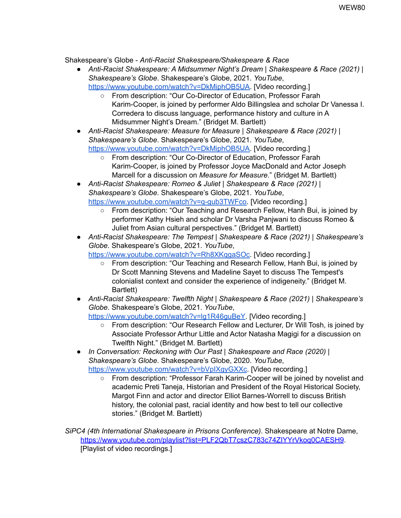Shakespeare's Globe - *Anti-Racist Shakespeare/Shakespeare & Race*

- *Anti-Racist Shakespeare: A Midsummer Night's Dream | Shakespeare & Race (2021) | Shakespeare's Globe*. Shakespeare's Globe, 2021. *YouTube*, [https://www.youtube.com/watch?v=DkMiphOB5UA.](https://www.youtube.com/watch?v=DkMiphOB5UA) [Video recording.]
	- From description: "Our Co-Director of Education, Professor Farah Karim-Cooper, is joined by performer Aldo Billingslea and scholar Dr Vanessa I. Corredera to discuss language, performance history and culture in A Midsummer Night's Dream." (Bridget M. Bartlett)
- *Anti-Racist Shakespeare: Measure for Measure | Shakespeare & Race (2021) | Shakespeare's Globe*. Shakespeare's Globe, 2021. *YouTube*, [https://www.youtube.com/watch?v=DkMiphOB5UA.](https://www.youtube.com/watch?v=DkMiphOB5UA) [Video recording.]
	- From description: "Our Co-Director of Education, Professor Farah Karim-Cooper, is joined by Professor Joyce MacDonald and Actor Joseph Marcell for a discussion on *Measure for Measure*." (Bridget M. Bartlett)
- *Anti-Racist Shakespeare: Romeo & Juliet | Shakespeare & Race (2021) | Shakespeare's Globe*. Shakespeare's Globe, 2021. *YouTube*, [https://www.youtube.com/watch?v=q-gub3TWFco.](https://www.youtube.com/watch?v=q-gub3TWFco) [Video recording.]
	- From description: "Our Teaching and Research Fellow, Hanh Bui, is joined by performer Kathy Hsieh and scholar Dr Varsha Panjwani to discuss Romeo & Juliet from Asian cultural perspectives." (Bridget M. Bartlett)
- *Anti-Racist Shakespeare: The Tempest | Shakespeare & Race (2021) | Shakespeare's Globe*. Shakespeare's Globe, 2021. *YouTube*[,](https://www.youtube.com/watch?v=Rh8XKqgaSOc) [https://www.youtube.com/watch?v=Rh8XKqgaSOc.](https://www.youtube.com/watch?v=Rh8XKqgaSOc) [Video recording.]
	- From description: "Our Teaching and Research Fellow, Hanh Bui, is joined by Dr Scott Manning Stevens and Madeline Sayet to discuss The Tempest's colonialist context and consider the experience of indigeneity." (Bridget M. Bartlett)
- *Anti-Racist Shakespeare: Twelfth Night | Shakespeare & Race (2021) | Shakespeare's Globe*. Shakespeare's Globe, 2021. *YouTube*[,](https://www.youtube.com/watch?v=lg1R46guBeY) https://www.youtube.com/watch?v=lg1R46quBeY. [Video recording.]
	- From description: "Our Research Fellow and Lecturer, Dr Will Tosh, is joined by Associate Professor Arthur Little and Actor Natasha Magigi for a discussion on Twelfth Night." (Bridget M. Bartlett)
- *In Conversation: Reckoning with Our Past | Shakespeare and Race (2020) | Shakespeare's Globe*. Shakespeare's Globe, 2020. *YouTube*, <https://www.youtube.com/watch?v=bVpIXgyGXXc>. [Video recording.]
	- From description: "Professor Farah Karim-Cooper will be joined by novelist and academic Preti Taneja, Historian and President of the Royal Historical Society, Margot Finn and actor and director Elliot Barnes-Worrell to discuss British history, the colonial past, racial identity and how best to tell our collective stories." (Bridget M. Bartlett)

*SiPC4 (4th International Shakespeare in Prisons Conference)*. Shakespeare at Notre Dame, <https://www.youtube.com/playlist?list=PLF2QbT7cszC783c74ZIYYrVkoq0CAESH9>. [Playlist of video recordings.]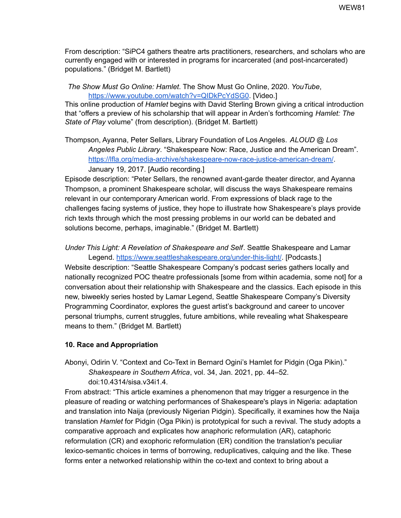From description: "SiPC4 gathers theatre arts practitioners, researchers, and scholars who are currently engaged with or interested in programs for incarcerated (and post-incarcerated) populations." (Bridget M. Bartlett)

*The Show Must Go Online: Hamlet*. The Show Must Go Online, 2020. *YouTube*[,](https://www.youtube.com/watch?v=QIDkPcYdSG0) <https://www.youtube.com/watch?v=QIDkPcYdSG0>. [Video.]

This online production of *Hamlet* begins with David Sterling Brown giving a critical introduction that "offers a preview of his scholarship that will appear in Arden's forthcoming *Hamlet: The State of Play* volume" (from description). (Bridget M. Bartlett)

Thompson, Ayanna, Peter Sellars, Library Foundation of Los Angeles. *ALOUD @ Los Angeles Public Library*. "Shakespeare Now: Race, Justice and the American Dream". <https://lfla.org/media-archive/shakespeare-now-race-justice-american-dream/>. January 19, 2017. [Audio recording.]

Episode description: "Peter Sellars, the renowned avant-garde theater director, and Ayanna Thompson, a prominent Shakespeare scholar, will discuss the ways Shakespeare remains relevant in our contemporary American world. From expressions of black rage to the challenges facing systems of justice, they hope to illustrate how Shakespeare's plays provide rich texts through which the most pressing problems in our world can be debated and solutions become, perhaps, imaginable." (Bridget M. Bartlett)

*Under This Light: A Revelation of Shakespeare and Self*. Seattle Shakespeare and Lamar

Legend. <https://www.seattleshakespeare.org/under-this-light/>. [Podcasts.] Website description: "Seattle Shakespeare Company's podcast series gathers locally and nationally recognized POC theatre professionals [some from within academia, some not] for a conversation about their relationship with Shakespeare and the classics. Each episode in this new, biweekly series hosted by Lamar Legend, Seattle Shakespeare Company's Diversity Programming Coordinator, explores the guest artist's background and career to uncover personal triumphs, current struggles, future ambitions, while revealing what Shakespeare means to them." (Bridget M. Bartlett)

# **10. Race and Appropriation**

Abonyi, Odirin V. "Context and Co-Text in Bernard Ogini's Hamlet for Pidgin (Oga Pikin)." *Shakespeare in Southern Africa*, vol. 34, Jan. 2021, pp. 44–52.

doi:10.4314/sisa.v34i1.4.

From abstract: "This article examines a phenomenon that may trigger a resurgence in the pleasure of reading or watching performances of Shakespeare's plays in Nigeria: adaptation and translation into Naija (previously Nigerian Pidgin). Specifically, it examines how the Naija translation *Hamlet* for Pidgin (Oga Pikin) is prototypical for such a revival. The study adopts a comparative approach and explicates how anaphoric reformulation (AR), cataphoric reformulation (CR) and exophoric reformulation (ER) condition the translation's peculiar lexico-semantic choices in terms of borrowing, reduplicatives, calquing and the like. These forms enter a networked relationship within the co-text and context to bring about a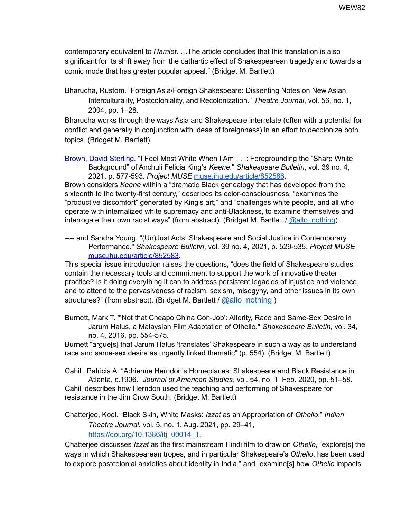contemporary equivalent to *Hamlet*. …The article concludes that this translation is also significant for its shift away from the cathartic effect of Shakespearean tragedy and towards a comic mode that has greater popular appeal." (Bridget M. Bartlett)

Bharucha, Rustom. "Foreign Asia/Foreign Shakespeare: Dissenting Notes on New Asian Interculturality, Postcoloniality, and Recolonization." *Theatre Journal*, vol. 56, no. 1, 2004, pp. 1–28.

Bharucha works through the ways Asia and Shakespeare interrelate (often with a potential for conflict and generally in conjunction with ideas of foreignness) in an effort to decolonize both topics. (Bridget M. Bartlett)

Brown, David Sterling. "I Feel Most White When I Am . . .: Foregrounding the "Sharp White Background" of Anchuli Felicia King's *Keene*." *Shakespeare Bulletin*, vol. 39 no. 4, 2021, p. 577-593. *Project MUSE* [muse.jhu.edu/article/852586](https://muse-jhu-edu.umiss.idm.oclc.org/article/852586).

Brown considers *Keene* within a "dramatic Black genealogy that has developed from the sixteenth to the twenty-first century," describes its color-consciousness, "examines the "productive discomfort" generated by King's art," and "challenges white people, and all who operate with internalized white supremacy and anti-Blackness, to examine themselves and interrogate their own racist ways" (from abstract). (Bridget M. Bartlett / [@allo\\_nothing](https://twitter.com/allo_nothing))

---- and Sandra Young. "(Un)Just Acts: Shakespeare and Social Justice in Contemporary Performance." *Shakespeare Bulletin*, vol. 39 no. 4, 2021, p. 529-535. *Project MUS[E](https://muse-jhu-edu.umiss.idm.oclc.org/article/852583)* [muse.jhu.edu/article/852583](https://muse-jhu-edu.umiss.idm.oclc.org/article/852583).

This special issue introduction raises the questions, "does the field of Shakespeare studies contain the necessary tools and commitment to support the work of innovative theater practice? Is it doing everything it can to address persistent legacies of injustice and violence, and to attend to the pervasiveness of racism, sexism, misogyny, and other issues in its own structures?" (from abstract). (Bridget M. Bartlett / [@allo\\_nothing](https://twitter.com/allo_nothing) )

Burnett, Mark T. "'Not that Cheapo China Con-Job': Alterity, Race and Same-Sex Desire in Jarum Halus, a Malaysian Film Adaptation of Othello." *Shakespeare Bulletin*, vol. 34, no. 4, 2016, pp. 554-575*.*

Burnett "argue[s] that Jarum Halus 'translates' Shakespeare in such a way as to understand race and same-sex desire as urgently linked thematic" (p. 554). (Bridget M. Bartlett)

Cahill, Patricia A. "Adrienne Herndon's Homeplaces: Shakespeare and Black Resistance in Atlanta, c.1906." *Journal of American Studies*, vol. 54, no. 1, Feb. 2020, pp. 51–58. Cahill describes how Herndon used the teaching and performing of Shakespeare for resistance in the Jim Crow South. (Bridget M. Bartlett)

Chatterjee, Koel. "Black Skin, White Masks: *Izzat* as an Appropriation of *Othello*." *Indian Theatre Journal*, vol. 5, no. 1, Aug. 2021, pp. 29–41, [https://doi.org/10.1386/itj\\_00014\\_1](https://doi.org/10.1386/itj_00014_1).

Chatterjee discusses *Izzat* as the first mainstream Hindi film to draw on *Othello*, "explore[s] the ways in which Shakespearean tropes, and in particular Shakespeare's *Othello*, has been used to explore postcolonial anxieties about identity in India," and "examine[s] how *Othello* impacts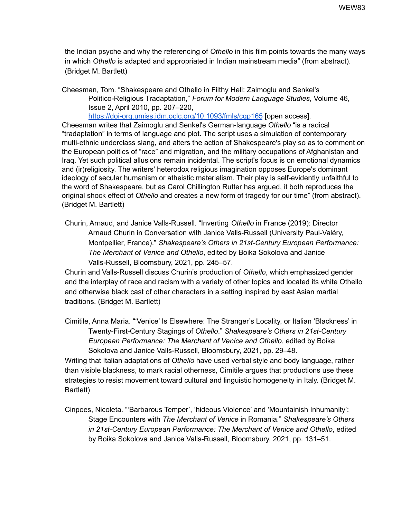the Indian psyche and why the referencing of *Othello* in this film points towards the many ways in which *Othello* is adapted and appropriated in Indian mainstream media" (from abstract). (Bridget M. Bartlett)

Cheesman, Tom. "Shakespeare and Othello in Filthy Hell: Zaimoglu and Senkel's Politico-Religious Tradaptation," *Forum for Modern Language Studies*, Volume 46, Issue 2, April 2010, pp. 207–220, <https://doi-org.umiss.idm.oclc.org/10.1093/fmls/cqp165> [open access].

Cheesman writes that Zaimoglu and Senkel's German-language *Othello* "is a radical "tradaptation" in terms of language and plot. The script uses a simulation of contemporary multi-ethnic underclass slang, and alters the action of Shakespeare's play so as to comment on the European politics of "race" and migration, and the military occupations of Afghanistan and Iraq. Yet such political allusions remain incidental. The script's focus is on emotional dynamics and (ir)religiosity. The writers' heterodox religious imagination opposes Europe's dominant ideology of secular humanism or atheistic materialism. Their play is self-evidently unfaithful to the word of Shakespeare, but as Carol Chillington Rutter has argued, it both reproduces the original shock effect of *Othello* and creates a new form of tragedy for our time" (from abstract). (Bridget M. Bartlett)

Churin, Arnaud, and Janice Valls-Russell. "Inverting *Othello* in France (2019): Director Arnaud Churin in Conversation with Janice Valls-Russell (University Paul-Valéry, Montpellier, France)." *Shakespeare's Others in 21st-Century European Performance: The Merchant of Venice and Othello*, edited by Boika Sokolova and Janice Valls-Russell, Bloomsbury, 2021, pp. 245–57.

Churin and Valls-Russell discuss Churin's production of *Othello*, which emphasized gender and the interplay of race and racism with a variety of other topics and located its white Othello and otherwise black cast of other characters in a setting inspired by east Asian martial traditions. (Bridget M. Bartlett)

Cimitile, Anna Maria. "'Venice' Is Elsewhere: The Stranger's Locality, or Italian 'Blackness' in Twenty-First-Century Stagings of *Othello*." *Shakespeare's Others in 21st-Century European Performance: The Merchant of Venice and Othello*, edited by Boika Sokolova and Janice Valls-Russell, Bloomsbury, 2021, pp. 29–48.

Writing that Italian adaptations of *Othello* have used verbal style and body language, rather than visible blackness, to mark racial otherness, Cimitile argues that productions use these strategies to resist movement toward cultural and linguistic homogeneity in Italy. (Bridget M. Bartlett)

Cinpoes, Nicoleta. "'Barbarous Temper', 'hideous Violence' and 'Mountainish Inhumanity': Stage Encounters with *The Merchant of Venice* in Romania." *Shakespeare's Others in 21st-Century European Performance: The Merchant of Venice and Othello*, edited by Boika Sokolova and Janice Valls-Russell, Bloomsbury, 2021, pp. 131–51.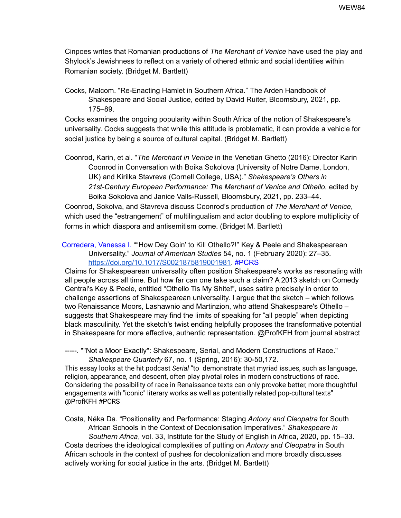Cinpoes writes that Romanian productions of *The Merchant of Venice* have used the play and Shylock's Jewishness to reflect on a variety of othered ethnic and social identities within Romanian society. (Bridget M. Bartlett)

Cocks, Malcom. "Re-Enacting Hamlet in Southern Africa." The Arden Handbook of Shakespeare and Social Justice, edited by David Ruiter, Bloomsbury, 2021, pp. 175–89.

Cocks examines the ongoing popularity within South Africa of the notion of Shakespeare's universality. Cocks suggests that while this attitude is problematic, it can provide a vehicle for social justice by being a source of cultural capital. (Bridget M. Bartlett)

Coonrod, Karin, et al. "*The Merchant in Venice* in the Venetian Ghetto (2016): Director Karin Coonrod in Conversation with Boika Sokolova (University of Notre Dame, London, UK) and Kirilka Stavreva (Cornell College, USA)." *Shakespeare's Others in 21st-Century European Performance: The Merchant of Venice and Othello*, edited by Boika Sokolova and Janice Valls-Russell, Bloomsbury, 2021, pp. 233–44.

Coonrod, Sokolva, and Stavreva discuss Coonrod's production of *The Merchant of Venice*, which used the "estrangement" of multilingualism and actor doubling to explore multiplicity of forms in which diaspora and antisemitism come. (Bridget M. Bartlett)

Corredera, Vanessa I. ""How Dey Goin' to Kill Othello?!" Key & Peele and Shakespearean Universality." *Journal of American Studies* 54, no. 1 (February 2020): 27–35. [https://doi.org/10.1017/S0021875819001981.](https://doi.org/10.1017/S0021875819001981) #PCRS

Claims for Shakespearean universality often position Shakespeare's works as resonating with all people across all time. But how far can one take such a claim? A 2013 sketch on Comedy Central's Key & Peele, entitled "Othello Tis My Shite!", uses satire precisely in order to challenge assertions of Shakespearean universality. I argue that the sketch – which follows two Renaissance Moors, Lashawnio and Martinzion, who attend Shakespeare's Othello – suggests that Shakespeare may find the limits of speaking for "all people" when depicting black masculinity. Yet the sketch's twist ending helpfully proposes the transformative potential in Shakespeare for more effective, authentic representation. @ProfKFH from journal abstract

-----. ""Not a Moor Exactly": Shakespeare, Serial, and Modern Constructions of Race." *Shakespeare Quarterly* 67, no. 1 (Spring, 2016): 30-50,172.

This essay looks at the hit podcast *Serial* "to demonstrate that myriad issues, such as language, religion, appearance, and descent, often play pivotal roles in modern constructions of race. Considering the possibility of race in Renaissance texts can only provoke better, more thoughtful engagements with "iconic" literary works as well as potentially related pop-cultural texts" @ProfKFH #PCRS

Costa, Néka Da. "Positionality and Performance: Staging *Antony and Cleopatra* for South African Schools in the Context of Decolonisation Imperatives." *Shakespeare in Southern Africa*, vol. 33, Institute for the Study of English in Africa, 2020, pp. 15–33. Costa decribes the ideological complexities of putting on *Antony and Cleopatra* in South African schools in the context of pushes for decolonization and more broadly discusses actively working for social justice in the arts. (Bridget M. Bartlett)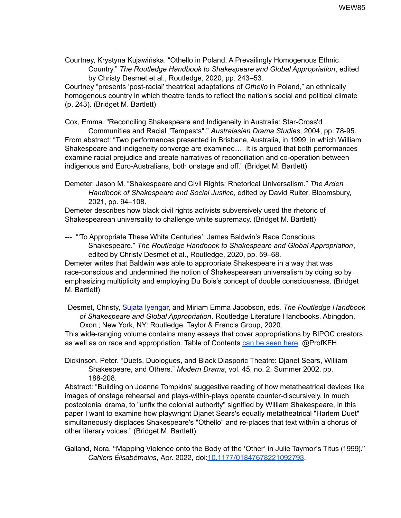Courtney, Krystyna Kujawińska. "Othello in Poland, A Prevailingly Homogenous Ethnic Country." *The Routledge Handbook to Shakespeare and Global Appropriation*, edited by Christy Desmet et al., Routledge, 2020, pp. 243–53. Courtney "presents 'post-racial' theatrical adaptations of *Othello* in Poland," an ethnically

homogenous country in which theatre tends to reflect the nation's social and political climate (p. 243). (Bridget M. Bartlett)

Cox, Emma. "Reconciling Shakespeare and Indigeneity in Australia: Star-Cross'd

Communities and Racial "Tempests"." *Australasian Drama Studies*, 2004, pp. 78-95*.* From abstract: "Two performances presented in Brisbane, Australia, in 1999, in which William Shakespeare and indigeneity converge are examined…. It is argued that both performances examine racial prejudice and create narratives of reconciliation and co-operation between indigenous and Euro-Australians, both onstage and off." (Bridget M. Bartlett)

Demeter, Jason M. "Shakespeare and Civil Rights: Rhetorical Universalism." *The Arden Handbook of Shakespeare and Social Justice*, edited by David Ruiter, Bloomsbury, 2021, pp. 94–108.

Demeter describes how black civil rights activists subversively used the rhetoric of Shakespearean universality to challenge white supremacy. (Bridget M. Bartlett)

---. "'To Appropriate These White Centuries': James Baldwin's Race Conscious Shakespeare." *The Routledge Handbook to Shakespeare and Global Appropriation*, edited by Christy Desmet et al., Routledge, 2020, pp. 59–68.

Demeter writes that Baldwin was able to appropriate Shakespeare in a way that was race-conscious and undermined the notion of Shakespearean universalism by doing so by emphasizing multiplicity and employing Du Bois's concept of double consciousness. (Bridget M. Bartlett)

Desmet, Christy, Sujata Iyengar, and Miriam Emma Jacobson, eds. *The Routledge Handbook of Shakespeare and Global Appropriation*. Routledge Literature Handbooks. Abingdon, Oxon ; New York, NY: Routledge, Taylor & Francis Group, 2020.

This wide-ranging volume contains many essays that cover appropriations by BIPOC creators as well as on race and appropriation. Table of Contents can be [seen](https://www.routledge.com/The-Routledge-Handbook-of-Shakespeare-and-Global-Appropriation/Desmet-Iyengar-Jacobson/p/book/9781138050198) here. @ProfKFH

Dickinson, Peter. "Duets, Duologues, and Black Diasporic Theatre: Djanet Sears, William Shakespeare, and Others." *Modern Drama*, vol. 45, no. 2, Summer 2002, pp. 188-208.

Abstract: "Building on Joanne Tompkins' suggestive reading of how metatheatrical devices like images of onstage rehearsal and plays-within-plays operate counter-discursively, in much postcolonial drama, to "unfix the colonial authority" signified by William Shakespeare, in this paper I want to examine how playwright Djanet Sears's equally metatheatrical "Harlem Duet" simultaneously displaces Shakespeare's "Othello" and re-places that text with/in a chorus of other literary voices." (Bridget M. Bartlett)

Galland, Nora. "Mapping Violence onto the Body of the 'Other' in Julie Taymor's Titus (1999)." *Cahiers Élisabéthains*, Apr. 2022, doi[:10.1177/01847678221092793](https://doi-org.umiss.idm.oclc.org/10.1177/01847678221092793).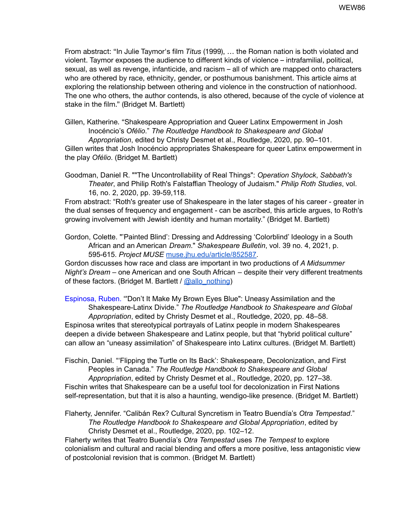From abstract: "In Julie Taymor's film *Titus* (1999), … the Roman nation is both violated and violent. Taymor exposes the audience to different kinds of violence – intrafamilial, political, sexual, as well as revenge, infanticide, and racism – all of which are mapped onto characters who are othered by race, ethnicity, gender, or posthumous banishment. This article aims at exploring the relationship between othering and violence in the construction of nationhood. The one who others, the author contends, is also othered, because of the cycle of violence at stake in the film." (Bridget M. Bartlett)

Gillen, Katherine. "Shakespeare Appropriation and Queer Latinx Empowerment in Josh Inocéncio's *Ofélio*." *The Routledge Handbook to Shakespeare and Global Appropriation*, edited by Christy Desmet et al., Routledge, 2020, pp. 90–101.

Gillen writes that Josh Inocéncio appropriates Shakespeare for queer Latinx empowerment in the play *Ofélio*. (Bridget M. Bartlett)

Goodman, Daniel R. ""The Uncontrollability of Real Things": *Operation Shylock*, *Sabbath's Theater*, and Philip Roth's Falstaffian Theology of Judaism." *Philip Roth Studies*, vol. 16, no. 2, 2020, pp. 39-59,118*.*

From abstract: "Roth's greater use of Shakespeare in the later stages of his career - greater in the dual senses of frequency and engagement - can be ascribed, this article argues, to Roth's growing involvement with Jewish identity and human mortality." (Bridget M. Bartlett)

Gordon, Colette. "'Painted Blind': Dressing and Addressing 'Colorblind' Ideology in a South African and an American *Dream*." *Shakespeare Bulletin*, vol. 39 no. 4, 2021, p. 595-615. *Project MUSE* [muse.jhu.edu/article/852587.](https://muse-jhu-edu.umiss.idm.oclc.org/article/852587)

Gordon discusses how race and class are important in two productions of *A Midsummer Night's Dream* – one American and one South African – despite their very different treatments of these factors. (Bridget M. Bartlett /  $@allowation$  nothing)

Espinosa, Ruben. "'Don't It Make My Brown Eyes Blue": Uneasy Assimilation and the Shakespeare-Latinx Divide." *The Routledge Handbook to Shakespeare and Global Appropriation*, edited by Christy Desmet et al., Routledge, 2020, pp. 48–58. Espinosa writes that stereotypical portrayals of Latinx people in modern Shakespeares deepen a divide between Shakespeare and Latinx people, but that "hybrid political culture" can allow an "uneasy assimilation" of Shakespeare into Latinx cultures. (Bridget M. Bartlett)

Fischin, Daniel. "'Flipping the Turtle on Its Back': Shakespeare, Decolonization, and First Peoples in Canada." *The Routledge Handbook to Shakespeare and Global Appropriation*, edited by Christy Desmet et al., Routledge, 2020, pp. 127–38. Fischin writes that Shakespeare can be a useful tool for decolonization in First Nations self-representation, but that it is also a haunting, wendigo-like presence. (Bridget M. Bartlett)

Flaherty, Jennifer. "Calibán Rex? Cultural Syncretism in Teatro Buendía's *Otra Tempestad*." *The Routledge Handbook to Shakespeare and Global Appropriation*, edited by Christy Desmet et al., Routledge, 2020, pp. 102–12.

Flaherty writes that Teatro Buendía's *Otra Tempestad* uses *The Tempest* to explore colonialism and cultural and racial blending and offers a more positive, less antagonistic view of postcolonial revision that is common. (Bridget M. Bartlett)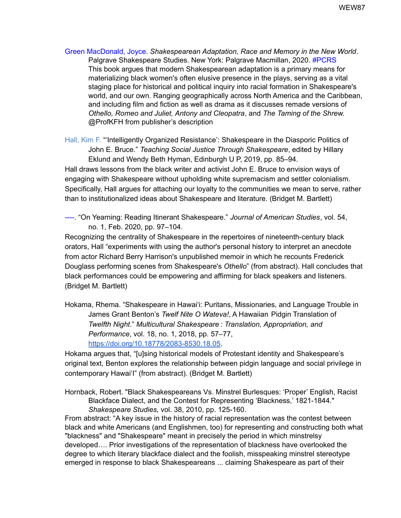Green MacDonald, Joyce. *Shakespearean Adaptation, Race and Memory in the New World*. Palgrave Shakespeare Studies. New York: Palgrave Macmillan, 2020[.](http://www.columbia.edu/cgi-bin/cul/resolve?clio15122889) #PCRS This book argues that modern Shakespearean adaptation is a primary means for materializing black women's often elusive presence in the plays, serving as a vital staging place for historical and political inquiry into racial formation in Shakespeare's world, and our own. Ranging geographically across North America and the Caribbean, and including film and fiction as well as drama as it discusses remade versions of *Othello, Romeo and Juliet, Antony and Cleopatra*, and *The Taming of the Shrew.* @ProfKFH from publisher's description

Hall, Kim F. "'Intelligently Organized Resistance': Shakespeare in the Diasporic Politics of John E. Bruce." *Teaching Social Justice Through Shakespeare*, edited by Hillary Eklund and Wendy Beth Hyman, Edinburgh U P, 2019, pp. 85–94.

Hall draws lessons from the black writer and activist John E. Bruce to envision ways of engaging with Shakespeare without upholding white supremacism and settler colonialism. Specifically, Hall argues for attaching our loyalty to the communities we mean to serve, rather than to institutionalized ideas about Shakespeare and literature. (Bridget M. Bartlett)

----. "On Yearning: Reading Itinerant Shakespeare." *Journal of American Studies*, vol. 54, no. 1, Feb. 2020, pp. 97–104.

Recognizing the centrality of Shakespeare in the repertoires of nineteenth-century black orators, Hall "experiments with using the author's personal history to interpret an anecdote from actor Richard Berry Harrison's unpublished memoir in which he recounts Frederick Douglass performing scenes from Shakespeare's *Othello*" (from abstract). Hall concludes that black performances could be empowering and affirming for black speakers and listeners. (Bridget M. Bartlett)

Hokama, Rhema. "Shakespeare in Hawai'i: Puritans, Missionaries, and Language Trouble in James Grant Benton's *Twelf Nite O Wateva!*, A Hawaiian Pidgin Translation of *Twelfth Night*." *Multicultural Shakespeare : Translation, Appropriation, and Performance*, vol. 18, no. 1, 2018, pp. 57–77, [https://doi.org/10.18778/2083-8530.18.05.](https://doi.org/10.18778/2083-8530.18.05)

Hokama argues that, "[u]sing historical models of Protestant identity and Shakespeare's original text, Benton explores the relationship between pidgin language and social privilege in contemporary Hawai'I" (from abstract). (Bridget M. Bartlett)

Hornback, Robert. "Black Shakespeareans Vs. Minstrel Burlesques: 'Proper' English, Racist Blackface Dialect, and the Contest for Representing 'Blackness,' 1821-1844." *Shakespeare Studies,* vol. 38, 2010, pp. 125-160.

From abstract: "A key issue in the history of racial representation was the contest between black and white Americans (and Englishmen, too) for representing and constructing both what "blackness" and "Shakespeare" meant in precisely the period in which minstrelsy developed…. Prior investigations of the representation of blackness have overlooked the degree to which literary blackface dialect and the foolish, misspeaking minstrel stereotype emerged in response to black Shakespeareans ... claiming Shakespeare as part of their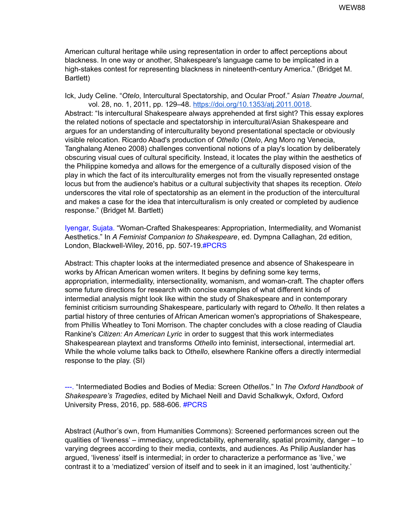American cultural heritage while using representation in order to affect perceptions about blackness. In one way or another, Shakespeare's language came to be implicated in a high-stakes contest for representing blackness in nineteenth-century America." (Bridget M. Bartlett)

Ick, Judy Celine. "*Otelo*, Intercultural Spectatorship, and Ocular Proof." *Asian Theatre Journal*, vol. 28, no. 1, 2011, pp. 129–48. <https://doi.org/10.1353/atj.2011.0018>.

Abstract: "Is intercultural Shakespeare always apprehended at first sight? This essay explores the related notions of spectacle and spectatorship in intercultural/Asian Shakespeare and argues for an understanding of interculturality beyond presentational spectacle or obviously visible relocation. Ricardo Abad's production of *Othello* (*Otelo*, Ang Moro ng Venecia, Tanghalang Ateneo 2008) challenges conventional notions of a play's location by deliberately obscuring visual cues of cultural specificity. Instead, it locates the play within the aesthetics of the Philippine komedya and allows for the emergence of a culturally disposed vision of the play in which the fact of its interculturality emerges not from the visually represented onstage locus but from the audience's habitus or a cultural subjectivity that shapes its reception. *Otelo* underscores the vital role of spectatorship as an element in the production of the intercultural and makes a case for the idea that interculturalism is only created or completed by audience response." (Bridget M. Bartlett)

Iyengar, Sujata. "Woman-Crafted Shakespeares: Appropriation, Intermediality, and Womanist Aesthetics." In *A Feminist Companion to Shakespeare*, ed. Dympna Callaghan, 2d edition, London, Blackwell-Wiley, 2016, pp. 507-19.#PCRS

Abstract: This chapter looks at the intermediated presence and absence of Shakespeare in works by African American women writers. It begins by defining some key terms, appropriation, intermediality, intersectionality, womanism, and woman-craft. The chapter offers some future directions for research with concise examples of what different kinds of intermedial analysis might look like within the study of Shakespeare and in contemporary feminist criticism surrounding Shakespeare, particularly with regard to *Othello*. It then relates a partial history of three centuries of African American women's appropriations of Shakespeare, from Phillis Wheatley to Toni Morrison. The chapter concludes with a close reading of Claudia Rankine's *Citizen: An American Lyric* in order to suggest that this work intermediates Shakespearean playtext and transforms *Othello* into feminist, intersectional, intermedial art. While the whole volume talks back to *Othello*, elsewhere Rankine offers a directly intermedial response to the play. (SI)

---. "Intermediated Bodies and Bodies of Media: Screen *Othello*s." In *The Oxford Handbook of Shakespeare's Tragedies*, edited by Michael Neill and David Schalkwyk, Oxford, Oxford University Press, 2016, pp. 588-606. #PCRS

Abstract (Author's own, from Humanities Commons): Screened performances screen out the qualities of 'liveness' – immediacy, unpredictability, ephemerality, spatial proximity, danger – to varying degrees according to their media, contexts, and audiences. As Philip Auslander has argued, 'liveness' itself is intermedial; in order to characterize a performance as 'live,' we contrast it to a 'mediatized' version of itself and to seek in it an imagined, lost 'authenticity.'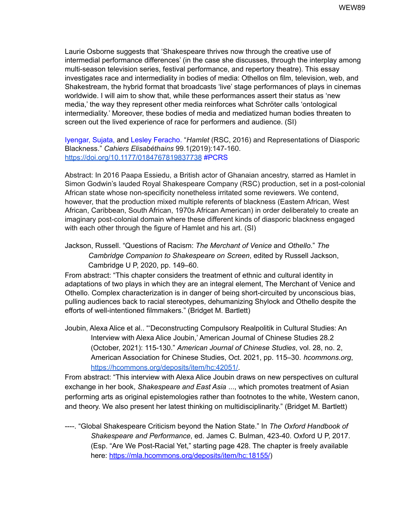Laurie Osborne suggests that 'Shakespeare thrives now through the creative use of intermedial performance differences' (in the case she discusses, through the interplay among multi-season television series, festival performance, and repertory theatre). This essay investigates race and intermediality in bodies of media: Othellos on film, television, web, and Shakestream, the hybrid format that broadcasts 'live' stage performances of plays in cinemas worldwide. I will aim to show that, while these performances assert their status as 'new media,' the way they represent other media reinforces what Schröter calls 'ontological intermediality.' Moreover, these bodies of media and mediatized human bodies threaten to screen out the lived experience of race for performers and audience. (SI)

Iyengar, Sujata, and Lesley Feracho. "*Hamlet* (RSC, 2016) and Representations of Diasporic Blackness." *Cahiers Elisabéthains* 99.1(2019):147-160. [https://doi.org/10.1177/0184767819837738](https://doi.org/10.1177%2F0184767819837738) #PCRS

Abstract: In 2016 Paapa Essiedu, a British actor of Ghanaian ancestry, starred as Hamlet in Simon Godwin's lauded Royal Shakespeare Company (RSC) production, set in a post-colonial African state whose non-specificity nonetheless irritated some reviewers. We contend, however, that the production mixed multiple referents of blackness (Eastern African, West African, Caribbean, South African, 1970s African American) in order deliberately to create an imaginary post-colonial domain where these different kinds of diasporic blackness engaged with each other through the figure of Hamlet and his art. (SI)

Jackson, Russell. "Questions of Racism: *The Merchant of Venice* and *Othello*." *The Cambridge Companion to Shakespeare on Screen*, edited by Russell Jackson, Cambridge U P, 2020, pp. 149–60.

From abstract: "This chapter considers the treatment of ethnic and cultural identity in adaptations of two plays in which they are an integral element, The Merchant of Venice and Othello. Complex characterization is in danger of being short-circuited by unconscious bias, pulling audiences back to racial stereotypes, dehumanizing Shylock and Othello despite the efforts of well-intentioned filmmakers." (Bridget M. Bartlett)

Joubin, Alexa Alice et al.. "'Deconstructing Compulsory Realpolitik in Cultural Studies: An Interview with Alexa Alice Joubin,' American Journal of Chinese Studies 28.2 (October, 2021): 115-130." *American Journal of Chinese Studies*, vol. 28, no. 2, American Association for Chinese Studies, Oct. 2021, pp. 115–30. *hcommons.org*[,](https://hcommons.org/deposits/item/hc:42051/) [https://hcommons.org/deposits/item/hc:42051/.](https://hcommons.org/deposits/item/hc:42051/)

From abstract: "This interview with Alexa Alice Joubin draws on new perspectives on cultural exchange in her book, *Shakespeare and East Asia* ..., which promotes treatment of Asian performing arts as original epistemologies rather than footnotes to the white, Western canon, and theory. We also present her latest thinking on multidisciplinarity." (Bridget M. Bartlett)

----. "Global Shakespeare Criticism beyond the Nation State." In *The Oxford Handbook of Shakespeare and Performance*, ed. James C. Bulman, 423-40. Oxford U P, 2017. (Esp. "Are We Post-Racial Yet," starting page 428. The chapter is freely available here: [https://mla.hcommons.org/deposits/item/hc:18155/](https://nam12.safelinks.protection.outlook.com/?url=https%3A%2F%2Fmla.hcommons.org%2Fdeposits%2Fitem%2Fhc%3A18155%2F&data=02%7C01%7Cdennis.britton%40unh.edu%7Cc3884212af5a4eaea6cf08d84a2957d0%7Cd6241893512d46dc8d2bbe47e25f5666%7C0%7C0%7C637340888734555371&sdata=UV8x36WHiy4RgRXIXUjVsLFs1krWaTX2%2Ban%2BtCRPKFw%3D&reserved=0))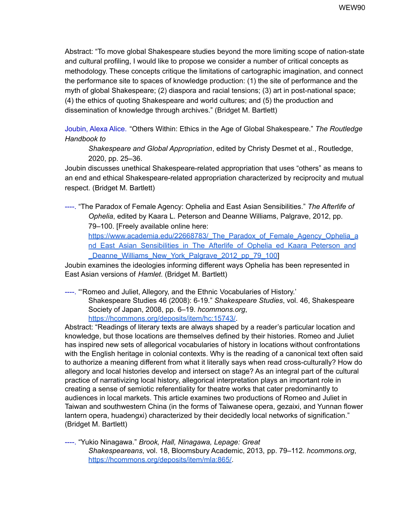Abstract: "To move global Shakespeare studies beyond the more limiting scope of nation-state and cultural profiling, I would like to propose we consider a number of critical concepts as methodology. These concepts critique the limitations of cartographic imagination, and connect the performance site to spaces of knowledge production: (1) the site of performance and the myth of global Shakespeare; (2) diaspora and racial tensions; (3) art in post-national space; (4) the ethics of quoting Shakespeare and world cultures; and (5) the production and dissemination of knowledge through archives." (Bridget M. Bartlett)

Joubin, Alexa Alice. "Others Within: Ethics in the Age of Global Shakespeare." *The Routledge Handbook to*

*Shakespeare and Global Appropriation*, edited by Christy Desmet et al., Routledge, 2020, pp. 25–36.

Joubin discusses unethical Shakespeare-related appropriation that uses "others" as means to an end and ethical Shakespeare-related appropriation characterized by reciprocity and mutual respect. (Bridget M. Bartlett)

----. "The Paradox of Female Agency: Ophelia and East Asian Sensibilities." *The Afterlife of Ophelia*, edited by Kaara L. Peterson and Deanne Williams, Palgrave, 2012, pp. 79–100. [Freely available online here[:](https://www.academia.edu/22668783/_The_Paradox_of_Female_Agency_Ophelia_and_East_Asian_Sensibilities_in_The_Afterlife_of_Ophelia_ed_Kaara_Peterson_and_Deanne_Williams_New_York_Palgrave_2012_pp_79_100)

https://www.academia.edu/22668783/ The Paradox of Female Agency Ophelia a nd East Asian Sensibilities in The Afterlife of Ophelia ed Kaara Peterson and Deanne Williams New York Palgrave 2012 pp 79 100

Joubin examines the ideologies informing different ways Ophelia has been represented in East Asian versions of *Hamlet*. (Bridget M. Bartlett)

----. "'Romeo and Juliet, Allegory, and the Ethnic Vocabularies of History.' Shakespeare Studies 46 (2008): 6-19." *Shakespeare Studies*, vol. 46, Shakespeare Society of Japan, 2008, pp. 6–19. *hcommons.org*, [https://hcommons.org/deposits/item/hc:15743/.](https://hcommons.org/deposits/item/hc:15743/)

Abstract: "Readings of literary texts are always shaped by a reader's particular location and knowledge, but those locations are themselves defined by their histories. Romeo and Juliet has inspired new sets of allegorical vocabularies of history in locations without confrontations with the English heritage in colonial contexts. Why is the reading of a canonical text often said to authorize a meaning different from what it literally says when read cross-culturally? How do allegory and local histories develop and intersect on stage? As an integral part of the cultural practice of narrativizing local history, allegorical interpretation plays an important role in creating a sense of semiotic referentiality for theatre works that cater predominantly to audiences in local markets. This article examines two productions of Romeo and Juliet in Taiwan and southwestern China (in the forms of Taiwanese opera, gezaixi, and Yunnan flower lantern opera, huadengxi) characterized by their decidedly local networks of signification." (Bridget M. Bartlett)

----. "Yukio Ninagawa." *Brook, Hall, Ninagawa, Lepage: Great Shakespeareans*, vol. 18, Bloomsbury Academic, 2013, pp. 79–112. *hcommons.org*[,](https://hcommons.org/deposits/item/mla:865/) [https://hcommons.org/deposits/item/mla:865/.](https://hcommons.org/deposits/item/mla:865/)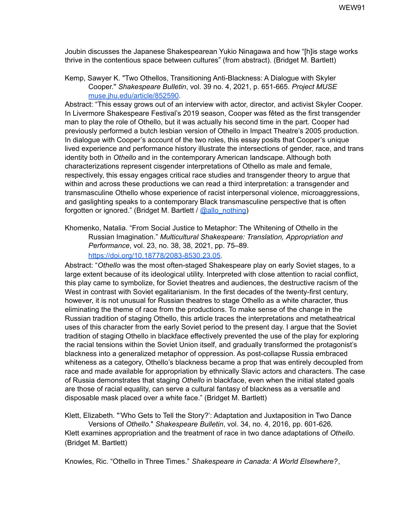Joubin discusses the Japanese Shakespearean Yukio Ninagawa and how "[h]is stage works thrive in the contentious space between cultures" (from abstract). (Bridget M. Bartlett)

Kemp, Sawyer K. "Two Othellos, Transitioning Anti-Blackness: A Dialogue with Skyler Cooper." *Shakespeare Bulletin*, vol. 39 no. 4, 2021, p. 651-665. *Project MUSE* [muse.jhu.edu/article/852590](https://muse-jhu-edu.umiss.idm.oclc.org/article/852590).

Abstract: "This essay grows out of an interview with actor, director, and activist Skyler Cooper. In Livermore Shakespeare Festival's 2019 season, Cooper was fêted as the first transgender man to play the role of Othello, but it was actually his second time in the part. Cooper had previously performed a butch lesbian version of Othello in Impact Theatre's 2005 production. In dialogue with Cooper's account of the two roles, this essay posits that Cooper's unique lived experience and performance history illustrate the intersections of gender, race, and trans identity both in *Othello* and in the contemporary American landscape. Although both characterizations represent cisgender interpretations of Othello as male and female, respectively, this essay engages critical race studies and transgender theory to argue that within and across these productions we can read a third interpretation: a transgender and transmasculine Othello whose experience of racist interpersonal violence, microaggressions, and gaslighting speaks to a contemporary Black transmasculine perspective that is often forgotten or ignored." (Bridget M. Bartlett / [@allo\\_nothing\)](https://twitter.com/allo_nothing)

Khomenko, Natalia. "From Social Justice to Metaphor: The Whitening of Othello in the Russian Imagination." *Multicultural Shakespeare: Translation, Appropriation and Performance*, vol. 23, no. 38, 38, 2021, pp. 75–89[.](https://doi.org/10.18778/2083-8530.23.05) [https://doi.org/10.18778/2083-8530.23.05.](https://doi.org/10.18778/2083-8530.23.05)

Abstract: "*Othello* was the most often-staged Shakespeare play on early Soviet stages, to a large extent because of its ideological utility. Interpreted with close attention to racial conflict, this play came to symbolize, for Soviet theatres and audiences, the destructive racism of the West in contrast with Soviet egalitarianism. In the first decades of the twenty-first century, however, it is not unusual for Russian theatres to stage Othello as a white character, thus eliminating the theme of race from the productions. To make sense of the change in the Russian tradition of staging Othello, this article traces the interpretations and metatheatrical uses of this character from the early Soviet period to the present day. I argue that the Soviet tradition of staging Othello in blackface effectively prevented the use of the play for exploring the racial tensions within the Soviet Union itself, and gradually transformed the protagonist's blackness into a generalized metaphor of oppression. As post-collapse Russia embraced whiteness as a category, Othello's blackness became a prop that was entirely decoupled from race and made available for appropriation by ethnically Slavic actors and characters. The case of Russia demonstrates that staging *Othello* in blackface, even when the initial stated goals are those of racial equality, can serve a cultural fantasy of blackness as a versatile and disposable mask placed over a white face." (Bridget M. Bartlett)

Klett, Elizabeth. "'Who Gets to Tell the Story?': Adaptation and Juxtaposition in Two Dance Versions of *Othello*." *Shakespeare Bulletin*, vol. 34, no. 4, 2016, pp. 601-626*.* Klett examines appropriation and the treatment of race in two dance adaptations of *Othello*. (Bridget M. Bartlett)

Knowles, Ric. "Othello in Three Times." *Shakespeare in Canada: A World Elsewhere?*,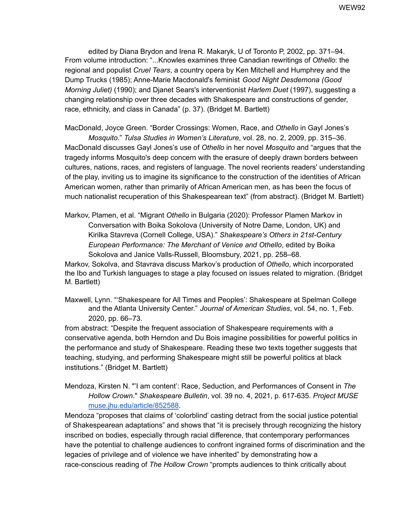edited by Diana Brydon and Irena R. Makaryk, U of Toronto P, 2002, pp. 371–94. From volume introduction: "...Knowles examines three Canadian rewritings of *Othello*: the regional and populist *Cruel Tears*, a country opera by Ken Mitchell and Humphrey and the Dump Trucks (1985); Anne-Marie Macdonald's feminist *Good Night Desdemona (Good Morning Juliet)* (1990); and Djanet Sears's interventionist *Harlem Duet* (1997), suggesting a changing relationship over three decades with Shakespeare and constructions of gender, race, ethnicity, and class in Canada" (p. 37). (Bridget M. Bartlett)

MacDonald, Joyce Green. "Border Crossings: Women, Race, and *Othello* in Gayl Jones's

*Mosquito*." *Tulsa Studies in Women's Literature*, vol. 28, no. 2, 2009, pp. 315–36. MacDonald discusses Gayl Jones's use of *Othello* in her novel *Mosquito* and "argues that the tragedy informs Mosquito's deep concern with the erasure of deeply drawn borders between cultures, nations, races, and registers of language. The novel reorients readers' understanding of the play, inviting us to imagine its significance to the construction of the identities of African American women, rather than primarily of African American men, as has been the focus of much nationalist recuperation of this Shakespearean text" (from abstract). (Bridget M. Bartlett)

Markov, Plamen, et al. "Migrant *Othello* in Bulgaria (2020): Professor Plamen Markov in Conversation with Boika Sokolova (University of Notre Dame, London, UK) and Kirilka Stavreva (Cornell College, USA)." *Shakespeare's Others in 21st-Century European Performance: The Merchant of Venice and Othello*, edited by Boika Sokolova and Janice Valls-Russell, Bloomsbury, 2021, pp. 258–68.

Markov, Sokolva, and Stavrava discuss Markov's production of *Othello*, which incorporated the Ibo and Turkish languages to stage a play focused on issues related to migration. (Bridget M. Bartlett)

Maxwell, Lynn. "'Shakespeare for All Times and Peoples': Shakespeare at Spelman College and the Atlanta University Center." *Journal of American Studies*, vol. 54, no. 1, Feb. 2020, pp. 66–73.

from abstract: "Despite the frequent association of Shakespeare requirements with a conservative agenda, both Herndon and Du Bois imagine possibilities for powerful politics in the performance and study of Shakespeare. Reading these two texts together suggests that teaching, studying, and performing Shakespeare might still be powerful politics at black institutions." (Bridget M. Bartlett)

Mendoza, Kirsten N. "'I am content': Race, Seduction, and Performances of Consent in *The Hollow Crown*." *Shakespeare Bulletin*, vol. 39 no. 4, 2021, p. 617-635. *Project MUS[E](https://muse-jhu-edu.umiss.idm.oclc.org/article/852588)* [muse.jhu.edu/article/852588](https://muse-jhu-edu.umiss.idm.oclc.org/article/852588).

Mendoza "proposes that claims of 'colorblind' casting detract from the social justice potential of Shakespearean adaptations" and shows that "it is precisely through recognizing the history inscribed on bodies, especially through racial difference, that contemporary performances have the potential to challenge audiences to confront ingrained forms of discrimination and the legacies of privilege and of violence we have inherited" by demonstrating how a race-conscious reading of *The Hollow Crown* "prompts audiences to think critically about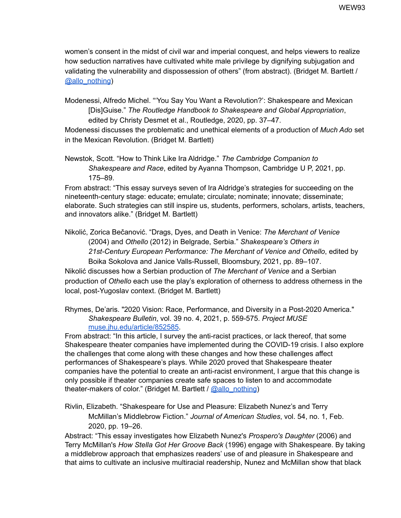women's consent in the midst of civil war and imperial conquest, and helps viewers to realize how seduction narratives have cultivated white male privilege by dignifying subjugation and validating the vulnerability and dispossession of others" (from abstract). (Bridget M. Bartlett [/](https://twitter.com/allo_nothing) [@allo\\_nothing](https://twitter.com/allo_nothing))

Modenessi, Alfredo Michel. "'You Say You Want a Revolution?': Shakespeare and Mexican [Dis]Guise." *The Routledge Handbook to Shakespeare and Global Appropriation*, edited by Christy Desmet et al., Routledge, 2020, pp. 37–47.

Modenessi discusses the problematic and unethical elements of a production of *Much Ado* set in the Mexican Revolution. (Bridget M. Bartlett)

Newstok, Scott. "How to Think Like Ira Aldridge." *The Cambridge Companion to Shakespeare and Race*, edited by Ayanna Thompson, Cambridge U P, 2021, pp. 175–89.

From abstract: "This essay surveys seven of Ira Aldridge's strategies for succeeding on the nineteenth-century stage: educate; emulate; circulate; nominate; innovate; disseminate; elaborate. Such strategies can still inspire us, students, performers, scholars, artists, teachers, and innovators alike." (Bridget M. Bartlett)

Nikolić, Zorica Bečanović. "Drags, Dyes, and Death in Venice: *The Merchant of Venice* (2004) and *Othello* (2012) in Belgrade, Serbia." *Shakespeare's Others in 21st-Century European Performance: The Merchant of Venice and Othello*, edited by Boika Sokolova and Janice Valls-Russell, Bloomsbury, 2021, pp. 89–107. Nikolić discusses how a Serbian production of *The Merchant of Venice* and a Serbian production of *Othello* each use the play's exploration of otherness to address otherness in the local, post-Yugoslav context. (Bridget M. Bartlett)

Rhymes, De'aris. "2020 Vision: Race, Performance, and Diversity in a Post-2020 America." *Shakespeare Bulletin*, vol. 39 no. 4, 2021, p. 559-575. *Project MUS[E](https://muse-jhu-edu.umiss.idm.oclc.org/article/852585)* [muse.jhu.edu/article/852585](https://muse-jhu-edu.umiss.idm.oclc.org/article/852585).

From abstract: "In this article, I survey the anti-racist practices, or lack thereof, that some Shakespeare theater companies have implemented during the COVID-19 crisis. I also explore the challenges that come along with these changes and how these challenges affect performances of Shakespeare's plays. While 2020 proved that Shakespeare theater companies have the potential to create an anti-racist environment, I argue that this change is only possible if theater companies create safe spaces to listen to and accommodate theater-makers of color." (Bridget M. Bartlett / [@allo\\_nothing](https://twitter.com/allo_nothing))

Rivlin, Elizabeth. "Shakespeare for Use and Pleasure: Elizabeth Nunez's and Terry McMillan's Middlebrow Fiction." *Journal of American Studies*, vol. 54, no. 1, Feb. 2020, pp. 19–26.

Abstract: "This essay investigates how Elizabeth Nunez's *Prospero's Daughter* (2006) and Terry McMillan's *How Stella Got Her Groove Back* (1996) engage with Shakespeare. By taking a middlebrow approach that emphasizes readers' use of and pleasure in Shakespeare and that aims to cultivate an inclusive multiracial readership, Nunez and McMillan show that black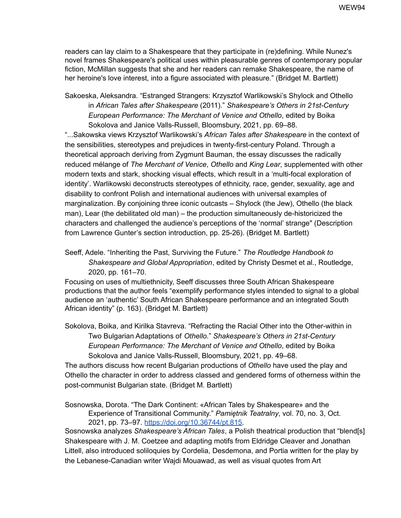readers can lay claim to a Shakespeare that they participate in (re)defining. While Nunez's novel frames Shakespeare's political uses within pleasurable genres of contemporary popular fiction, McMillan suggests that she and her readers can remake Shakespeare, the name of her heroine's love interest, into a figure associated with pleasure." (Bridget M. Bartlett)

Sakoeska, Aleksandra. "Estranged Strangers: Krzysztof Warlikowski's Shylock and Othello in *African Tales after Shakespeare* (2011)." *Shakespeare's Others in 21st-Century European Performance: The Merchant of Venice and Othello*, edited by Boika Sokolova and Janice Valls-Russell, Bloomsbury, 2021, pp. 69–88.

"...Sakowska views Krzysztof Warlikowski's *African Tales after Shakespeare* in the context of the sensibilities, stereotypes and prejudices in twenty-first-century Poland. Through a theoretical approach deriving from Zygmunt Bauman, the essay discusses the radically reduced mélange of *The Merchant of Venice*, *Othello* and *King Lear*, supplemented with other modern texts and stark, shocking visual effects, which result in a 'multi-focal exploration of identity'. Warlikowski deconstructs stereotypes of ethnicity, race, gender, sexuality, age and disability to confront Polish and international audiences with universal examples of marginalization. By conjoining three iconic outcasts – Shylock (the Jew), Othello (the black man), Lear (the debilitated old man) – the production simultaneously de-historicized the characters and challenged the audience's perceptions of the 'normal' strange" (Description from Lawrence Gunter's section introduction, pp. 25-26). (Bridget M. Bartlett)

Seeff, Adele. "Inheriting the Past, Surviving the Future." *The Routledge Handbook to Shakespeare and Global Appropriation*, edited by Christy Desmet et al., Routledge, 2020, pp. 161–70.

Focusing on uses of multiethnicity, Seeff discusses three South African Shakespeare productions that the author feels "exemplify performance styles intended to signal to a global audience an 'authentic' South African Shakespeare performance and an integrated South African identity" (p. 163). (Bridget M. Bartlett)

Sokolova, Boika, and Kirilka Stavreva. "Refracting the Racial Other into the Other-within in Two Bulgarian Adaptations of *Othello*." *Shakespeare's Others in 21st-Century European Performance: The Merchant of Venice and Othello*, edited by Boika Sokolova and Janice Valls-Russell, Bloomsbury, 2021, pp. 49–68.

The authors discuss how recent Bulgarian productions of *Othello* have used the play and Othello the character in order to address classed and gendered forms of otherness within the post-communist Bulgarian state. (Bridget M. Bartlett)

Sosnowska, Dorota. "The Dark Continent: «African Tales by Shakespeare» and the Experience of Transitional Community." *Pamiętnik Teatralny*, vol. 70, no. 3, Oct. 2021, pp. 73–97. [https://doi.org/10.36744/pt.815.](https://doi.org/10.36744/pt.815)

Sosnowska analyzes *Shakespeare's African Tales*, a Polish theatrical production that "blend[s] Shakespeare with J. M. Coetzee and adapting motifs from Eldridge Cleaver and Jonathan Littell, also introduced soliloquies by Cordelia, Desdemona, and Portia written for the play by the Lebanese-Canadian writer Wajdi Mouawad, as well as visual quotes from Art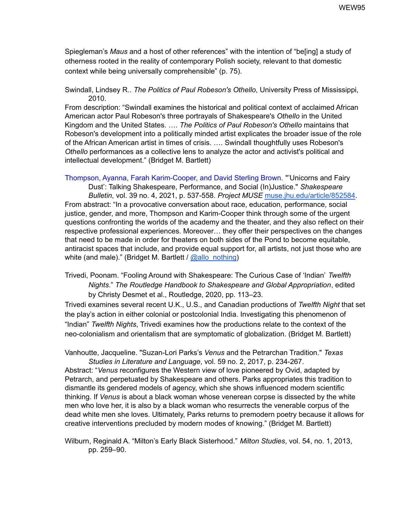Spiegleman's *Maus* and a host of other references" with the intention of "be[ing] a study of otherness rooted in the reality of contemporary Polish society, relevant to that domestic context while being universally comprehensible" (p. 75).

Swindall, Lindsey R.. *The Politics of Paul Robeson's Othello*, University Press of Mississippi, 2010.

From description: "Swindall examines the historical and political context of acclaimed African American actor Paul Robeson's three portrayals of Shakespeare's *Othello* in the United Kingdom and the United States. …. *The Politics of Paul Robeson's Othello* maintains that Robeson's development into a politically minded artist explicates the broader issue of the role of the African American artist in times of crisis. …. Swindall thoughtfully uses Robeson's *Othello* performances as a collective lens to analyze the actor and activist's political and intellectual development." (Bridget M. Bartlett)

Thompson, Ayanna, Farah Karim-Cooper, and David Sterling Brown. "'Unicorns and Fairy Dust': Talking Shakespeare, Performance, and Social (In)Justice." *Shakespeare Bulletin*, vol. 39 no. 4, 2021, p. 537-558. *Project MUSE* [muse.jhu.edu/article/852584.](https://muse-jhu-edu.umiss.idm.oclc.org/article/852584) From abstract: "In a provocative conversation about race, education, performance, social justice, gender, and more, Thompson and Karim-Cooper think through some of the urgent questions confronting the worlds of the academy and the theater, and they also reflect on their respective professional experiences. Moreover… they offer their perspectives on the changes that need to be made in order for theaters on both sides of the Pond to become equitable, antiracist spaces that include, and provide equal support for, all artists, not just those who are white (and male)." (Bridget M. Bartlett / [@allo\\_nothing](https://twitter.com/allo_nothing))

Trivedi, Poonam. "Fooling Around with Shakespeare: The Curious Case of 'Indian' *Twelfth Nights*." *The Routledge Handbook to Shakespeare and Global Appropriation*, edited by Christy Desmet et al., Routledge, 2020, pp. 113–23.

Trivedi examines several recent U.K., U.S., and Canadian productions of *Twelfth Night* that set the play's action in either colonial or postcolonial India. Investigating this phenomenon of "Indian" *Twelfth Nights*, Trivedi examines how the productions relate to the context of the neo-colonialism and orientalism that are symptomatic of globalization. (Bridget M. Bartlett)

Vanhoutte, Jacqueline. "Suzan-Lori Parks's *Venus* and the Petrarchan Tradition." *Texas Studies in Literature and Language*, vol. 59 no. 2, 2017, p. 234-267.

Abstract: "*Venus* reconfigures the Western view of love pioneered by Ovid, adapted by Petrarch, and perpetuated by Shakespeare and others. Parks appropriates this tradition to dismantle its gendered models of agency, which she shows influenced modern scientific thinking. If *Venus* is about a black woman whose venerean corpse is dissected by the white men who love her, it is also by a black woman who resurrects the venerable corpus of the dead white men she loves. Ultimately, Parks returns to premodern poetry because it allows for creative interventions precluded by modern modes of knowing." (Bridget M. Bartlett)

Wilburn, Reginald A. "Milton's Early Black Sisterhood." *Milton Studies*, vol. 54, no. 1, 2013, pp. 259–90.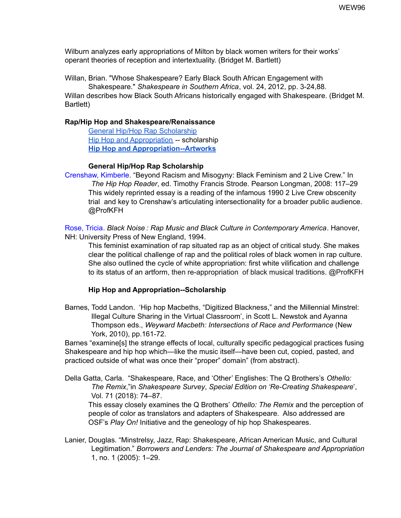Wilburn analyzes early appropriations of Milton by black women writers for their works' operant theories of reception and intertextuality. (Bridget M. Bartlett)

Willan, Brian. "Whose Shakespeare? Early Black South African Engagement with Shakespeare." *Shakespeare in Southern Africa*, vol. 24, 2012, pp. 3-24,88*.* Willan describes how Black South Africans historically engaged with Shakespeare. (Bridget M. Bartlett)

## **Rap/Hip Hop and Shakespeare/Renaissance**

General Hip/Hop Rap [Scholarship](#page-95-0) Hip Hop and [Appropriation](#page-95-1) -- scholarship **Hip Hop and [Appropriation--Artworks](#page-96-0)**

## **General Hip/Hop Rap Scholarship**

<span id="page-95-0"></span>Crenshaw, Kimberle. "Beyond Racism and Misogyny: Black Feminism and 2 Live Crew." In *The Hip Hop Reader*, ed. Timothy Francis Strode. Pearson Longman, 2008: 117–29 This widely reprinted essay is a reading of the infamous 1990 2 Live Crew obscenity trial and key to Crenshaw's articulating intersectionality for a broader public audience. @ProfKFH

Rose, Tricia. *Black Noise : Rap Music and Black Culture in Contemporary America*. Hanover, NH: University Press of New England, 1994.

This feminist examination of rap situated rap as an object of critical study. She makes clear the political challenge of rap and the political roles of black women in rap culture. She also outlined the cycle of white appropriation: first white vilification and challenge to its status of an artform, then re-appropriation of black musical traditions. @ProfKFH

#### **Hip Hop and Appropriation--Scholarship**

<span id="page-95-1"></span>Barnes, Todd Landon. 'Hip hop Macbeths, "Digitized Blackness," and the Millennial Minstrel: Illegal Culture Sharing in the Virtual Classroom', in Scott L. Newstok and Ayanna Thompson eds., *Weyward Macbeth: Intersections of Race and Performance* (New York, 2010), pp.161-72.

Barnes "examine[s] the strange effects of local, culturally specific pedagogical practices fusing Shakespeare and hip hop which—like the music itself—have been cut, copied, pasted, and practiced outside of what was once their "proper" domain" (from abstract).

Della Gatta, Carla. "Shakespeare, Race, and 'Other' Englishes: The Q Brothers's *Othello: The Remix*,"in *Shakespeare Survey*, *Special Edition on 'Re-Creating Shakespeare*', Vol. 71 (2018): 74–87.

This essay closely examines the Q Brothers' *Othello: The Remix* and the perception of people of color as translators and adapters of Shakespeare. Also addressed are OSF's *Play On!* Initiative and the geneology of hip hop Shakespeares.

Lanier, Douglas. "Minstrelsy, Jazz, Rap: Shakespeare, African American Music, and Cultural Legitimation." *Borrowers and Lenders: The Journal of Shakespeare and Appropriation* 1, no. 1 (2005): 1–29.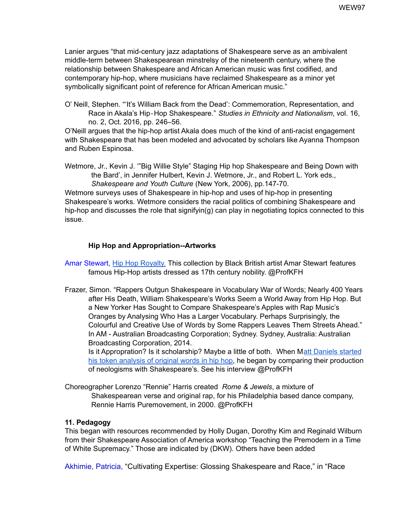Lanier argues "that mid-century jazz adaptations of Shakespeare serve as an ambivalent middle-term between Shakespearean minstrelsy of the nineteenth century, where the relationship between Shakespeare and African American music was first codified, and contemporary hip-hop, where musicians have reclaimed Shakespeare as a minor yet symbolically significant point of reference for African American music."

O' Neill, Stephen. "'It's William Back from the Dead': Commemoration, Representation, and Race in Akala's Hip‐Hop Shakespeare." *Studies in Ethnicity and Nationalism*, vol. 16, no. 2, Oct. 2016, pp. 246–56.

O'Neill argues that the hip-hop artist Akala does much of the kind of anti-racist engagement with Shakespeare that has been modeled and advocated by scholars like Ayanna Thompson and Ruben Espinosa.

Wetmore, Jr., Kevin J. '"Big Willie Style" Staging Hip hop Shakespeare and Being Down with the Bard', in Jennifer Hulbert, Kevin J. Wetmore, Jr., and Robert L. York eds., *Shakespeare and Youth Culture* (New York, 2006), pp.147-70.

Wetmore surveys uses of Shakespeare in hip-hop and uses of hip-hop in presenting Shakespeare's works. Wetmore considers the racial politics of combining Shakespeare and hip-hop and discusses the role that signifyin(g) can play in negotiating topics connected to this issue.

# **Hip Hop and Appropriation--Artworks**

<span id="page-96-0"></span>Amar Stewart, Hip Hop [Royalty.](https://amarstewart.com/hiphop-royalty-collection) This collection by Black British artist Amar Stewart features famous Hip-Hop artists dressed as 17th century nobility. @ProfKFH

Frazer, Simon. "Rappers Outgun Shakespeare in Vocabulary War of Words; Nearly 400 Years after His Death, William Shakespeare's Works Seem a World Away from Hip Hop. But a New Yorker Has Sought to Compare Shakespeare's Apples with Rap Music's Oranges by Analysing Who Has a Larger Vocabulary. Perhaps Surprisingly, the Colourful and Creative Use of Words by Some Rappers Leaves Them Streets Ahead." In AM - Australian Broadcasting Corporation; Sydney. Sydney, Australia: Australian Broadcasting Corporation, 2014. Is it Appropration? Is it scholarship? Maybe a little of both. When Matt [Daniels](https://pudding.cool/projects/vocabulary/) started

his token [analysis](https://pudding.cool/projects/vocabulary/) of original words in hip hop, he began by comparing their production of neologisms with Shakespeare's. See his interview @ProfKFH

Choreographer Lorenzo "Rennie" Harris created *Rome & Jewels*, a mixture of Shakespearean verse and original rap, for his Philadelphia based dance company, Rennie Harris Puremovement, in 2000. @ProfKFH

# **11. Pedagogy**

This began with resources recommended by Holly Dugan, Dorothy Kim and Reginald Wilburn from their Shakespeare Association of America workshop "Teaching the Premodern in a Time of White Supremacy." Those are indicated by (DKW). Others have been added

Akhimie, Patricia, "Cultivating Expertise: Glossing Shakespeare and Race," in "Race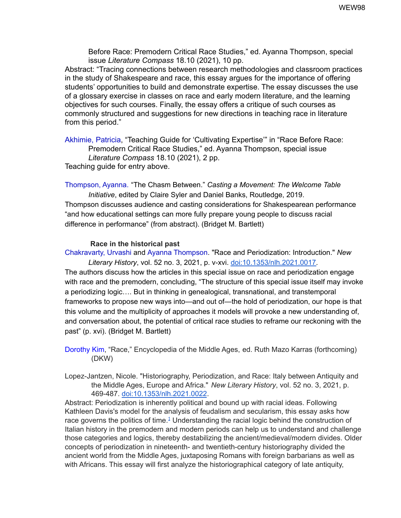Before Race: Premodern Critical Race Studies," ed. Ayanna Thompson, special issue *Literature Compass* 18.10 (2021), 10 pp.

Abstract: "Tracing connections between research methodologies and classroom practices in the study of Shakespeare and race, this essay argues for the importance of offering students' opportunities to build and demonstrate expertise. The essay discusses the use of a glossary exercise in classes on race and early modern literature, and the learning objectives for such courses. Finally, the essay offers a critique of such courses as commonly structured and suggestions for new directions in teaching race in literature from this period."

Akhimie, Patricia, "Teaching Guide for 'Cultivating Expertise'" in "Race Before Race: Premodern Critical Race Studies," ed. Ayanna Thompson, special issue *Literature Compass* 18.10 (2021), 2 pp. Teaching guide for entry above.

Thompson, Ayanna. "The Chasm Between." *Casting a Movement: The Welcome Table Initiative*, edited by Claire Syler and Daniel Banks, Routledge, 2019. Thompson discusses audience and casting considerations for Shakespearean performance "and how educational settings can more fully prepare young people to discuss racial difference in performance" (from abstract). (Bridget M. Bartlett)

#### **Race in the historical past**

Chakravarty, Urvashi and Ayanna Thompson. "Race and Periodization: Introduction." *New Literary History*, vol. 52 no. 3, 2021, p. v-xvi. [doi:10.1353/nlh.2021.0017.](http://doi.org/10.1353/nlh.2021.0017)

The authors discuss how the articles in this special issue on race and periodization engage with race and the premodern, concluding, "The structure of this special issue itself may invoke a periodizing logic…. But in thinking in genealogical, transnational, and transtemporal frameworks to propose new ways into—and out of—the hold of periodization, our hope is that this volume and the multiplicity of approaches it models will provoke a new understanding of, and conversation about, the potential of critical race studies to reframe our reckoning with the past" (p. xvi). (Bridget M. Bartlett)

Dorothy Kim, "Race," Encyclopedia of the Middle Ages, ed. Ruth Mazo Karras (forthcoming) (DKW)

Lopez-Jantzen, Nicole. "Historiography, Periodization, and Race: Italy between Antiquity and the Middle Ages, Europe and Africa." *New Literary History*, vol. 52 no. 3, 2021, p. 469-487. [doi:10.1353/nlh.2021.0022](http://doi.org/10.1353/nlh.2021.0022).

Abstract: Periodization is inherently political and bound up with racial ideas. Following Kathleen Davis's model for the analysis of feudalism and secularism, this essay asks how race governs the politics of time.<sup>[1](https://muse-jhu-edu.umiss.idm.oclc.org/article/846841#f1)</sup> Understanding the racial logic behind the construction of Italian history in the premodern and modern periods can help us to understand and challenge those categories and logics, thereby destabilizing the ancient/medieval/modern divides. Older concepts of periodization in nineteenth- and twentieth-century historiography divided the ancient world from the Middle Ages, juxtaposing Romans with foreign barbarians as well as with Africans. This essay will first analyze the historiographical category of late antiquity,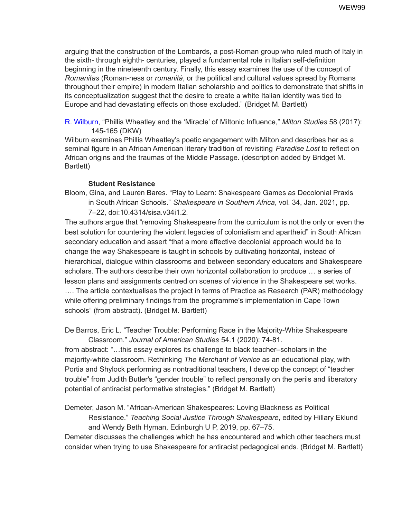arguing that the construction of the Lombards, a post-Roman group who ruled much of Italy in the sixth- through eighth- centuries, played a fundamental role in Italian self-definition beginning in the nineteenth century. Finally, this essay examines the use of the concept of *Romanitas* (Roman-ness or *romanità*, or the political and cultural values spread by Romans throughout their empire) in modern Italian scholarship and politics to demonstrate that shifts in its conceptualization suggest that the desire to create a white Italian identity was tied to Europe and had devastating effects on those excluded." (Bridget M. Bartlett)

R. Wilburn, "Phillis Wheatley and the 'Miracle' of Miltonic Influence," *Milton Studies* 58 (2017): 145-165 (DKW)

Wilburn examines Phillis Wheatley's poetic engagement with Milton and describes her as a seminal figure in an African American literary tradition of revisiting *Paradise Lost* to reflect on African origins and the traumas of the Middle Passage. (description added by Bridget M. Bartlett)

## **Student Resistance**

Bloom, Gina, and Lauren Bares. "Play to Learn: Shakespeare Games as Decolonial Praxis

in South African Schools." *Shakespeare in Southern Africa*, vol. 34, Jan. 2021, pp. 7–22, doi:10.4314/sisa.v34i1.2.

The authors argue that "removing Shakespeare from the curriculum is not the only or even the best solution for countering the violent legacies of colonialism and apartheid" in South African secondary education and assert "that a more effective decolonial approach would be to change the way Shakespeare is taught in schools by cultivating horizontal, instead of hierarchical, dialogue within classrooms and between secondary educators and Shakespeare scholars. The authors describe their own horizontal collaboration to produce … a series of lesson plans and assignments centred on scenes of violence in the Shakespeare set works. .... The article contextualises the project in terms of Practice as Research (PAR) methodology while offering preliminary findings from the programme's implementation in Cape Town schools" (from abstract). (Bridget M. Bartlett)

De Barros, Eric L. "Teacher Trouble: Performing Race in the Majority-White Shakespeare Classroom." *Journal of American Studies* 54.1 (2020): 74-81.

from abstract: "…this essay explores its challenge to black teacher–scholars in the majority-white classroom. Rethinking *The Merchant of Venice* as an educational play, with Portia and Shylock performing as nontraditional teachers, I develop the concept of "teacher trouble" from Judith Butler's "gender trouble" to reflect personally on the perils and liberatory potential of antiracist performative strategies." (Bridget M. Bartlett)

Demeter, Jason M. "African-American Shakespeares: Loving Blackness as Political Resistance." *Teaching Social Justice Through Shakespeare*, edited by Hillary Eklund and Wendy Beth Hyman, Edinburgh U P, 2019, pp. 67–75.

Demeter discusses the challenges which he has encountered and which other teachers must consider when trying to use Shakespeare for antiracist pedagogical ends. (Bridget M. Bartlett)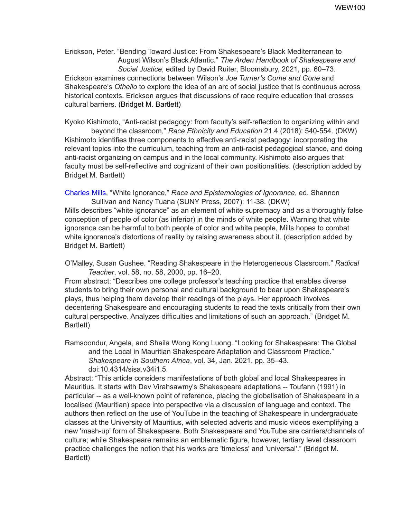Erickson, Peter. "Bending Toward Justice: From Shakespeare's Black Mediterranean to August Wilson's Black Atlantic." *The Arden Handbook of Shakespeare and Social Justice*, edited by David Ruiter, Bloomsbury, 2021, pp. 60–73. Erickson examines connections between Wilson's *Joe Turner's Come and Gone* and Shakespeare's *Othello* to explore the idea of an arc of social justice that is continuous across historical contexts. Erickson argues that discussions of race require education that crosses cultural barriers. (Bridget M. Bartlett)

Kyoko Kishimoto, "Anti-racist pedagogy: from faculty's self-reflection to organizing within and beyond the classroom," *Race Ethnicity and Education* 21.4 (2018): 540-554. (DKW) Kishimoto identifies three components to effective anti-racist pedagogy: incorporating the relevant topics into the curriculum, teaching from an anti-racist pedagogical stance, and doing anti-racist organizing on campus and in the local community. Kishimoto also argues that faculty must be self-reflective and cognizant of their own positionalities. (description added by Bridget M. Bartlett)

Charles Mills, "White Ignorance," *Race and Epistemologies of Ignorance*, ed. Shannon Sullivan and Nancy Tuana (SUNY Press, 2007): 11-38. (DKW)

Mills describes "white ignorance" as an element of white supremacy and as a thoroughly false conception of people of color (as inferior) in the minds of white people. Warning that white ignorance can be harmful to both people of color and white people, Mills hopes to combat white ignorance's distortions of reality by raising awareness about it. (description added by Bridget M. Bartlett)

O'Malley, Susan Gushee. "Reading Shakespeare in the Heterogeneous Classroom." *Radical Teacher*, vol. 58, no. 58, 2000, pp. 16–20.

From abstract: "Describes one college professor's teaching practice that enables diverse students to bring their own personal and cultural background to bear upon Shakespeare's plays, thus helping them develop their readings of the plays. Her approach involves decentering Shakespeare and encouraging students to read the texts critically from their own cultural perspective. Analyzes difficulties and limitations of such an approach." (Bridget M. Bartlett)

Ramsoondur, Angela, and Sheila Wong Kong Luong. "Looking for Shakespeare: The Global and the Local in Mauritian Shakespeare Adaptation and Classroom Practice." *Shakespeare in Southern Africa*, vol. 34, Jan. 2021, pp. 35–43. doi:10.4314/sisa.v34i1.5.

Abstract: "This article considers manifestations of both global and local Shakespeares in Mauritius. It starts with Dev Virahsawmy's Shakespeare adaptations -- Toufann (1991) in particular -- as a well-known point of reference, placing the globalisation of Shakespeare in a localised (Mauritian) space into perspective via a discussion of language and context. The authors then reflect on the use of YouTube in the teaching of Shakespeare in undergraduate classes at the University of Mauritius, with selected adverts and music videos exemplifying a new 'mash-up' form of Shakespeare. Both Shakespeare and YouTube are carriers/channels of culture; while Shakespeare remains an emblematic figure, however, tertiary level classroom practice challenges the notion that his works are 'timeless' and 'universal'." (Bridget M. Bartlett)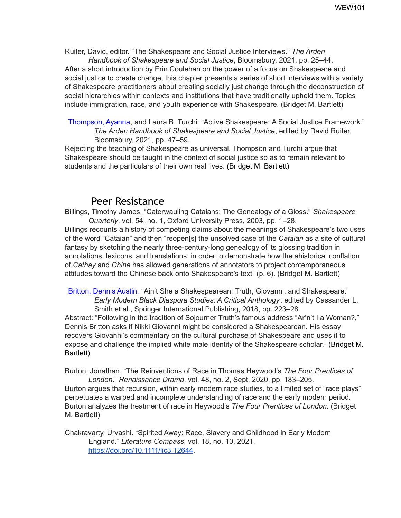Ruiter, David, editor. "The Shakespeare and Social Justice Interviews." *The Arden Handbook of Shakespeare and Social Justice*, Bloomsbury, 2021, pp. 25–44.

After a short introduction by Erin Coulehan on the power of a focus on Shakespeare and social justice to create change, this chapter presents a series of short interviews with a variety of Shakespeare practitioners about creating socially just change through the deconstruction of social hierarchies within contexts and institutions that have traditionally upheld them. Topics include immigration, race, and youth experience with Shakespeare. (Bridget M. Bartlett)

Thompson, Ayanna, and Laura B. Turchi. "Active Shakespeare: A Social Justice Framework." *The Arden Handbook of Shakespeare and Social Justice*, edited by David Ruiter, Bloomsbury, 2021, pp. 47–59.

Rejecting the teaching of Shakespeare as universal, Thompson and Turchi argue that Shakespeare should be taught in the context of social justice so as to remain relevant to students and the particulars of their own real lives. (Bridget M. Bartlett)

# Peer Resistance

Billings, Timothy James. "Caterwauling Cataians: The Genealogy of a Gloss." *Shakespeare Quarterly*, vol. 54, no. 1, Oxford University Press, 2003, pp. 1–28. Billings recounts a history of competing claims about the meanings of Shakespeare's two uses of the word "Cataian" and then "reopen[s] the unsolved case of the *Cataian* as a site of cultural fantasy by sketching the nearly three-century-long genealogy of its glossing tradition in annotations, lexicons, and translations, in order to demonstrate how the ahistorical conflation of *Cathay* and *China* has allowed generations of annotators to project contemporaneous attitudes toward the Chinese back onto Shakespeare's text" (p. 6). (Bridget M. Bartlett)

Britton, Dennis Austin. "Ain't She a Shakespearean: Truth, Giovanni, and Shakespeare." *Early Modern Black Diaspora Studies: A Critical Anthology*, edited by Cassander L. Smith et al., Springer International Publishing, 2018, pp. 223–28.

Abstract: "Following in the tradition of Sojourner Truth's famous address "Ar'n't I a Woman?," Dennis Britton asks if Nikki Giovanni might be considered a Shakespearean. His essay recovers Giovanni's commentary on the cultural purchase of Shakespeare and uses it to expose and challenge the implied white male identity of the Shakespeare scholar." (Bridget M. Bartlett)

Burton, Jonathan. "The Reinventions of Race in Thomas Heywood's *The Four Prentices of London*." *Renaissance Drama*, vol. 48, no. 2, Sept. 2020, pp. 183–205.

Burton argues that recursion, within early modern race studies, to a limited set of "race plays" perpetuates a warped and incomplete understanding of race and the early modern period. Burton analyzes the treatment of race in Heywood's *The Four Prentices of London*. (Bridget M. Bartlett)

Chakravarty, Urvashi. "Spirited Away: Race, Slavery and Childhood in Early Modern England." *Literature Compass*, vol. 18, no. 10, 2021. <https://doi.org/10.1111/lic3.12644>.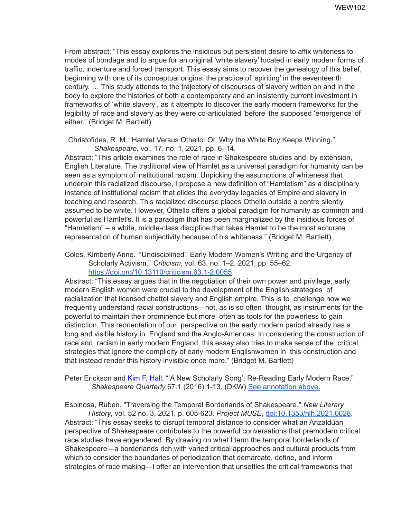From abstract: "This essay explores the insidious but persistent desire to affix whiteness to modes of bondage and to argue for an original 'white slavery' located in early modern forms of traffic, indenture and forced transport. This essay aims to recover the genealogy of this belief, beginning with one of its conceptual origins: the practice of 'spiriting' in the seventeenth century. … This study attends to the trajectory of discourses of slavery written on and in the body to explore the histories of both a contemporary and an insistently current investment in frameworks of 'white slavery', as it attempts to discover the early modern frameworks for the legibility of race and slavery as they were co-articulated 'before' the supposed 'emergence' of either." (Bridget M. Bartlett)

Christofides, R. M. "Hamlet Versus Othello: Or, Why the White Boy Keeps Winning."

*Shakespeare*, vol. 17, no. 1, 2021, pp. 6–14. Abstract: "This article examines the role of race in Shakespeare studies and, by extension, English Literature. The traditional view of Hamlet as a universal paradigm for humanity can be seen as a symptom of institutional racism. Unpicking the assumptions of whiteness that underpin this racialized discourse, I propose a new definition of "Hamletism" as a disciplinary instance of institutional racism that elides the everyday legacies of Empire and slavery in teaching and research. This racialized discourse places Othello outside a centre silently assumed to be white. However, Othello offers a global paradigm for humanity as common and powerful as Hamlet's. It is a paradigm that has been marginalized by the insidious forces of "Hamletism" – a white, middle-class discipline that takes Hamlet to be the most accurate representation of human subjectivity because of his whiteness." (Bridget M. Bartlett)

Coles, Kimberly Anne. "'Undisciplined': Early Modern Women's Writing and the Urgency of Scholarly Activism." *Criticism*, vol. 63, no. 1–2, 2021, pp. 55–62, <https://doi.org/10.13110/criticism.63.1-2.0055>.

Abstract: "This essay argues that in the negotiation of their own power and privilege, early modern English women were crucial to the development of the English strategies of racialization that licensed chattel slavery and English empire. This is to challenge how we frequently understand racial constructions—not, as is so often thought, as instruments for the powerful to maintain their prominence but more often as tools for the powerless to gain distinction. This reorientation of our perspective on the early modern period already has a long and visible history in England and the Anglo-Americas. In considering the construction of race and racism in early modern England, this essay also tries to make sense of the critical strategies that ignore the complicity of early modern Englishwomen in this construction and that instead render this history invisible once more." (Bridget M. Bartlett)

Peter Erickson and Kim F. Hall, "'A New Scholarly Song': Re-Reading Early Modern Race," *Shakespeare Quarterly* 67.1 (2016):1-13. (DKW) See annotation above.

Espinosa, Ruben. "Traversing the Temporal Borderlands of Shakespeare." *New Literary History*, vol. 52 no. 3, 2021, p. 605-623. *Project MUSE*, [doi:10.1353/nlh.2021.0028.](http://doi.org/10.1353/nlh.2021.0028)

Abstract: "This essay seeks to disrupt temporal distance to consider what an Anzaldúan perspective of Shakespeare contributes to the powerful conversations that premodern critical race studies have engendered. By drawing on what I term the temporal borderlands of Shakespeare—a borderlands rich with varied critical approaches and cultural products from which to consider the boundaries of periodization that demarcate, define, and inform strategies of race making—I offer an intervention that unsettles the critical frameworks that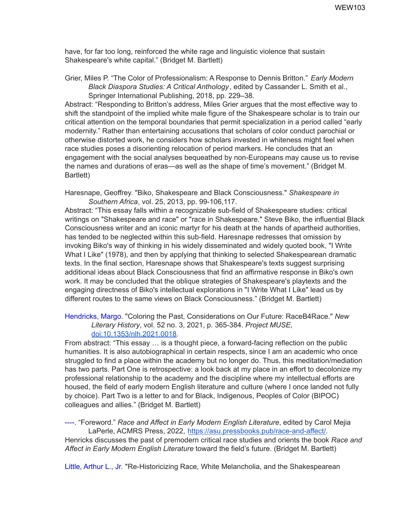have, for far too long, reinforced the white rage and linguistic violence that sustain Shakespeare's white capital." (Bridget M. Bartlett)

Grier, Miles P. "The Color of Professionalism: A Response to Dennis Britton." *Early Modern Black Diaspora Studies: A Critical Anthology*, edited by Cassander L. Smith et al., Springer International Publishing, 2018, pp. 229–38.

Abstract: "Responding to Britton's address, Miles Grier argues that the most effective way to shift the standpoint of the implied white male figure of the Shakespeare scholar is to train our critical attention on the temporal boundaries that permit specialization in a period called "early modernity." Rather than entertaining accusations that scholars of color conduct parochial or otherwise distorted work, he considers how scholars invested in whiteness might feel when race studies poses a disorienting relocation of period markers. He concludes that an engagement with the social analyses bequeathed by non-Europeans may cause us to revise the names and durations of eras—as well as the shape of time's movement." (Bridget M. Bartlett)

Haresnape, Geoffrey. "Biko, Shakespeare and Black Consciousness." *Shakespeare in Southern Africa*, vol. 25, 2013, pp. 99-106,117.

Abstract: "This essay falls within a recognizable sub-field of Shakespeare studies: critical writings on "Shakespeare and race" or "race in Shakespeare." Steve Biko, the influential Black Consciousness writer and an iconic martyr for his death at the hands of apartheid authorities, has tended to be neglected within this sub-field. Haresnape redresses that omission by invoking Biko's way of thinking in his widely disseminated and widely quoted book, "I Write What I Like" (1978), and then by applying that thinking to selected Shakespearean dramatic texts. In the final section, Haresnape shows that Shakespeare's texts suggest surprising additional ideas about Black Consciousness that find an affirmative response in Biko's own work. It may be concluded that the oblique strategies of Shakespeare's playtexts and the engaging directness of Biko's intellectual explorations in "I Write What I Like" lead us by different routes to the same views on Black Consciousness." (Bridget M. Bartlett)

Hendricks, Margo. "Coloring the Past, Considerations on Our Future: RaceB4Race." *New Literary History*, vol. 52 no. 3, 2021, p. 365-384. *Project MUSE*, [doi:10.1353/nlh.2021.0018.](http://doi.org/10.1353/nlh.2021.0018)

From abstract: "This essay … is a thought piece, a forward-facing reflection on the public humanities. It is also autobiographical in certain respects, since I am an academic who once struggled to find a place within the academy but no longer do. Thus, this meditation/mediation has two parts. Part One is retrospective: a look back at my place in an effort to decolonize my professional relationship to the academy and the discipline where my intellectual efforts are housed, the field of early modern English literature and culture (where I once landed not fully by choice). Part Two is a letter to and for Black, Indigenous, Peoples of Color (BIPOC) colleagues and allies." (Bridget M. Bartlett)

----. "Foreword." *Race and Affect in Early Modern English Literature*, edited by Carol Mejia LaPerle, ACMRS Press, 2022, [https://asu.pressbooks.pub/race-and-affect/.](https://asu.pressbooks.pub/race-and-affect/) Henricks discusses the past of premodern critical race studies and orients the book *Race and Affect in Early Modern English Literature* toward the field's future. (Bridget M. Bartlett)

Little, Arthur L., Jr. "Re-Historicizing Race, White Melancholia, and the Shakespearean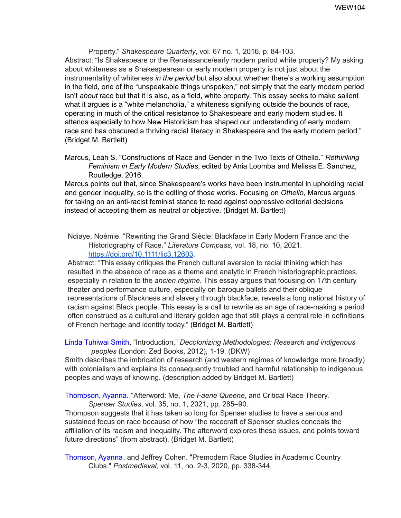Property." *Shakespeare Quarterly*, vol. 67 no. 1, 2016, p. 84-103. Abstract: "Is Shakespeare or the Renaissance/early modern period white property? My asking about whiteness as a Shakespearean or early modern property is not just about the instrumentality of whiteness *in the period* but also about whether there's a working assumption in the field, one of the "unspeakable things unspoken," not simply that the early modern period isn't *about* race but that it is also, as a field, white property. This essay seeks to make salient what it argues is a "white melancholia," a whiteness signifying outside the bounds of race, operating in much of the critical resistance to Shakespeare and early modern studies. It attends especially to how New Historicism has shaped our understanding of early modern race and has obscured a thriving racial literacy in Shakespeare and the early modern period." (Bridget M. Bartlett)

Marcus, Leah S. "Constructions of Race and Gender in the Two Texts of Othello." *Rethinking Feminism in Early Modern Studies*, edited by Ania Loomba and Melissa E. Sanchez, Routledge, 2016.

Marcus points out that, since Shakespeare's works have been instrumental in upholding racial and gender inequality, so is the editing of those works. Focusing on *Othello*, Marcus argues for taking on an anti-racist feminist stance to read against oppressive editorial decisions instead of accepting them as neutral or objective. (Bridget M. Bartlett)

Ndiaye, Noémie. "Rewriting the Grand Siècle: Blackface in Early Modern France and the Historiography of Race." *Literature Compass*, vol. 18, no. 10, 2021. <https://doi.org/10.1111/lic3.12603>.

Abstract: "This essay critiques the French cultural aversion to racial thinking which has resulted in the absence of race as a theme and analytic in French historiographic practices, especially in relation to the *ancien régime*. This essay argues that focusing on 17th century theater and performance culture, especially on baroque ballets and their oblique representations of Blackness and slavery through blackface, reveals a long national history of racism against Black people. This essay is a call to rewrite as an age of race-making a period often construed as a cultural and literary golden age that still plays a central role in definitions of French heritage and identity today." (Bridget M. Bartlett)

Linda Tuhiwai Smith, "Introduction," *Decolonizing Methodologies: Research and indigenous peoples* (London: Zed Books, 2012), 1-19. (DKW)

Smith describes the imbrication of research (and western regimes of knowledge more broadly) with colonialism and explains its consequently troubled and harmful relationship to indigenous peoples and ways of knowing. (description added by Bridget M. Bartlett)

Thompson, Ayanna. "Afterword: Me, *The Faerie Queene*, and Critical Race Theory." *Spenser Studies*, vol. 35, no. 1, 2021, pp. 285–90.

Thompson suggests that it has taken so long for Spenser studies to have a serious and sustained focus on race because of how "the racecraft of Spenser studies conceals the affiliation of its racism and inequality. The afterword explores these issues, and points toward future directions" (from abstract). (Bridget M. Bartlett)

Thomson, Ayanna, and Jeffrey Cohen. "Premodern Race Studies in Academic Country Clubs." *Postmedieval*, vol. 11, no. 2-3, 2020, pp. 338-344*.*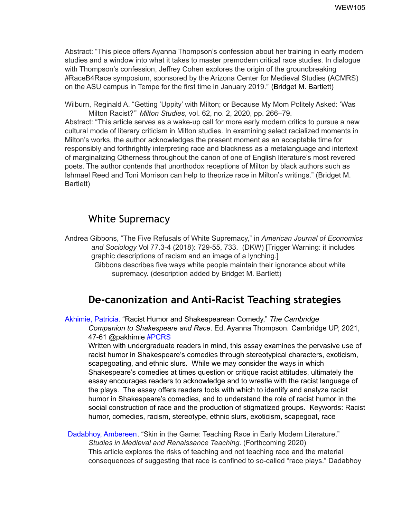Abstract: "This piece offers Ayanna Thompson's confession about her training in early modern studies and a window into what it takes to master premodern critical race studies. In dialogue with Thompson's confession, Jeffrey Cohen explores the origin of the groundbreaking #RaceB4Race symposium, sponsored by the Arizona Center for Medieval Studies (ACMRS) on the ASU campus in Tempe for the first time in January 2019." (Bridget M. Bartlett)

Wilburn, Reginald A. "Getting 'Uppity' with Milton; or Because My Mom Politely Asked: 'Was Milton Racist?'" *Milton Studies*, vol. 62, no. 2, 2020, pp. 266–79.

Abstract: "This article serves as a wake-up call for more early modern critics to pursue a new cultural mode of literary criticism in Milton studies. In examining select racialized moments in Milton's works, the author acknowledges the present moment as an acceptable time for responsibly and forthrightly interpreting race and blackness as a metalanguage and intertext of marginalizing Otherness throughout the canon of one of English literature's most revered poets. The author contends that unorthodox receptions of Milton by black authors such as Ishmael Reed and Toni Morrison can help to theorize race in Milton's writings." (Bridget M. Bartlett)

# White Supremacy

- Andrea Gibbons, "The Five Refusals of White Supremacy," in *American Journal of Economics and Sociology* Vol 77.3-4 (2018): 729-55, 733. (DKW) [Trigger Warning: it includes graphic descriptions of racism and an image of a lynching.]
	- Gibbons describes five ways white people maintain their ignorance about white supremacy. (description added by Bridget M. Bartlett)

# **De-canonization and Anti-Racist Teaching strategies**

Akhimie, Patricia. "Racist Humor and Shakespearean Comedy," *The Cambridge Companion to Shakespeare and Race*. Ed. Ayanna Thompson. Cambridge UP, 2021, 47-61 @pakhimie #PCRS

Written with undergraduate readers in mind, this essay examines the pervasive use of racist humor in Shakespeare's comedies through stereotypical characters, exoticism, scapegoating, and ethnic slurs. While we may consider the ways in which Shakespeare's comedies at times question or critique racist attitudes, ultimately the essay encourages readers to acknowledge and to wrestle with the racist language of the plays. The essay offers readers tools with which to identify and analyze racist humor in Shakespeare's comedies, and to understand the role of racist humor in the social construction of race and the production of stigmatized groups. Keywords: Racist humor, comedies, racism, stereotype, ethnic slurs, exoticism, scapegoat, race

Dadabhoy, Ambereen. "Skin in the Game: Teaching Race in Early Modern Literature." *Studies in Medieval and Renaissance Teaching*. (Forthcoming 2020) This article explores the risks of teaching and not teaching race and the material consequences of suggesting that race is confined to so-called "race plays." Dadabhoy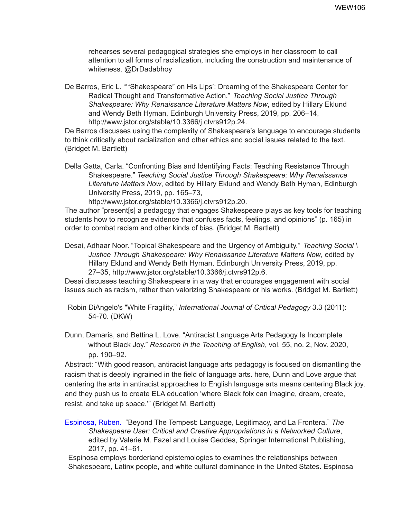rehearses several pedagogical strategies she employs in her classroom to call attention to all forms of racialization, including the construction and maintenance of whiteness. @DrDadabhoy

De Barros, Eric L. "'"Shakespeare" on His Lips': Dreaming of the Shakespeare Center for Radical Thought and Transformative Action." *Teaching Social Justice Through Shakespeare: Why Renaissance Literature Matters Now*, edited by Hillary Eklund and Wendy Beth Hyman, Edinburgh University Press, 2019, pp. 206–14, http://www.jstor.org/stable/10.3366/j.ctvrs912p.24.

De Barros discusses using the complexity of Shakespeare's language to encourage students to think critically about racialization and other ethics and social issues related to the text. (Bridget M. Bartlett)

Della Gatta, Carla. "Confronting Bias and Identifying Facts: Teaching Resistance Through Shakespeare." *Teaching Social Justice Through Shakespeare: Why Renaissance Literature Matters Now*, edited by Hillary Eklund and Wendy Beth Hyman, Edinburgh University Press, 2019, pp. 165–73,

http://www.jstor.org/stable/10.3366/j.ctvrs912p.20.

The author "present[s] a pedagogy that engages Shakespeare plays as key tools for teaching students how to recognize evidence that confuses facts, feelings, and opinions" (p. 165) in order to combat racism and other kinds of bias. (Bridget M. Bartlett)

Desai, Adhaar Noor. "Topical Shakespeare and the Urgency of Ambiguity." *Teaching Social \ Justice Through Shakespeare: Why Renaissance Literature Matters Now*, edited by Hillary Eklund and Wendy Beth Hyman, Edinburgh University Press, 2019, pp. 27–35, http://www.jstor.org/stable/10.3366/j.ctvrs912p.6.

Desai discusses teaching Shakespeare in a way that encourages engagement with social issues such as racism, rather than valorizing Shakespeare or his works. (Bridget M. Bartlett)

- Robin DiAngelo's "White Fragility," *International Journal of Critical Pedagogy* 3.3 (2011): 54-70. (DKW)
- Dunn, Damaris, and Bettina L. Love. "Antiracist Language Arts Pedagogy Is Incomplete without Black Joy." *Research in the Teaching of English*, vol. 55, no. 2, Nov. 2020, pp. 190–92.

Abstract: "With good reason, antiracist language arts pedagogy is focused on dismantling the racism that is deeply ingrained in the field of language arts. here, Dunn and Love argue that centering the arts in antiracist approaches to English language arts means centering Black joy, and they push us to create ELA education 'where Black folx can imagine, dream, create, resist, and take up space.'" (Bridget M. Bartlett)

Espinosa, Ruben. "Beyond The Tempest: Language, Legitimacy, and La Frontera." *The Shakespeare User: Critical and Creative Appropriations in a Networked Culture*, edited by Valerie M. Fazel and Louise Geddes, Springer International Publishing, 2017, pp. 41–61.

Espinosa employs borderland epistemologies to examines the relationships between Shakespeare, Latinx people, and white cultural dominance in the United States. Espinosa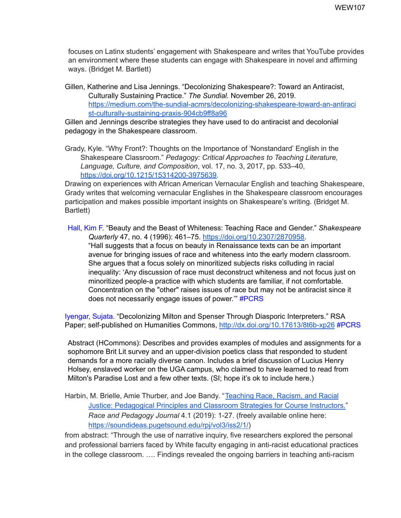focuses on Latinx students' engagement with Shakespeare and writes that YouTube provides an environment where these students can engage with Shakespeare in novel and affirming ways. (Bridget M. Bartlett)

Gillen, Katherine and Lisa Jennings. "Decolonizing Shakespeare?: Toward an Antiracist, Culturally Sustaining Practice." *The Sundial.* November 26, 2019[.](https://medium.com/the-sundial-acmrs/decolonizing-shakespeare-toward-an-antiracist-culturally-sustaining-praxis-904cb9ff8a96) [https://medium.com/the-sundial-acmrs/decolonizing-shakespeare-toward-an-antiraci](https://medium.com/the-sundial-acmrs/decolonizing-shakespeare-toward-an-antiracist-culturally-sustaining-praxis-904cb9ff8a96) [st-culturally-sustaining-praxis-904cb9ff8a96](https://medium.com/the-sundial-acmrs/decolonizing-shakespeare-toward-an-antiracist-culturally-sustaining-praxis-904cb9ff8a96)

Gillen and Jennings describe strategies they have used to do antiracist and decolonial pedagogy in the Shakespeare classroom.

Grady, Kyle. "Why Front?: Thoughts on the Importance of 'Nonstandard' English in the Shakespeare Classroom." *Pedagogy: Critical Approaches to Teaching Literature, Language, Culture, and Composition*, vol. 17, no. 3, 2017, pp. 533–40, [https://doi.org/10.1215/15314200-3975639.](https://doi.org/10.1215/15314200-3975639)

Drawing on experiences with African American Vernacular English and teaching Shakespeare, Grady writes that welcoming vernacular Englishes in the Shakespeare classroom encourages participation and makes possible important insights on Shakespeare's writing. (Bridget M. Bartlett)

Hall, Kim F. "Beauty and the Beast of Whiteness: Teaching Race and Gender." *Shakespeare Quarterly* 47, no. 4 (1996): 461–75. <https://doi.org/10.2307/2870958>. "Hall suggests that a focus on beauty in Renaissance texts can be an important avenue for bringing issues of race and whiteness into the early modern classroom. She argues that a focus solely on minoritized subjects risks colluding in racial inequality: 'Any discussion of race must deconstruct whiteness and not focus just on minoritized people-a practice with which students are familiar, if not comfortable. Concentration on the "other" raises issues of race but may not be antiracist since it does not necessarily engage issues of power.'" #PCRS

Iyengar, Sujata. "Decolonizing Milton and Spenser Through Diasporic Interpreters." RSA Paper; self-published on Humanities Commons, [http://dx.doi.org/10.17613/8t6b-xp26](https://hcommons.org/deposits/item/hc:40787) #PCRS

Abstract (HCommons): Describes and provides examples of modules and assignments for a sophomore Brit Lit survey and an upper-division poetics class that responded to student demands for a more racially diverse canon. Includes a brief discussion of Lucius Henry Holsey, enslaved worker on the UGA campus, who claimed to have learned to read from Milton's Paradise Lost and a few other texts. (SI; hope it's ok to include here.)

Harbin, M. Brielle, Amie Thurber, and Joe Bandy. "[Teaching](https://soundideas.pugetsound.edu/rpj/vol3/iss2/1/) Race, Racism, and Racial Justice: [Pedagogical](https://soundideas.pugetsound.edu/rpj/vol3/iss2/1/) Principles and Classroom Strategies for Course Instructors." *Race and Pedagogy Journal* 4.1 (2019): 1-27. (freely available online here: <https://soundideas.pugetsound.edu/rpj/vol3/iss2/1/>)

from abstract: "Through the use of narrative inquiry, five researchers explored the personal and professional barriers faced by White faculty engaging in anti-racist educational practices in the college classroom. …. Findings revealed the ongoing barriers in teaching anti-racism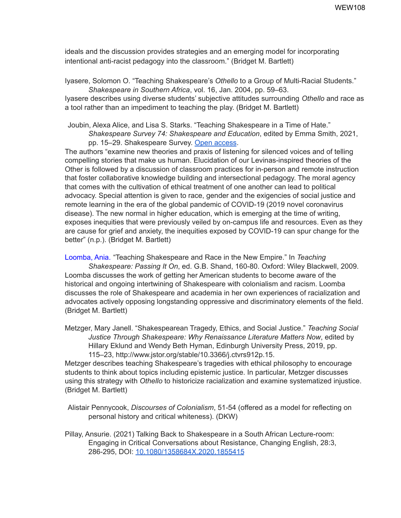ideals and the discussion provides strategies and an emerging model for incorporating intentional anti-racist pedagogy into the classroom." (Bridget M. Bartlett)

Iyasere, Solomon O. "Teaching Shakespeare's *Othello* to a Group of Multi-Racial Students." *Shakespeare in Southern Africa*, vol. 16, Jan. 2004, pp. 59–63.

Iyasere describes using diverse students' subjective attitudes surrounding *Othello* and race as a tool rather than an impediment to teaching the play. (Bridget M. Bartlett)

Joubin, Alexa Alice, and Lisa S. Starks. "Teaching Shakespeare in a Time of Hate."

*Shakespeare Survey 74: Shakespeare and Education*, edited by Emma Smith, 2021, pp. 15–29. Shakespeare Survey. Open [access](https://nam10.safelinks.protection.outlook.com/?url=https%3A%2F%2Fwww.shaksper.net%2Findex.php%3Foption%3Dcom_acymailing%26ctrl%3Durl%26subid%3D1884%26urlid%3D14942%26mailid%3D1901%26Itemid%3D79&data=04%7C01%7Cshakerace%40lists.sfsu.edu%7C5356517b2939409023aa08d9838593b0%7Cd8fbe335822c41a987747f16709aac9f%7C0%7C0%7C637685431992490956%7CUnknown%7CTWFpbGZsb3d8eyJWIjoiMC4wLjAwMDAiLCJQIjoiV2luMzIiLCJBTiI6Ik1haWwiLCJXVCI6Mn0%3D%7C1000&sdata=aeOfI3cpiDydIxVLH%2Bxj5J7Asvp42qZgTAaG5L%2FIRPA%3D&reserved=0).

The authors "examine new theories and praxis of listening for silenced voices and of telling compelling stories that make us human. Elucidation of our Levinas-inspired theories of the Other is followed by a discussion of classroom practices for in-person and remote instruction that foster collaborative knowledge building and intersectional pedagogy. The moral agency that comes with the cultivation of ethical treatment of one another can lead to political advocacy. Special attention is given to race, gender and the exigencies of social justice and remote learning in the era of the global pandemic of COVID-19 (2019 novel coronavirus disease). The new normal in higher education, which is emerging at the time of writing, exposes inequities that were previously veiled by on-campus life and resources. Even as they are cause for grief and anxiety, the inequities exposed by COVID-19 can spur change for the better" (n.p.). (Bridget M. Bartlett)

Loomba, Ania. "Teaching Shakespeare and Race in the New Empire." In *Teaching Shakespeare: Passing It On*, ed. G.B. Shand, 160-80. Oxford: Wiley Blackwell, 2009. Loomba discusses the work of getting her American students to become aware of the historical and ongoing intertwining of Shakespeare with colonialism and racism. Loomba discusses the role of Shakespeare and academia in her own experiences of racialization and advocates actively opposing longstanding oppressive and discriminatory elements of the field. (Bridget M. Bartlett)

Metzger, Mary Janell. "Shakespearean Tragedy, Ethics, and Social Justice." *Teaching Social Justice Through Shakespeare: Why Renaissance Literature Matters Now*, edited by Hillary Eklund and Wendy Beth Hyman, Edinburgh University Press, 2019, pp. 115–23, http://www.jstor.org/stable/10.3366/j.ctvrs912p.15.

Metzger describes teaching Shakespeare's tragedies with ethical philosophy to encourage students to think about topics including epistemic justice. In particular, Metzger discusses using this strategy with *Othello* to historicize racialization and examine systematized injustice. (Bridget M. Bartlett)

Alistair Pennycook, *Discourses of Colonialism*, 51-54 (offered as a model for reflecting on personal history and critical whiteness). (DKW)

Pillay, Ansurie. (2021) Talking Back to Shakespeare in a South African Lecture-room: Engaging in Critical Conversations about Resistance, Changing English, 28:3, 286-295, DOI: [10.1080/1358684X.2020.1855415](https://doi-org.umiss.idm.oclc.org/10.1080/1358684X.2020.1855415)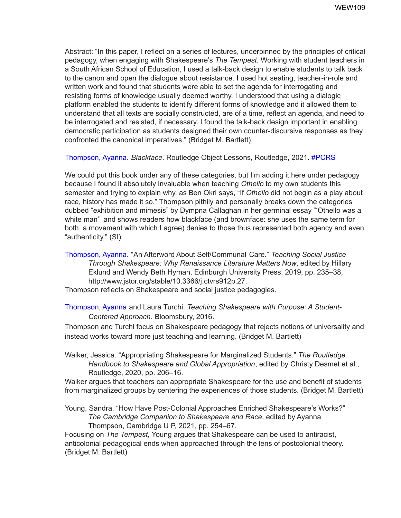Abstract: "In this paper, I reflect on a series of lectures, underpinned by the principles of critical pedagogy, when engaging with Shakespeare's *The Tempest*. Working with student teachers in a South African School of Education, I used a talk-back design to enable students to talk back to the canon and open the dialogue about resistance. I used hot seating, teacher-in-role and written work and found that students were able to set the agenda for interrogating and resisting forms of knowledge usually deemed worthy. I understood that using a dialogic platform enabled the students to identify different forms of knowledge and it allowed them to understand that all texts are socially constructed, are of a time, reflect an agenda, and need to be interrogated and resisted, if necessary. I found the talk-back design important in enabling democratic participation as students designed their own counter-discursive responses as they confronted the canonical imperatives." (Bridget M. Bartlett)

Thompson, Ayanna. *Blackface*. Routledge Object Lessons, Routledge, 2021. #PCRS

We could put this book under any of these categories, but I'm adding it here under pedagogy because I found it absolutely invaluable when teaching *Othello* to my own students this semester and trying to explain why, as Ben Okri says, "If *Othello* did not begin as a play about race, history has made it so." Thompson pithily and personally breaks down the categories dubbed "exhibition and mimesis" by Dympna Callaghan in her germinal essay "'Othello was a white man'" and shows readers how blackface (and brownface: she uses the same term for both, a movement with which I agree) denies to those thus represented both agency and even "authenticity." (SI)

Thompson, Ayanna. "An Afterword About Self/Communal Care." *Teaching Social Justice Through Shakespeare: Why Renaissance Literature Matters Now*, edited by Hillary Eklund and Wendy Beth Hyman, Edinburgh University Press, 2019, pp. 235–38, http://www.jstor.org/stable/10.3366/j.ctvrs912p.27.

Thompson reflects on Shakespeare and social justice pedagogies.

Thompson, Ayanna and Laura Turchi. *Teaching Shakespeare with Purpose: A Student-Centered Approach*. Bloomsbury, 2016.

Thompson and Turchi focus on Shakespeare pedagogy that rejects notions of universality and instead works toward more just teaching and learning. (Bridget M. Bartlett)

Walker, Jessica. "Appropriating Shakespeare for Marginalized Students." *The Routledge Handbook to Shakespeare and Global Appropriation*, edited by Christy Desmet et al., Routledge, 2020, pp. 206–16.

Walker argues that teachers can appropriate Shakespeare for the use and benefit of students from marginalized groups by centering the experiences of those students. (Bridget M. Bartlett)

Young, Sandra. "How Have Post-Colonial Approaches Enriched Shakespeare's Works?" *The Cambridge Companion to Shakespeare and Race*, edited by Ayanna Thompson, Cambridge U P, 2021, pp. 254–67.

Focusing on *The Tempest*, Young argues that Shakespeare can be used to antiracist, anticolonial pedagogical ends when approached through the lens of postcolonial theory. (Bridget M. Bartlett)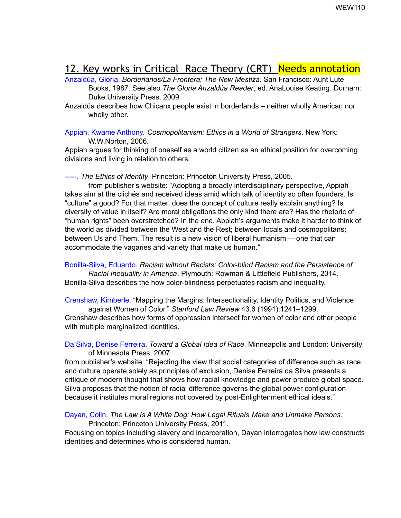## 12. Key works in Critical Race Theory (CRT) Needs annotation

Anzaldúa, Gloria. *Borderlands/La Frontera: The New Mestiza*. San Francisco: Aunt Lute Books, 1987. See also *The Gloria Anzaldúa Reader*, ed. AnaLouise Keating. Durham: Duke University Press, 2009.

Anzaldúa describes how Chicanx people exist in borderlands – neither wholly American nor wholly other.

Appiah, Kwame Anthony. *Cosmopolitanism: Ethics in a World of Strangers*. New York: W.W.Norton, 2006.

Appiah argues for thinking of oneself as a world citizen as an ethical position for overcoming divisions and living in relation to others.

-----. *The Ethics of Identity*. Princeton: Princeton University Press, 2005.

from publisher's website: "Adopting a broadly interdisciplinary perspective, Appiah takes aim at the clichés and received ideas amid which talk of identity so often founders. Is "culture" a good? For that matter, does the concept of culture really explain anything? Is diversity of value in itself? Are moral obligations the only kind there are? Has the rhetoric of "human rights" been overstretched? In the end, Appiah's arguments make it harder to think of the world as divided between the West and the Rest; between locals and cosmopolitans; between Us and Them. The result is a new vision of liberal humanism — one that can accommodate the vagaries and variety that make us human."

Bonilla-Silva, Eduardo. *Racism without Racists: Color-blind Racism and the Persistence of Racial Inequality in America*. Plymouth: Rowman & Littlefield Publishers, 2014. Bonilla-Silva describes the how color-blindness perpetuates racism and inequality.

Crenshaw, Kimberle. "Mapping the Margins: Intersectionality, Identity Politics, and Violence against Women of Color." *Stanford Law Review* 43.6 (1991):1241–1299.

Crenshaw describes how forms of oppression intersect for women of color and other people with multiple marginalized identities.

Da Silva, Denise Ferreira. *Toward a Global Idea of Race*. Minneapolis and London: University of Minnesota Press, 2007.

from publisher's website: "Rejecting the view that social categories of difference such as race and culture operate solely as principles of exclusion, Denise Ferreira da Silva presents a critique of modern thought that shows how racial knowledge and power produce global space. Silva proposes that the notion of racial difference governs the global power configuration because it institutes moral regions not covered by post-Enlightenment ethical ideals."

Dayan, Colin. *The Law Is A White Dog: How Legal Rituals Make and Unmake Persons.* Princeton: Princeton University Press, 2011.

Focusing on topics including slavery and incarceration, Dayan interrogates how law constructs identities and determines who is considered human.